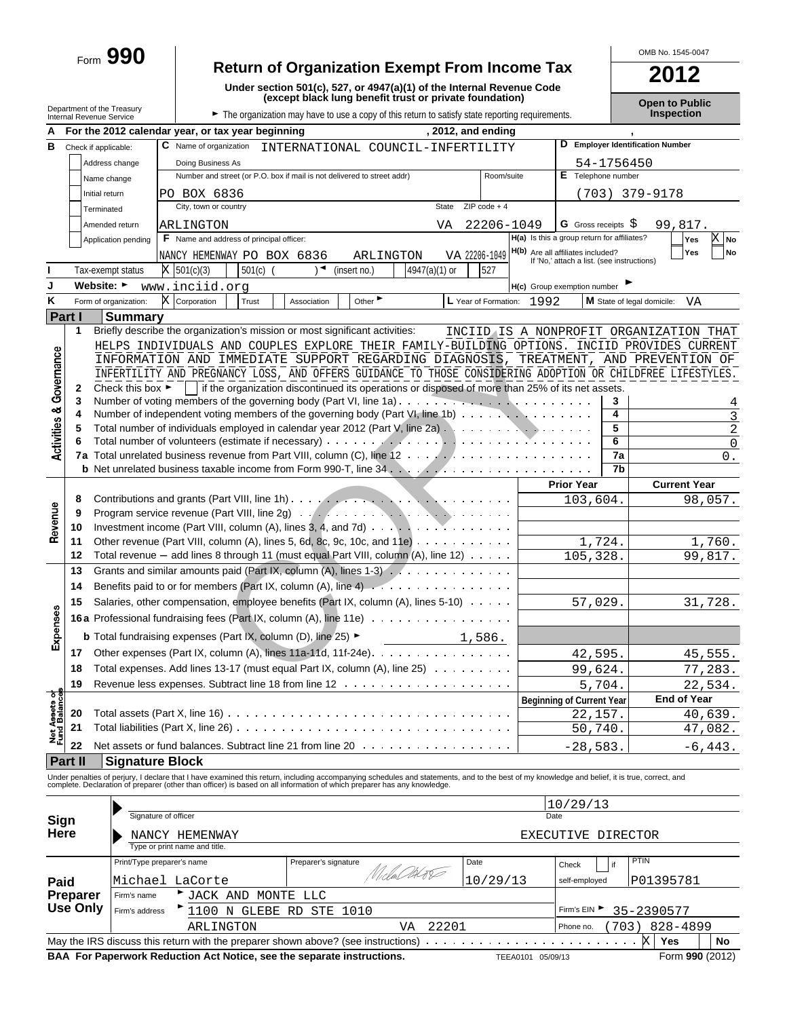# Form **990 Return of Organization Exempt From Income Tax 2012**

**Under section 501(c), 527, or 4947(a)(1) of the Internal Revenue Code (except black lung benefit trust or private foundation) Open to Public** Department of the Treasury **Internal Revenue Service Genue Concernal Revenue Service G Treasury Genue Concernal Revenue Service Concernal Revenue Service Full Concernal Revenue Service Full Full The organization may have to use a copy of this retur** 

OMB No. 1545-0047

|                            |                             |                                      | , 2012, and ending<br>For the 2012 calendar year, or tax year beginning                                                                                                                                                           |                                         |                                                                                        |            |                                  |                              |
|----------------------------|-----------------------------|--------------------------------------|-----------------------------------------------------------------------------------------------------------------------------------------------------------------------------------------------------------------------------------|-----------------------------------------|----------------------------------------------------------------------------------------|------------|----------------------------------|------------------------------|
| в                          |                             |                                      | C Name of organization                                                                                                                                                                                                            |                                         |                                                                                        |            | D Employer Identification Number |                              |
|                            | Check if applicable:        |                                      | INTERNATIONAL COUNCIL-INFERTILITY                                                                                                                                                                                                 |                                         |                                                                                        |            |                                  |                              |
|                            |                             | Address change                       | Doing Business As<br>Number and street (or P.O. box if mail is not delivered to street addr)                                                                                                                                      | Room/suite                              | E Telephone number                                                                     | 54-1756450 |                                  |                              |
|                            |                             | Name change                          |                                                                                                                                                                                                                                   |                                         |                                                                                        |            |                                  |                              |
|                            | Initial return              |                                      | PO BOX 6836<br>City, town or country<br><b>State</b>                                                                                                                                                                              | $ZIP code + 4$                          |                                                                                        |            | (703) 379-9178                   |                              |
|                            | Terminated                  |                                      |                                                                                                                                                                                                                                   |                                         |                                                                                        |            |                                  |                              |
|                            |                             | Amended return                       | ARLINGTON<br>VA                                                                                                                                                                                                                   | 22206-1049                              | <b>G</b> Gross receipts S                                                              |            | 99,817.                          |                              |
|                            |                             | Application pending                  | <b>F</b> Name and address of principal officer:                                                                                                                                                                                   |                                         | H(a) Is this a group return for affiliates?                                            |            | Yes                              | X No                         |
|                            |                             |                                      | VA 22206-1049<br>NANCY HEMENWAY PO BOX 6836<br>ARLINGTON                                                                                                                                                                          |                                         | <b>H(b)</b> Are all affiliates included?<br>If 'No,' attach a list. (see instructions) |            | Yes                              | No                           |
|                            |                             | Tax-exempt status                    | 4947(a)(1) or<br>$X$ 501(c)(3)<br>$501(c)$ (<br>(insert no.)                                                                                                                                                                      | 527                                     |                                                                                        |            |                                  |                              |
|                            | Website: ►                  |                                      | www.inciid.org                                                                                                                                                                                                                    |                                         | H(c) Group exemption number                                                            |            |                                  |                              |
| Κ                          |                             | Form of organization:                | X<br>Other<br>Corporation<br>Trust<br>Association                                                                                                                                                                                 | L Year of Formation:<br>1992            |                                                                                        |            | M State of legal domicile:       | VA                           |
|                            | Part I                      | <b>Summary</b>                       |                                                                                                                                                                                                                                   |                                         |                                                                                        |            |                                  |                              |
|                            | 1                           |                                      | Briefly describe the organization's mission or most significant activities:                                                                                                                                                       | INCIIDAIS A NONPROFIT ORGANIZATION THAT |                                                                                        |            |                                  |                              |
|                            |                             |                                      | HELPS INDIVIDUALS AND COUPLES EXPLORE THEIR FAMILY-BUILDING OPTIONS. INCIID PROVIDES CURRENT                                                                                                                                      |                                         |                                                                                        |            |                                  |                              |
|                            |                             |                                      | INFORMATION AND IMMEDIATE SUPPORT REGARDING DIAGNOSIS, TREATMENT, AND PREVENTION OF                                                                                                                                               |                                         |                                                                                        |            |                                  |                              |
|                            |                             |                                      | INFERTILITY AND PREGNANCY LOSS, AND OFFERS GUIDANCE TO THOSE CONSIDERING ADOPTION OR CHILDFREE LIFESTYLES.                                                                                                                        |                                         |                                                                                        |            |                                  |                              |
| Governance                 | 2                           | Check this box $\blacktriangleright$ | if the organization discontinued its operations or disposed of more than 25% of its net assets.                                                                                                                                   |                                         |                                                                                        |            |                                  |                              |
|                            | 3                           |                                      | Number of independent voting members of the governing body (Part VI, line 1b) $\cdots$ , $\cdots$ , $\cdots$                                                                                                                      |                                         |                                                                                        | 3<br>4     |                                  | 4                            |
|                            |                             |                                      |                                                                                                                                                                                                                                   |                                         |                                                                                        | 5          |                                  | $\overline{3}$<br>$\sqrt{2}$ |
|                            |                             |                                      |                                                                                                                                                                                                                                   |                                         |                                                                                        | 6          |                                  | $\mathsf 0$                  |
| <b>Activities &amp;</b>    |                             |                                      |                                                                                                                                                                                                                                   |                                         |                                                                                        | 7a         |                                  | $0$ .                        |
|                            |                             |                                      |                                                                                                                                                                                                                                   |                                         |                                                                                        | 7b         |                                  |                              |
|                            |                             |                                      |                                                                                                                                                                                                                                   |                                         | <b>Prior Year</b>                                                                      |            | <b>Current Year</b>              |                              |
|                            | 8                           |                                      |                                                                                                                                                                                                                                   |                                         | 103,604                                                                                |            |                                  | 98,057.                      |
| Revenue                    | 9                           |                                      |                                                                                                                                                                                                                                   |                                         |                                                                                        |            |                                  |                              |
|                            | 10                          |                                      | Investment income (Part VIII, column (A), lines 3, 4, and 7d)                                                                                                                                                                     |                                         |                                                                                        |            |                                  |                              |
|                            | 11                          |                                      | Other revenue (Part VIII, column (A), lines 5, 6d, 8c, 9c, 10c, and 11e)                                                                                                                                                          |                                         | 1,724.                                                                                 |            |                                  | 1,760.                       |
|                            | 12                          |                                      | Total revenue $-$ add lines 8 through 11 (must equal Part VIII, column (A), line 12) $\ldots \ldots$                                                                                                                              |                                         | 105,328.                                                                               |            |                                  | 99,817.                      |
|                            | 13                          |                                      | Grants and similar amounts paid (Part IX, column $(A)$ , lines 1-3) $\ldots$                                                                                                                                                      |                                         |                                                                                        |            |                                  |                              |
|                            | 14                          |                                      |                                                                                                                                                                                                                                   |                                         |                                                                                        |            |                                  |                              |
|                            | 15                          |                                      | Salaries, other compensation, employee benefits (Part IX, column (A), lines 5-10)                                                                                                                                                 |                                         | 57,029.                                                                                |            |                                  | 31,728.                      |
| Expenses                   |                             |                                      | 16a Professional fundraising fees (Part IX, column (A), line 11e)                                                                                                                                                                 |                                         |                                                                                        |            |                                  |                              |
|                            |                             |                                      | <b>b</b> Total fundraising expenses (Part IX, column (D), line $25$ )                                                                                                                                                             | 1,586.                                  |                                                                                        |            |                                  |                              |
|                            | 17                          |                                      | Other expenses (Part IX, column (A), lines 11a-11d, 11f-24e).                                                                                                                                                                     |                                         | 42,595.                                                                                |            |                                  | 45,555.                      |
|                            | 18                          |                                      | Total expenses. Add lines 13-17 (must equal Part IX, column (A), line 25)                                                                                                                                                         |                                         | 99,624.                                                                                |            |                                  | 77,283.                      |
|                            | 19                          |                                      |                                                                                                                                                                                                                                   |                                         |                                                                                        |            |                                  |                              |
|                            |                             |                                      |                                                                                                                                                                                                                                   |                                         | 5,704.                                                                                 |            | <b>End of Year</b>               | 22,534.                      |
| Net Assets<br>Fund Balance | 20                          |                                      | Total assets (Part X, line 16)                                                                                                                                                                                                    |                                         | <b>Beginning of Current Year</b><br>22,157.                                            |            |                                  | 40,639.                      |
|                            | 21                          |                                      | Total liabilities (Part X, line 26)                                                                                                                                                                                               |                                         | 50,740.                                                                                |            |                                  | 47,082.                      |
|                            |                             |                                      |                                                                                                                                                                                                                                   |                                         |                                                                                        |            |                                  |                              |
|                            | 22                          |                                      | Net assets or fund balances. Subtract line 21 from line 20                                                                                                                                                                        |                                         | $-28,583$                                                                              |            |                                  | $-6,443.$                    |
|                            | Part II                     | <b>Signature Block</b>               |                                                                                                                                                                                                                                   |                                         |                                                                                        |            |                                  |                              |
|                            |                             |                                      | Under penalties of perjury, I declare that I have examined this return, including accompanying schedules and statements, and to the best of my knowledge and belief, it is true, correct, and<br>complete. Declaration of prepare |                                         |                                                                                        |            |                                  |                              |
|                            |                             |                                      |                                                                                                                                                                                                                                   |                                         | 10/29/13                                                                               |            |                                  |                              |
|                            |                             |                                      | Signature of officer                                                                                                                                                                                                              |                                         | Date                                                                                   |            |                                  |                              |
| Sign<br>Here               |                             |                                      | NANCY HEMENWAY                                                                                                                                                                                                                    |                                         |                                                                                        |            |                                  |                              |
|                            |                             |                                      | Type or print name and title.                                                                                                                                                                                                     |                                         | EXECUTIVE DIRECTOR                                                                     |            |                                  |                              |
|                            |                             |                                      | Print/Type preparer's name<br>Preparer's signature<br>Date                                                                                                                                                                        |                                         | Check                                                                                  | if         | <b>PTIN</b>                      |                              |
|                            |                             |                                      | Niclas AGE                                                                                                                                                                                                                        |                                         |                                                                                        |            |                                  |                              |
| Paid                       |                             |                                      | Michael LaCorte                                                                                                                                                                                                                   | 10/29/13                                | self-employed                                                                          |            | P01395781                        |                              |
|                            | Preparer<br><b>Use Only</b> | Firm's name                          | JACK AND MONTE LLC                                                                                                                                                                                                                |                                         |                                                                                        |            |                                  |                              |
|                            |                             | Firm's address                       | 1100 N GLEBE RD<br>STE<br>1010                                                                                                                                                                                                    |                                         | Firm's EIN ▶                                                                           |            | 35-2390577                       |                              |
|                            |                             |                                      | 22201<br>ARLINGTON<br>VA                                                                                                                                                                                                          |                                         | Phone no.                                                                              |            | 703) 828-4899                    |                              |
|                            |                             |                                      | May the IRS discuss this return with the preparer shown above? (see instructions)                                                                                                                                                 |                                         |                                                                                        |            | X<br>Yes                         | <b>No</b>                    |

**BAA For Paperwork Reduction Act Notice, see the separate instructions.** TEEA0101 05/09/13 Form 990 (2012)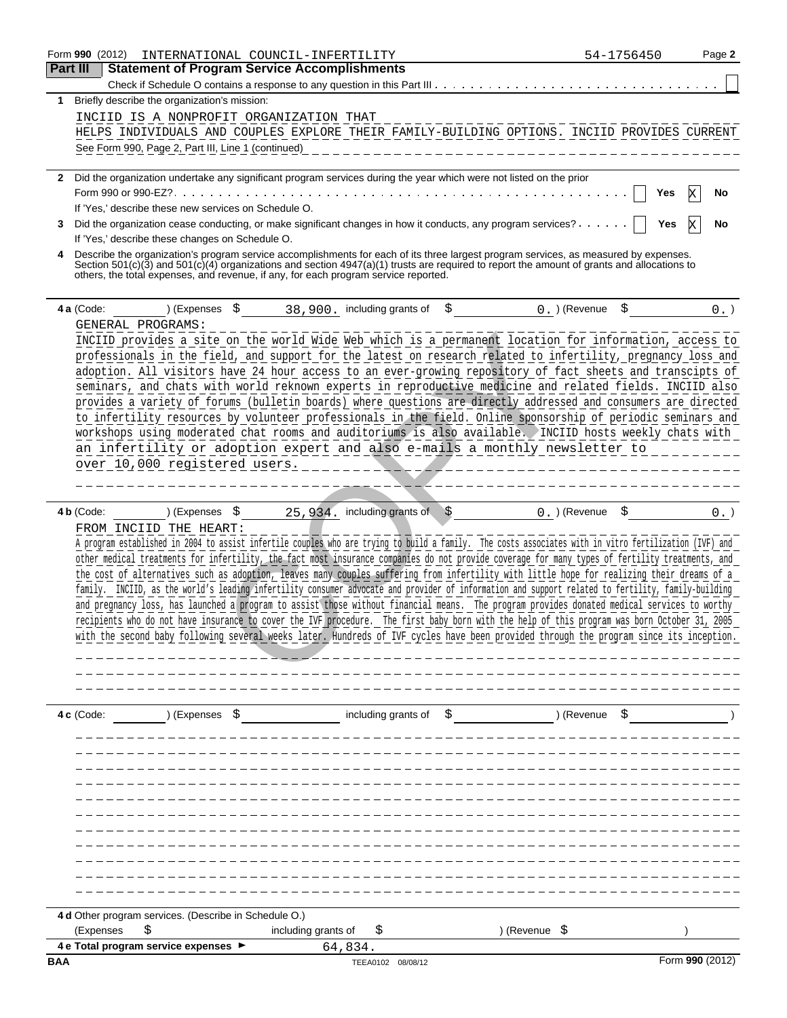| <b>Part III</b> | Form 990 (2012)<br>INTERNATIONAL COUNCIL-INFERTILITY                                                                                         |                     |                             |                                                                                                                                                                                                                                                                                                                                                                                                                                                                                                                                                                                                    | 54-1756450 | Page 2 |
|-----------------|----------------------------------------------------------------------------------------------------------------------------------------------|---------------------|-----------------------------|----------------------------------------------------------------------------------------------------------------------------------------------------------------------------------------------------------------------------------------------------------------------------------------------------------------------------------------------------------------------------------------------------------------------------------------------------------------------------------------------------------------------------------------------------------------------------------------------------|------------|--------|
|                 | <b>Statement of Program Service Accomplishments</b>                                                                                          |                     |                             |                                                                                                                                                                                                                                                                                                                                                                                                                                                                                                                                                                                                    |            |        |
|                 |                                                                                                                                              |                     |                             |                                                                                                                                                                                                                                                                                                                                                                                                                                                                                                                                                                                                    |            |        |
|                 | Briefly describe the organization's mission:                                                                                                 |                     |                             |                                                                                                                                                                                                                                                                                                                                                                                                                                                                                                                                                                                                    |            |        |
|                 | INCIID IS A NONPROFIT ORGANIZATION THAT                                                                                                      |                     |                             |                                                                                                                                                                                                                                                                                                                                                                                                                                                                                                                                                                                                    |            |        |
|                 |                                                                                                                                              |                     |                             | HELPS INDIVIDUALS AND COUPLES EXPLORE THEIR FAMILY-BUILDING OPTIONS. INCIID PROVIDES CURRENT                                                                                                                                                                                                                                                                                                                                                                                                                                                                                                       |            |        |
|                 | See Form 990, Page 2, Part III, Line 1 (continued)                                                                                           |                     |                             |                                                                                                                                                                                                                                                                                                                                                                                                                                                                                                                                                                                                    |            |        |
|                 |                                                                                                                                              |                     |                             | 2 Did the organization undertake any significant program services during the year which were not listed on the prior                                                                                                                                                                                                                                                                                                                                                                                                                                                                               |            |        |
|                 |                                                                                                                                              |                     |                             |                                                                                                                                                                                                                                                                                                                                                                                                                                                                                                                                                                                                    | Yes        |        |
|                 | If 'Yes,' describe these new services on Schedule O.                                                                                         |                     |                             |                                                                                                                                                                                                                                                                                                                                                                                                                                                                                                                                                                                                    |            |        |
| 3               |                                                                                                                                              |                     |                             | Did the organization cease conducting, or make significant changes in how it conducts, any program services?                                                                                                                                                                                                                                                                                                                                                                                                                                                                                       | Yes        |        |
|                 | If 'Yes,' describe these changes on Schedule O.                                                                                              |                     |                             |                                                                                                                                                                                                                                                                                                                                                                                                                                                                                                                                                                                                    |            |        |
| 4               | others, the total expenses, and revenue, if any, for each program service reported.                                                          |                     |                             | Describe the organization's program service accomplishments for each of its three largest program services, as measured by expenses.<br>Section 501(c)(3) and 501(c)(4) organizations and section 4947(a)(1) trusts are required to report the amount of grants and allocations to                                                                                                                                                                                                                                                                                                                 |            |        |
| 4 a (Code:      | ) (Expenses                                                                                                                                  |                     | 38,900. including grants of | $0.$ ) (Revenue                                                                                                                                                                                                                                                                                                                                                                                                                                                                                                                                                                                    |            |        |
|                 | GENERAL PROGRAMS:                                                                                                                            |                     |                             |                                                                                                                                                                                                                                                                                                                                                                                                                                                                                                                                                                                                    |            |        |
|                 |                                                                                                                                              |                     |                             | INCIID provides a site on the world Wide Web which is a permanent location for information, access to                                                                                                                                                                                                                                                                                                                                                                                                                                                                                              |            |        |
|                 |                                                                                                                                              |                     |                             | professionals in the field, and support for the latest on research related to infertility, pregnancy loss and                                                                                                                                                                                                                                                                                                                                                                                                                                                                                      |            |        |
|                 |                                                                                                                                              |                     |                             | adoption. All visitors have 24 hour access to an ever-growing repository of fact sheets and transcipts of                                                                                                                                                                                                                                                                                                                                                                                                                                                                                          |            |        |
|                 |                                                                                                                                              |                     |                             | seminars, and chats with world reknown experts in reproductive medicine and related fields. INCIID also                                                                                                                                                                                                                                                                                                                                                                                                                                                                                            |            |        |
|                 |                                                                                                                                              |                     |                             | provides a variety of forums (bulletin boards) where questions are directly addressed and consumers are directed                                                                                                                                                                                                                                                                                                                                                                                                                                                                                   |            |        |
|                 |                                                                                                                                              |                     |                             | to infertility resources by volunteer professionals in the field. Online sponsorship of periodic seminars and                                                                                                                                                                                                                                                                                                                                                                                                                                                                                      |            |        |
|                 |                                                                                                                                              |                     |                             | workshops using moderated chat rooms and auditoriums is also available. INCIID hosts weekly chats with                                                                                                                                                                                                                                                                                                                                                                                                                                                                                             |            |        |
|                 |                                                                                                                                              |                     |                             | an infertility or adoption expert and also e-mails a monthly newsletter to                                                                                                                                                                                                                                                                                                                                                                                                                                                                                                                         |            |        |
|                 | over 10,000 registered users.                                                                                                                |                     |                             |                                                                                                                                                                                                                                                                                                                                                                                                                                                                                                                                                                                                    |            |        |
|                 |                                                                                                                                              |                     |                             | other medical treatments for infertility, the fact most insurance companies do not provide coverage for many types of fertility treatments, and<br>the cost of alternatives such as adoption, leaves many couples suffering from infertility with little hope for realizing their dreams of a<br>family. INCIID, as the world's leading infertility consumer advocate and provider of information and support related to fertility, family-building<br>and pregnancy loss, has launched a program to assist those without financial means. The program provides donated medical services to worthy |            |        |
|                 | recipients who do not have insurance to cover the IVF procedure. The first baby born with the help of this program was born October 31, 2005 |                     |                             | with the second baby following several weeks later. Hundreds of IVF cycles have been provided through the program since its inception.                                                                                                                                                                                                                                                                                                                                                                                                                                                             |            |        |
|                 |                                                                                                                                              |                     |                             |                                                                                                                                                                                                                                                                                                                                                                                                                                                                                                                                                                                                    |            |        |
| 4c (Code:       | ) (Expenses \$                                                                                                                               |                     | including grants of         | \$                                                                                                                                                                                                                                                                                                                                                                                                                                                                                                                                                                                                 | ) (Revenue |        |
|                 |                                                                                                                                              |                     |                             |                                                                                                                                                                                                                                                                                                                                                                                                                                                                                                                                                                                                    |            |        |
|                 |                                                                                                                                              |                     |                             |                                                                                                                                                                                                                                                                                                                                                                                                                                                                                                                                                                                                    |            |        |
|                 |                                                                                                                                              |                     |                             |                                                                                                                                                                                                                                                                                                                                                                                                                                                                                                                                                                                                    |            |        |
|                 |                                                                                                                                              |                     |                             |                                                                                                                                                                                                                                                                                                                                                                                                                                                                                                                                                                                                    |            |        |
|                 |                                                                                                                                              |                     |                             |                                                                                                                                                                                                                                                                                                                                                                                                                                                                                                                                                                                                    |            |        |
|                 |                                                                                                                                              |                     |                             |                                                                                                                                                                                                                                                                                                                                                                                                                                                                                                                                                                                                    |            |        |
|                 |                                                                                                                                              |                     |                             |                                                                                                                                                                                                                                                                                                                                                                                                                                                                                                                                                                                                    |            |        |
|                 |                                                                                                                                              |                     |                             |                                                                                                                                                                                                                                                                                                                                                                                                                                                                                                                                                                                                    |            |        |
|                 |                                                                                                                                              |                     |                             |                                                                                                                                                                                                                                                                                                                                                                                                                                                                                                                                                                                                    |            |        |
|                 | 4 d Other program services. (Describe in Schedule O.)<br>(Expenses                                                                           | including grants of | \$                          | ) (Revenue \$                                                                                                                                                                                                                                                                                                                                                                                                                                                                                                                                                                                      |            |        |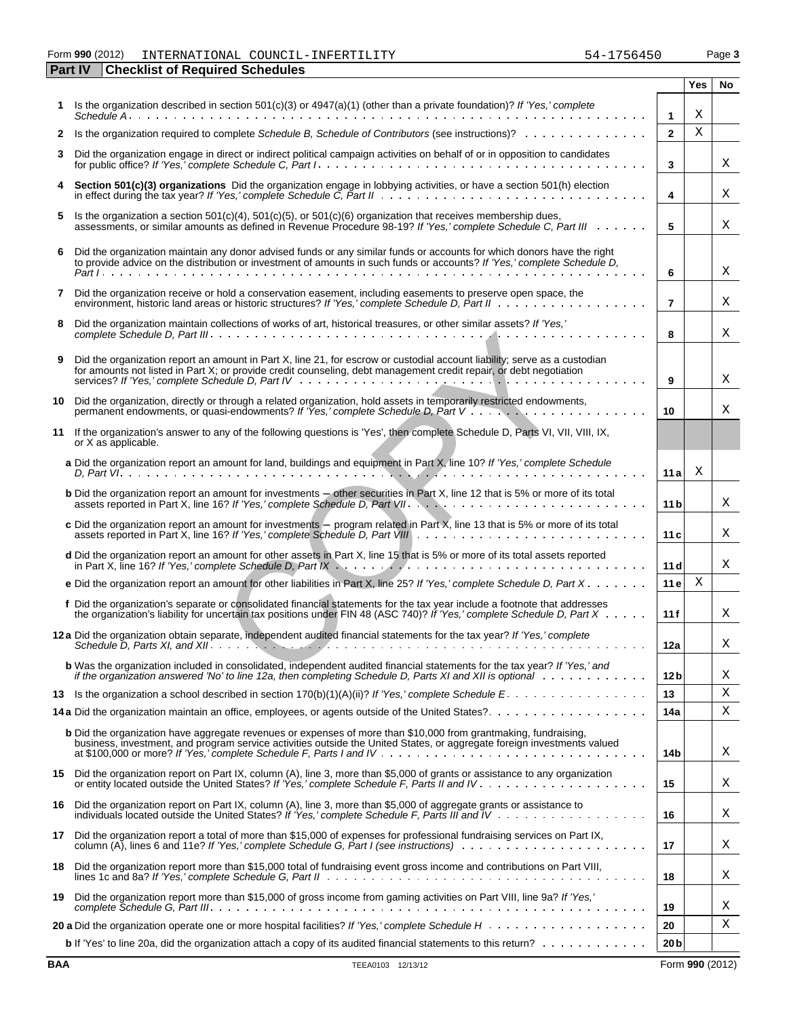### Form **990** (2012) Page **3** INTERNATIONAL COUNCIL-INFERTILITY 54-1756450

|    | <b>Part IV</b><br><b>Checklist of Required Schedules</b>                                                                                                                                                                                            |                         |     |    |
|----|-----------------------------------------------------------------------------------------------------------------------------------------------------------------------------------------------------------------------------------------------------|-------------------------|-----|----|
|    |                                                                                                                                                                                                                                                     |                         | Yes | No |
|    | Is the organization described in section 501(c)(3) or 4947(a)(1) (other than a private foundation)? If 'Yes,' complete                                                                                                                              | $\mathbf{1}$            | Χ   |    |
| 2  | Is the organization required to complete Schedule B, Schedule of Contributors (see instructions)?                                                                                                                                                   | $\overline{2}$          | X   |    |
| 3  | Did the organization engage in direct or indirect political campaign activities on behalf of or in opposition to candidates                                                                                                                         | 3                       |     | X  |
|    | Section 501(c)(3) organizations Did the organization engage in lobbying activities, or have a section 501(h) election                                                                                                                               | $\overline{\mathbf{4}}$ |     | Χ  |
| 5  | Is the organization a section 501(c)(4), 501(c)(5), or 501(c)(6) organization that receives membership dues,<br>assessments, or similar amounts as defined in Revenue Procedure 98-19? If 'Yes,' complete Schedule C, Part III                      | 5                       |     | Χ  |
| 6  | Did the organization maintain any donor advised funds or any similar funds or accounts for which donors have the right to provide advice on the distribution or investment of amounts in such funds or accounts? If 'Yes,' com                      | 6                       |     | Χ  |
| 7  | Did the organization receive or hold a conservation easement, including easements to preserve open space, the                                                                                                                                       | $\overline{7}$          |     | Χ  |
| 8  | Did the organization maintain collections of works of art, historical treasures, or other similar assets? If 'Yes,'                                                                                                                                 | 8                       |     | Χ  |
| 9  | Did the organization report an amount in Part X, line 21, for escrow or custodial account liability; serve as a custodian<br>for amounts not listed in Part X; or provide credit counseling, debt management credit repair, or debt negotiation     | 9                       |     | Χ  |
| 10 | Did the organization, directly or through a related organization, hold assets in temporarily restricted endowments,                                                                                                                                 | 10                      |     | X  |
| 11 | If the organization's answer to any of the following questions is 'Yes', then complete Schedule D, Parts VI, VII, VIII, IX,<br>or X as applicable.                                                                                                  |                         |     |    |
|    | a Did the organization report an amount for land, buildings and equipment in Part X, line 10? If 'Yes,' complete Schedule                                                                                                                           | 11 al                   | X   |    |
|    | <b>b</b> Did the organization report an amount for investments - other securities in Part X, line 12 that is 5% or more of its total                                                                                                                | 11 bl                   |     | X  |
|    | c Did the organization report an amount for investments $-$ program related in Part X, line 13 that is 5% or more of its total<br>assets reported in Part X, line 16? If 'Yes,' complete Schedule D, Part VIII                                      | 11c                     |     | X  |
|    | d Did the organization report an amount for other assets in Part X, line 15 that is 5% or more of its total assets reported                                                                                                                         | 11d                     |     | X  |
|    | e Did the organization report an amount for other liabilities in Part X, line 25? If 'Yes,' complete Schedule D, Part X                                                                                                                             | 11e                     | Χ   |    |
|    | f Did the organization's separate or consolidated financial statements for the tax year include a footnote that addresses<br>the organization's liability for uncertain tax positions under FIN 48 (ASC 740)? If 'Yes,' complete Schedule D, Part X | 11f                     |     | Χ  |
|    | 12a Did the organization obtain separate, independent audited financial statements for the tax year? If 'Yes,' complete<br>Schedule D, Parts XI, and XII.                                                                                           | 12a                     |     | Χ  |
|    | <b>b</b> Was the organization included in consolidated, independent audited financial statements for the tax year? If 'Yes,' and<br>if the organization answered 'No' to line 12a, then completing Schedule D, Parts XI and XII is optional         | 12 <sub>b</sub>         |     | Χ  |
| 13 |                                                                                                                                                                                                                                                     | 13                      |     | Χ  |
|    | 14a Did the organization maintain an office, employees, or agents outside of the United States?                                                                                                                                                     | 14a                     |     | Χ  |
|    | <b>b</b> Did the organization have aggregate revenues or expenses of more than \$10,000 from grantmaking, fundraising,<br>business, investment, and program service activities outside the United States, or aggregate foreign investments valued   | 14b                     |     | Χ  |
|    | 15 Did the organization report on Part IX, column (A), line 3, more than \$5,000 of grants or assistance to any organization                                                                                                                        | 15                      |     | Χ  |
| 16 | Did the organization report on Part IX, column (A), line 3, more than \$5,000 of aggregate grants or assistance to                                                                                                                                  | 16                      |     | Χ  |
|    | 17 Did the organization report a total of more than \$15,000 of expenses for professional fundraising services on Part IX,                                                                                                                          | 17                      |     | Χ  |
| 18 | Did the organization report more than \$15,000 total of fundraising event gross income and contributions on Part VIII,                                                                                                                              | 18                      |     | Χ  |
| 19 | Did the organization report more than \$15,000 of gross income from gaming activities on Part VIII, line 9a? If 'Yes,'                                                                                                                              | 19                      |     | Χ  |
|    |                                                                                                                                                                                                                                                     | 20                      |     | Χ  |
|    | <b>b</b> If 'Yes' to line 20a, did the organization attach a copy of its audited financial statements to this return? $\ldots \ldots \ldots$                                                                                                        | 20 <sub>b</sub>         |     |    |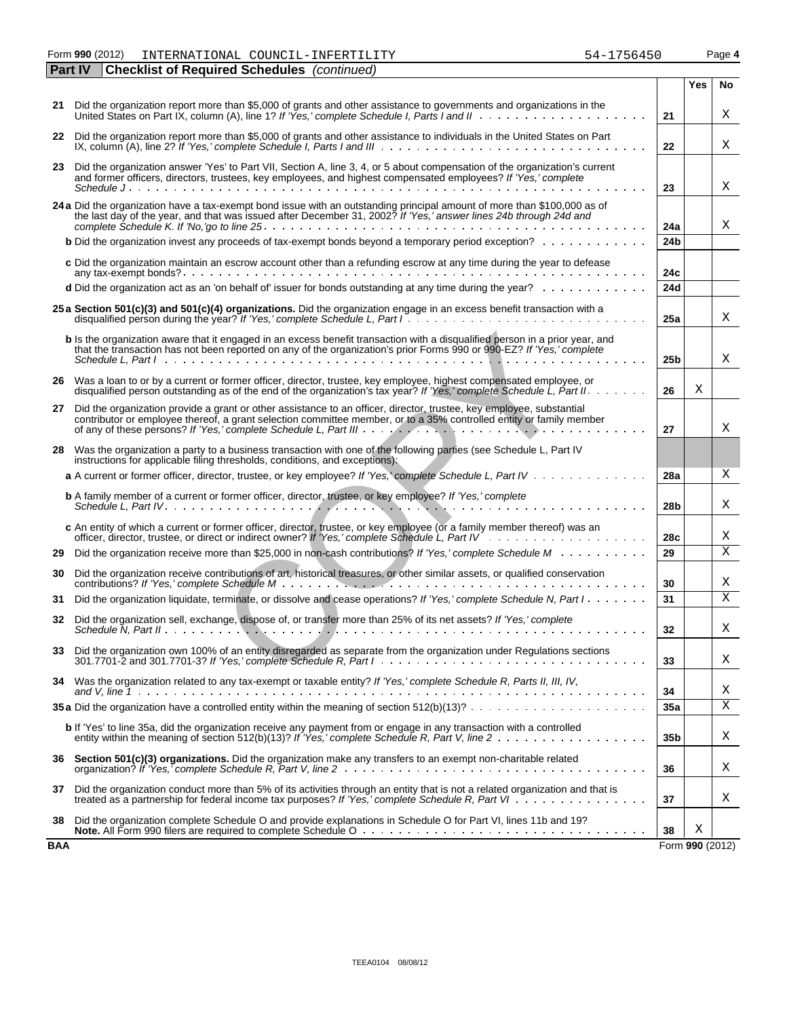Form **990** (2012) Page **4** INTERNATIONAL COUNCIL-INFERTILITY 54-1756450

|     | Part IV<br><b>Checklist of Required Schedules</b> (continued)                                                                                                                                                                                                                                                                                                                   |                 |                 |    |
|-----|---------------------------------------------------------------------------------------------------------------------------------------------------------------------------------------------------------------------------------------------------------------------------------------------------------------------------------------------------------------------------------|-----------------|-----------------|----|
|     |                                                                                                                                                                                                                                                                                                                                                                                 |                 | Yes             | No |
|     | 21 Did the organization report more than \$5,000 of grants and other assistance to governments and organizations in the<br>United States on Part IX, column (A), line 1? If 'Yes,' complete Schedule I, Parts I and II                                                                                                                                                          | 21              |                 | Χ  |
| 22  | Did the organization report more than \$5,000 of grants and other assistance to individuals in the United States on Part<br>IX, column (A), line 2? If 'Yes,' complete Schedule I, Parts I and III $\ldots \ldots \ldots \ldots \ldots \ldots \ldots \ldots \ldots$                                                                                                             | 22              |                 | Χ  |
| 23  | Did the organization answer 'Yes' to Part VII, Section A, line 3, 4, or 5 about compensation of the organization's current and former officers, directors, trustees, key employees, and highest compensated employees? If 'Yes                                                                                                                                                  |                 |                 |    |
|     |                                                                                                                                                                                                                                                                                                                                                                                 | 23              |                 | Χ  |
|     | 24 a Did the organization have a tax-exempt bond issue with an outstanding principal amount of more than \$100,000 as of<br>the last day of the year, and that was issued after December 31, 2002? If 'Yes,' answer lines 24b through 24d and                                                                                                                                   | 24a             |                 | Χ  |
|     | <b>b</b> Did the organization invest any proceeds of tax-exempt bonds beyond a temporary period exception?                                                                                                                                                                                                                                                                      | 24 <sub>b</sub> |                 |    |
|     | c Did the organization maintain an escrow account other than a refunding escrow at any time during the year to defease                                                                                                                                                                                                                                                          | 24c             |                 |    |
|     | d Did the organization act as an 'on behalf of' issuer for bonds outstanding at any time during the year?                                                                                                                                                                                                                                                                       | 24d             |                 |    |
|     | 25 a Section 501(c)(3) and 501(c)(4) organizations. Did the organization engage in an excess benefit transaction with a                                                                                                                                                                                                                                                         | 25a             |                 | Χ  |
|     | <b>b</b> Is the organization aware that it engaged in an excess benefit transaction with a disqualified person in a prior year, and<br>that the transaction has not been reported on any of the organization's prior Forms 990 or 990-EZ? If 'Yes,' complete<br>Schedule L. Part Industrial and account of the U.S. and a series are considered to the contract of the Schedule | 25b             |                 | X  |
|     | 26 Was a loan to or by a current or former officer, director, trustee, key employee, highest compensated employee, or<br>disqualified person outstanding as of the end of the organization's tax year? If 'Yes,' complete Schedule L, Part II.                                                                                                                                  | 26              | Χ               |    |
| 27  | Did the organization provide a grant or other assistance to an officer, director, trustee, key employee, substantial<br>contributor or employee thereof, a grant selection committee member, or to a 35% controlled entity or family member                                                                                                                                     | 27              |                 | X  |
| 28  | Was the organization a party to a business transaction with one of the following parties (see Schedule L, Part IV<br>instructions for applicable filing thresholds, conditions, and exceptions).                                                                                                                                                                                |                 |                 |    |
|     | a A current or former officer, director, trustee, or key employee? If 'Yes,' complete Schedule L, Part IV                                                                                                                                                                                                                                                                       | 28a             |                 | X  |
|     | <b>b</b> A family member of a current or former officer, director, trustee, or key employee? If 'Yes,' complete                                                                                                                                                                                                                                                                 | 28b             |                 | X  |
|     | c An entity of which a current or former officer, director, trustee, or key employee (or a family member thereof) was an                                                                                                                                                                                                                                                        | 28c             |                 | Χ  |
| 29  | Did the organization receive more than \$25,000 in non-cash contributions? If 'Yes,' complete Schedule M                                                                                                                                                                                                                                                                        | 29              |                 | X  |
| 30  | Did the organization receive contributions of art, historical treasures, or other similar assets, or qualified conservation                                                                                                                                                                                                                                                     | 30              |                 | Χ  |
| 31  | Did the organization liquidate, terminate, or dissolve and cease operations? If 'Yes,' complete Schedule N, Part I                                                                                                                                                                                                                                                              | 31              |                 | X  |
| 32  | Did the organization sell, exchange, dispose of, or transfer more than 25% of its net assets? If 'Yes,' complete                                                                                                                                                                                                                                                                | 32              |                 | X  |
|     | 33 Did the organization own 100% of an entity disregarded as separate from the organization under Regulations sections<br>301.7701-2 and 301.7701-3? If 'Yes,' complete Schedule R, Part $1 \ldots \ldots \ldots \ldots \ldots \ldots \ldots \ldots \ldots \ldots \ldots \ldots$                                                                                                | 33              |                 | Χ  |
|     | 34 Was the organization related to any tax-exempt or taxable entity? If 'Yes,' complete Schedule R, Parts II, III, IV,                                                                                                                                                                                                                                                          | 34              |                 | Χ  |
|     | <b>35 a</b> Did the organization have a controlled entity within the meaning of section $512(b)(13)? \ldots \ldots \ldots \ldots \ldots \ldots \ldots$                                                                                                                                                                                                                          | 35a             |                 | Χ  |
|     | b If 'Yes' to line 35a, did the organization receive any payment from or engage in any transaction with a controlled                                                                                                                                                                                                                                                            | 35 <sub>b</sub> |                 | Χ  |
|     | 36 Section 501(c)(3) organizations. Did the organization make any transfers to an exempt non-charitable related                                                                                                                                                                                                                                                                 | 36              |                 | Χ  |
| 37  | Did the organization conduct more than 5% of its activities through an entity that is not a related organization and that is<br>treated as a partnership for federal income tax purposes? If 'Yes,' complete Schedule R, Part VI                                                                                                                                                | 37              |                 | Χ  |
| 38  | Did the organization complete Schedule O and provide explanations in Schedule O for Part VI, lines 11b and 19?                                                                                                                                                                                                                                                                  | 38              | Χ               |    |
| BAA |                                                                                                                                                                                                                                                                                                                                                                                 |                 | Form 990 (2012) |    |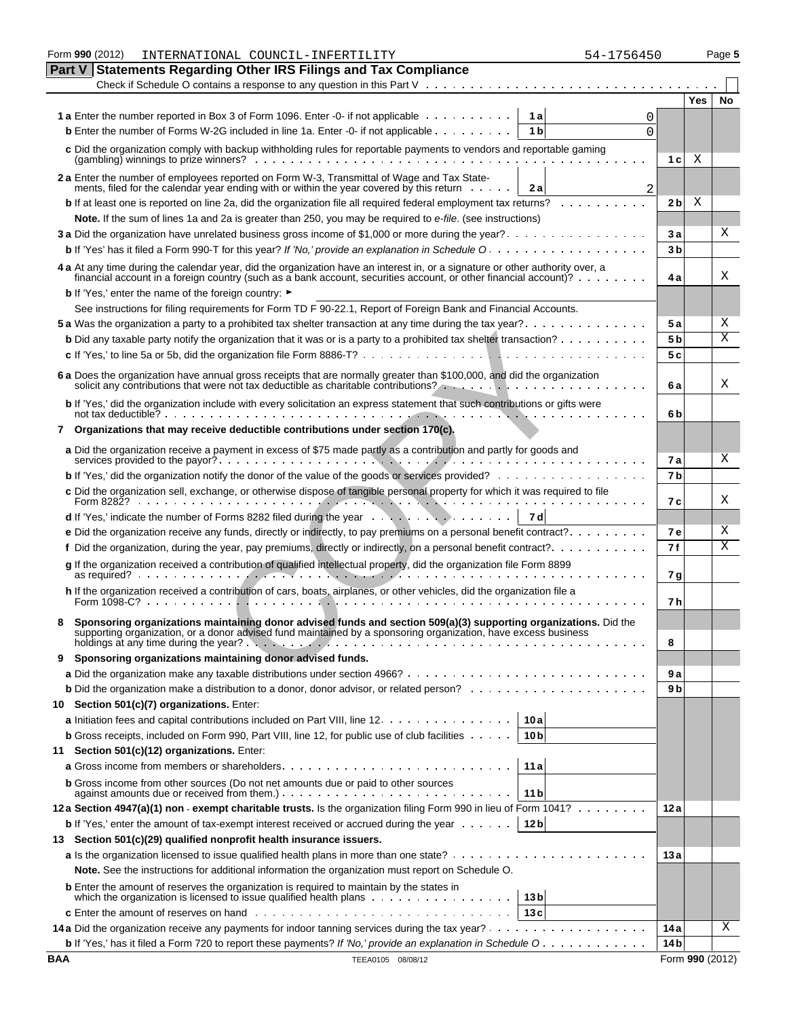|            | Form 990 (2012)<br>INTERNATIONAL COUNCIL-INFERTILITY                                                                                                                                                                                              | 54-1756450          |                 | Page 5 |
|------------|---------------------------------------------------------------------------------------------------------------------------------------------------------------------------------------------------------------------------------------------------|---------------------|-----------------|--------|
| Part V     | <b>Statements Regarding Other IRS Filings and Tax Compliance</b>                                                                                                                                                                                  |                     |                 |        |
|            | Check if Schedule O contains a response to any question in this Part $V \cdot \cdot \cdot \cdot \cdot \cdot \cdot \cdot \cdot \cdot \cdot \cdot \cdot \cdot \cdot \cdot$                                                                          |                     |                 |        |
|            |                                                                                                                                                                                                                                                   |                     | Yes             | No     |
|            | 1 a Enter the number reported in Box 3 of Form 1096. Enter -0- if not applicable<br>1a                                                                                                                                                            | 0                   |                 |        |
|            | <b>b</b> Enter the number of Forms W-2G included in line 1a. Enter -0- if not applicable<br>1 <sub>b</sub>                                                                                                                                        | $\Omega$            |                 |        |
|            | c Did the organization comply with backup withholding rules for reportable payments to vendors and reportable gaming<br>$(gambling)$ winnings to prize winners? $\ldots$ , $\ldots$ , $\ldots$ , $\ldots$ , $\ldots$ , $\ldots$                   | 1 <sub>c</sub>      | Χ               |        |
|            | 2 a Enter the number of employees reported on Form W-3, Transmittal of Wage and Tax State-<br>ments, filed for the calendar year ending with or within the year covered by this return<br>2a                                                      |                     |                 |        |
|            | <b>b</b> If at least one is reported on line 2a, did the organization file all required federal employment tax returns?                                                                                                                           | 2<br>2 <sub>b</sub> | Χ               |        |
|            | Note. If the sum of lines 1a and 2a is greater than 250, you may be required to e-file. (see instructions)                                                                                                                                        |                     |                 |        |
|            | 3 a Did the organization have unrelated business gross income of \$1,000 or more during the year?                                                                                                                                                 | 3a                  |                 | Χ      |
|            | <b>b</b> If 'Yes' has it filed a Form 990-T for this year? If 'No,' provide an explanation in Schedule O.                                                                                                                                         | 3 <sub>b</sub>      |                 |        |
|            | 4 a At any time during the calendar year, did the organization have an interest in, or a signature or other authority over, a<br>financial account in a foreign country (such as a bank account, securities account, or other financial account)? | 4 a                 |                 | Χ      |
|            | <b>b</b> If 'Yes,' enter the name of the foreign country: ►                                                                                                                                                                                       |                     |                 |        |
|            | See instructions for filing requirements for Form TD F 90-22.1, Report of Foreign Bank and Financial Accounts.                                                                                                                                    |                     |                 |        |
|            |                                                                                                                                                                                                                                                   | 5 a                 |                 | Χ      |
|            | <b>b</b> Did any taxable party notify the organization that it was or is a party to a prohibited tax shelter transaction?                                                                                                                         | 5 <sub>b</sub>      |                 | Χ      |
|            |                                                                                                                                                                                                                                                   | 5c                  |                 |        |
|            | 6 a Does the organization have annual gross receipts that are normally greater than \$100,000, and did the organization                                                                                                                           |                     |                 |        |
|            | solicit any contributions that were not tax deductible as charitable contributions?                                                                                                                                                               | 6а                  |                 | Χ      |
|            | b If 'Yes,' did the organization include with every solicitation an express statement that such contributions or gifts were<br>not tax deductible? $\cdots$ $\cdots$ $\cdots$ $\cdots$ $\cdots$ $\cdots$ $\cdots$ $\cdots$ $\cdots$ $\cdots$      | 6b                  |                 |        |
| 7          | Organizations that may receive deductible contributions under section 170(c).                                                                                                                                                                     |                     |                 |        |
|            | a Did the organization receive a payment in excess of \$75 made partly as a contribution and partly for goods and                                                                                                                                 | <b>7a</b>           |                 | X      |
|            |                                                                                                                                                                                                                                                   | 7 <sub>b</sub>      |                 |        |
|            | c Did the organization sell, exchange, or otherwise dispose of tangible personal property for which it was required to file                                                                                                                       | 7с                  |                 | Χ      |
|            | <b>d</b> If 'Yes,' indicate the number of Forms 8282 filed during the year $\dots$ , $\dots$ , $\dots$ , $\dots$<br>7 dl                                                                                                                          |                     |                 |        |
|            | e Did the organization receive any funds, directly or indirectly, to pay premiums on a personal benefit contract?                                                                                                                                 | <b>7e</b>           |                 | Χ      |
|            | f Did the organization, during the year, pay premiums, directly or indirectly, on a personal benefit contract?                                                                                                                                    | 7 f                 |                 | Χ      |
|            | g If the organization received a contribution of qualified intellectual property, did the organization file Form 8899                                                                                                                             | 7 g                 |                 |        |
|            | h If the organization received a contribution of cars, boats, airplanes, or other vehicles, did the organization file a<br>Form $1098-C$ ? $\ldots$ $\ldots$ $\ldots$ $\ldots$ $\ldots$ $\ldots$                                                  | 7 h                 |                 |        |
|            | Sponsoring organizations maintaining donor advised funds and section 509(a)(3) supporting organizations. Did the<br>supporting organization, or a donor advised fund maintained by a sponsoring organization, have excess business                | 8                   |                 |        |
| 9          | Sponsoring organizations maintaining donor advised funds.                                                                                                                                                                                         |                     |                 |        |
|            |                                                                                                                                                                                                                                                   | 9а                  |                 |        |
|            |                                                                                                                                                                                                                                                   | 9 b                 |                 |        |
|            | 10 Section 501(c)(7) organizations. Enter:                                                                                                                                                                                                        |                     |                 |        |
|            | a Initiation fees and capital contributions included on Part VIII, line 12.<br>10a                                                                                                                                                                |                     |                 |        |
|            | <b>b</b> Gross receipts, included on Form 990, Part VIII, line 12, for public use of club facilities<br>10 <sub>b</sub>                                                                                                                           |                     |                 |        |
| 11         | Section 501(c)(12) organizations. Enter:                                                                                                                                                                                                          |                     |                 |        |
|            | 11a                                                                                                                                                                                                                                               |                     |                 |        |
|            | <b>b</b> Gross income from other sources (Do not net amounts due or paid to other sources<br>11 <sub>b</sub>                                                                                                                                      |                     |                 |        |
|            | 12a Section 4947(a)(1) non - exempt charitable trusts. Is the organization filing Form 990 in lieu of Form 1041?                                                                                                                                  | 12 a                |                 |        |
|            | 12 <sub>b</sub><br><b>b</b> If 'Yes,' enter the amount of tax-exempt interest received or accrued during the year $\dots$                                                                                                                         |                     |                 |        |
|            | 13 Section 501(c)(29) qualified nonprofit health insurance issuers.                                                                                                                                                                               |                     |                 |        |
|            |                                                                                                                                                                                                                                                   | 13 a                |                 |        |
|            | Note. See the instructions for additional information the organization must report on Schedule O.                                                                                                                                                 |                     |                 |        |
|            | <b>b</b> Enter the amount of reserves the organization is required to maintain by the states in<br>13 <sub>b</sub>                                                                                                                                |                     |                 |        |
|            | 13c                                                                                                                                                                                                                                               |                     |                 |        |
|            |                                                                                                                                                                                                                                                   | 14 a                |                 | X      |
|            | <b>b</b> If 'Yes,' has it filed a Form 720 to report these payments? If 'No,' provide an explanation in Schedule O.                                                                                                                               | 14 <sub>b</sub>     |                 |        |
| <b>BAA</b> | TEEA0105 08/08/12                                                                                                                                                                                                                                 |                     | Form 990 (2012) |        |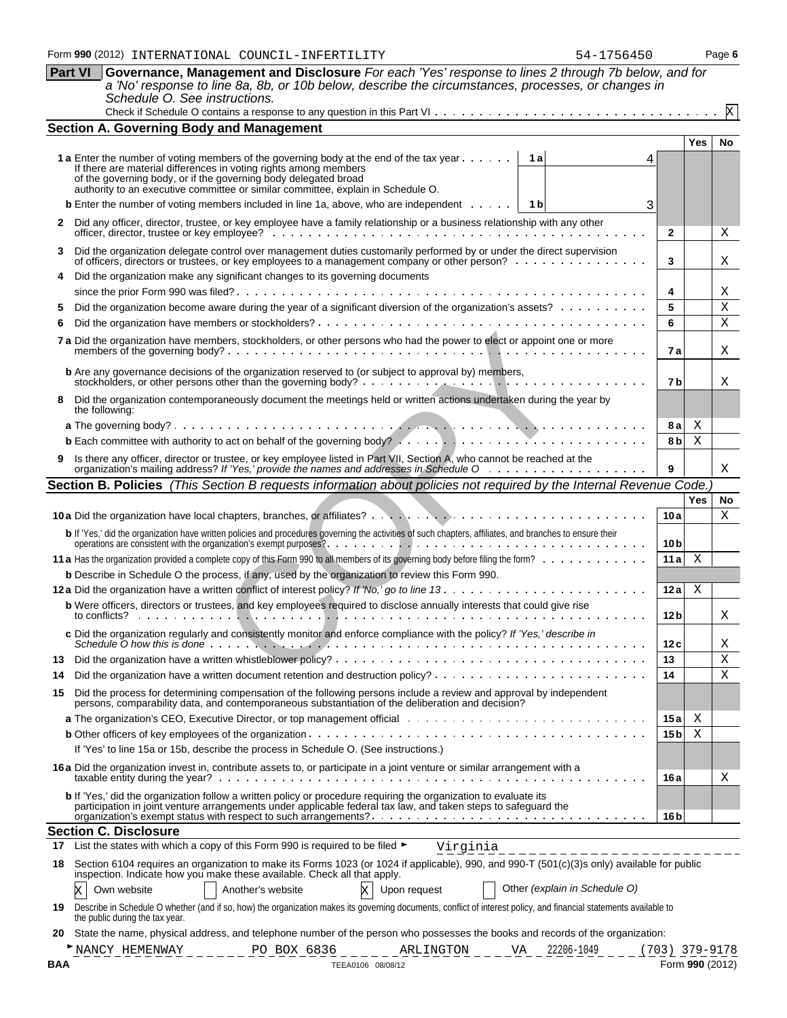|     | a 'No' response to line 8a, 8b, or 10b below, describe the circumstances, processes, or changes in<br>Schedule O. See instructions.                                                                                                                                                                                        |                  |            |                 |
|-----|----------------------------------------------------------------------------------------------------------------------------------------------------------------------------------------------------------------------------------------------------------------------------------------------------------------------------|------------------|------------|-----------------|
|     |                                                                                                                                                                                                                                                                                                                            |                  |            |                 |
|     | <b>Section A. Governing Body and Management</b>                                                                                                                                                                                                                                                                            |                  |            |                 |
|     |                                                                                                                                                                                                                                                                                                                            |                  | <b>Yes</b> | No              |
|     | 1 a Enter the number of voting members of the governing body at the end of the tax year<br>1 al<br>If there are material differences in voting rights among members<br>of the governing body, or if the governing body delegated broad<br>authority to an executive committee or similar committee, explain in Schedule O. |                  |            |                 |
|     | <b>b</b> Enter the number of voting members included in line 1a, above, who are independent $\cdots$<br>1 b<br>3                                                                                                                                                                                                           |                  |            |                 |
| 2   | Did any officer, director, trustee, or key employee have a family relationship or a business relationship with any other                                                                                                                                                                                                   |                  |            |                 |
|     |                                                                                                                                                                                                                                                                                                                            | $\mathbf{2}$     |            | х               |
| 3   | Did the organization delegate control over management duties customarily performed by or under the direct supervision<br>of officers, directors or trustees, or key employees to a management company or other person?                                                                                                     | 3                |            | Χ               |
|     | Did the organization make any significant changes to its governing documents                                                                                                                                                                                                                                               |                  |            |                 |
|     |                                                                                                                                                                                                                                                                                                                            | 4                |            | Χ               |
|     | Did the organization become aware during the year of a significant diversion of the organization's assets?                                                                                                                                                                                                                 | 5                |            | Χ               |
|     |                                                                                                                                                                                                                                                                                                                            | 6                |            | X               |
|     | 7 a Did the organization have members, stockholders, or other persons who had the power to elect or appoint one or more                                                                                                                                                                                                    | 7 a              |            | Χ               |
|     | <b>b</b> Are any governance decisions of the organization reserved to (or subject to approval by) members,<br>stockholders, or other persons other than the governing body? $\ldots$ , $\ldots$ , $\ldots$ , $\ldots$ , $\ldots$ , $\ldots$                                                                                | 7b               |            | Χ               |
|     | Did the organization contemporaneously document the meetings held or written actions undertaken during the year by<br>the following:                                                                                                                                                                                       |                  |            |                 |
|     |                                                                                                                                                                                                                                                                                                                            | 8а               | Χ          |                 |
|     |                                                                                                                                                                                                                                                                                                                            | 8 b              | Χ          |                 |
| 9.  | Is there any officer, director or trustee, or key employee listed in Part VII, Section A, who cannot be reached at the organization's mailing address? If 'Yes,' provide the names and addresses in Schedule O                                                                                                             | 9                |            | X               |
|     | Section B. Policies (This Section B requests information about policies not required by the Internal Revenue Code.                                                                                                                                                                                                         |                  |            |                 |
|     |                                                                                                                                                                                                                                                                                                                            | 10a              | Yes        | <b>No</b><br>X  |
|     |                                                                                                                                                                                                                                                                                                                            |                  |            |                 |
|     | b If 'Yes,' did the organization have written policies and procedures governing the activities of such chapters, affiliates, and branches to ensure their                                                                                                                                                                  | 10 <sub>b</sub>  |            |                 |
|     |                                                                                                                                                                                                                                                                                                                            | 11a              | Χ          |                 |
|     | <b>b</b> Describe in Schedule O the process, if any, used by the organization to review this Form 990.                                                                                                                                                                                                                     |                  |            |                 |
|     |                                                                                                                                                                                                                                                                                                                            | 12a              | Χ          |                 |
|     | b Were officers, directors or trustees, and key employees required to disclose annually interests that could give rise<br>to conflicts? $\cdots$ $\cdots$ $\cdots$                                                                                                                                                         | 12 <sub>b</sub>  |            | Χ               |
|     | c Did the organization regularly and consistently monitor and enforce compliance with the policy? If 'Yes,' describe in                                                                                                                                                                                                    | 12 c             |            | Χ               |
|     |                                                                                                                                                                                                                                                                                                                            | 13               |            | Χ               |
| 14  |                                                                                                                                                                                                                                                                                                                            | 14               |            | X               |
| 15  | Did the process for determining compensation of the following persons include a review and approval by independent<br>persons, comparability data, and contemporaneous substantiation of the deliberation and decision?                                                                                                    |                  |            |                 |
|     |                                                                                                                                                                                                                                                                                                                            | 15 a             | Χ          |                 |
|     |                                                                                                                                                                                                                                                                                                                            | 15 b             | X          |                 |
|     | If 'Yes' to line 15a or 15b, describe the process in Schedule O. (See instructions.)<br>16 a Did the organization invest in, contribute assets to, or participate in a joint venture or similar arrangement with a                                                                                                         |                  |            |                 |
|     | b If 'Yes,' did the organization follow a written policy or procedure requiring the organization to evaluate its                                                                                                                                                                                                           | 16 a             |            | Χ               |
|     | participation in joint venture arrangements under applicable federal tax law, and taken steps to safeguard the                                                                                                                                                                                                             | 16 <sub>b</sub>  |            |                 |
|     | <b>Section C. Disclosure</b>                                                                                                                                                                                                                                                                                               |                  |            |                 |
| 17  | List the states with which a copy of this Form 990 is required to be filed $\blacktriangleright$<br>Virginia                                                                                                                                                                                                               |                  |            |                 |
| 18  | Section 6104 requires an organization to make its Forms 1023 (or 1024 if applicable), 990, and 990-T (501(c)(3)s only) available for public<br>inspection. Indicate how you make these available. Check all that apply.                                                                                                    |                  |            |                 |
|     | Other (explain in Schedule O)<br>Another's website<br>Upon request<br>Own website<br>X<br>Χ                                                                                                                                                                                                                                |                  |            |                 |
| 19  | Describe in Schedule O whether (and if so, how) the organization makes its governing documents, conflict of interest policy, and financial statements available to<br>the public during the tax year.                                                                                                                      |                  |            |                 |
| 20  | State the name, physical address, and telephone number of the person who possesses the books and records of the organization:                                                                                                                                                                                              |                  |            |                 |
|     | 22206-1049<br>NANCY HEMENWAY<br>PO BOX 6836<br>ARLINGTON<br>VA                                                                                                                                                                                                                                                             | $(703)$ 379-9178 |            |                 |
| BAA | TEEA0106 08/08/12                                                                                                                                                                                                                                                                                                          |                  |            | Form 990 (2012) |

| Part VI Governance, Management and Disclosure For each 'Yes' response to lines 2 through 7b below, and for |
|------------------------------------------------------------------------------------------------------------|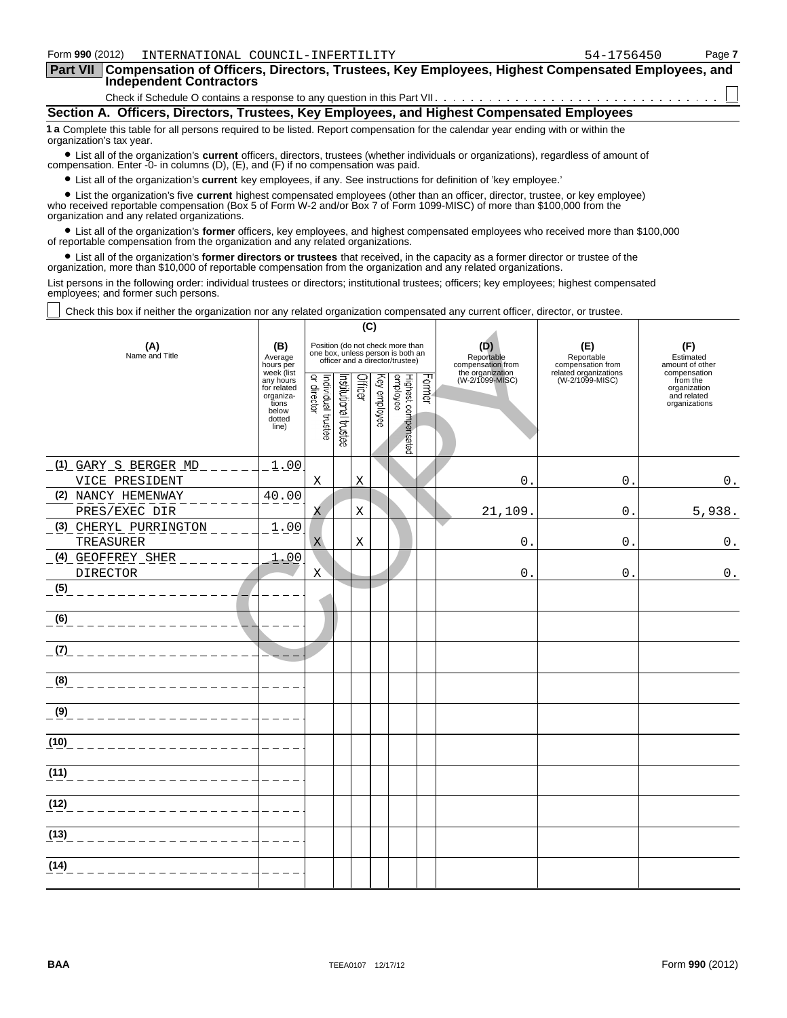| Form 990 (2012)<br>INTERNATIONAL COUNCIL-INFERTILITY                                                                                                                                                                                                                                                              |  |     |  | 54-1756450 | Page 7 |  |  |  |  |
|-------------------------------------------------------------------------------------------------------------------------------------------------------------------------------------------------------------------------------------------------------------------------------------------------------------------|--|-----|--|------------|--------|--|--|--|--|
| Compensation of Officers, Directors, Trustees, Key Employees, Highest Compensated Employees, and<br><b>Part VII</b><br><b>Independent Contractors</b>                                                                                                                                                             |  |     |  |            |        |  |  |  |  |
|                                                                                                                                                                                                                                                                                                                   |  |     |  |            |        |  |  |  |  |
| Section A. Officers, Directors, Trustees, Key Employees, and Highest Compensated Employees                                                                                                                                                                                                                        |  |     |  |            |        |  |  |  |  |
| 1 a Complete this table for all persons required to be listed. Report compensation for the calendar year ending with or within the<br>organization's tax year.                                                                                                                                                    |  |     |  |            |        |  |  |  |  |
| • List all of the organization's current officers, directors, trustees (whether individuals or organizations), regardless of amount of compensation. Enter -0- in columns (D), (E), and (F) if no compensation was paid.                                                                                          |  |     |  |            |        |  |  |  |  |
| • List all of the organization's <b>current</b> key employees, if any. See instructions for definition of 'key employee.'                                                                                                                                                                                         |  |     |  |            |        |  |  |  |  |
| • List the organization's five <b>current</b> highest compensated employees (other than an officer, director, trustee, or key employee)<br>who received reportable compensation (Box 5 of Form W-2 and/or Box 7 of Form 1099-MISC) of more than \$100,000 from the<br>organization and any related organizations. |  |     |  |            |        |  |  |  |  |
| • List all of the organization's <b>former</b> officers, key employees, and highest compensated employees who received more than \$100,000<br>of reportable compensation from the organization and any related organizations.                                                                                     |  |     |  |            |        |  |  |  |  |
| • List all of the organization's former directors or trustees that received, in the capacity as a former director or trustee of the<br>organization, more than \$10,000 of reportable compensation from the organization and any related organizations.                                                           |  |     |  |            |        |  |  |  |  |
| List persons in the following order: individual trustees or directors; institutional trustees; officers; key employees; highest compensated<br>employees; and former such persons.                                                                                                                                |  |     |  |            |        |  |  |  |  |
| Check this box if neither the organization nor any related organization compensated any current officer, director, or trustee.                                                                                                                                                                                    |  |     |  |            |        |  |  |  |  |
|                                                                                                                                                                                                                                                                                                                   |  | (C) |  |            |        |  |  |  |  |
| Position (do not check more than<br>(E)<br>(F)<br>(B)<br>(A)<br>(D)<br>one box, unless person is both an<br>Name and Title<br>Reportable<br>Reportable<br>Average<br>Estimated<br>officer and a director/trustee)<br>compensation from<br>compensation from<br>amount of other<br>hours per                       |  |     |  |            |        |  |  |  |  |

| (A)<br>Name and Title                      | (B)<br>Average<br>hours per<br>week (list                                  |                                    |                      |         |                 | Position (do not check more than<br>one box, unless person is both an<br>officer and a director/trustee) |        | (D)<br>Reportable<br>compensation from<br>the organization | (E)<br>Reportable<br>compensation from<br>related organizations | (F)<br>Estimated<br>amount of other<br>compensation      |
|--------------------------------------------|----------------------------------------------------------------------------|------------------------------------|----------------------|---------|-----------------|----------------------------------------------------------------------------------------------------------|--------|------------------------------------------------------------|-----------------------------------------------------------------|----------------------------------------------------------|
|                                            | any hours<br>for related<br>organiza-<br>tions<br>below<br>dotted<br>line) | Individual trustee<br> or director | nstitutional trustee | Officer | ΚΘλ<br>employee | Highest compensated<br>employee                                                                          | Former | (W-2/1099-MISC)                                            | (W-2/1099-MISC)                                                 | from the<br>organization<br>and related<br>organizations |
| (1) GARY S BERGER MD                       | 1.00                                                                       |                                    |                      |         |                 |                                                                                                          |        |                                                            |                                                                 |                                                          |
| VICE PRESIDENT                             |                                                                            | Χ                                  |                      | X       |                 |                                                                                                          |        | $\mathbf 0$                                                | $\mathbf{0}$ .                                                  | $0$ .                                                    |
| (2) NANCY HEMENWAY                         | 40.00                                                                      |                                    |                      |         |                 |                                                                                                          |        |                                                            |                                                                 |                                                          |
| PRES/EXEC DIR                              |                                                                            | Χ                                  |                      | Χ       |                 |                                                                                                          |        | 21,109.                                                    | $\mathbf{0}$ .                                                  | 5,938.                                                   |
| (3) CHERYL PURRINGTON<br>TREASURER         | 1.00                                                                       | $\mathbf X$                        |                      | X       |                 |                                                                                                          |        | $\mathbf{0}$                                               | $\mathbf{0}$ .                                                  | $\boldsymbol{0}$ .                                       |
|                                            | 1.00                                                                       |                                    |                      |         |                 |                                                                                                          |        |                                                            |                                                                 |                                                          |
| <b>DIRECTOR</b>                            |                                                                            | X                                  |                      |         |                 |                                                                                                          |        | $\mathsf{O}$                                               | $0$ .                                                           | $\mathsf 0$ .                                            |
| (5)<br>_______________ <mark>_</mark>      |                                                                            |                                    |                      |         |                 |                                                                                                          |        |                                                            |                                                                 |                                                          |
| (6)<br>________________                    |                                                                            |                                    |                      |         |                 |                                                                                                          |        |                                                            |                                                                 |                                                          |
| _ (7)_ _ _ _ _ _ _ _ _ _ _ _ _ _ _ _ _ _ _ |                                                                            |                                    |                      |         |                 |                                                                                                          |        |                                                            |                                                                 |                                                          |
| (8)<br>___________________                 |                                                                            |                                    |                      |         |                 |                                                                                                          |        |                                                            |                                                                 |                                                          |
| (9)<br>______________________              |                                                                            |                                    |                      |         |                 |                                                                                                          |        |                                                            |                                                                 |                                                          |
| (10)                                       |                                                                            |                                    |                      |         |                 |                                                                                                          |        |                                                            |                                                                 |                                                          |
| (11)<br>___________________                |                                                                            |                                    |                      |         |                 |                                                                                                          |        |                                                            |                                                                 |                                                          |
| (12)<br>--------------------               | $\frac{1}{2}$                                                              |                                    |                      |         |                 |                                                                                                          |        |                                                            |                                                                 |                                                          |
|                                            |                                                                            |                                    |                      |         |                 |                                                                                                          |        |                                                            |                                                                 |                                                          |
| (14)<br>__________________                 | $\frac{1}{2}$                                                              |                                    |                      |         |                 |                                                                                                          |        |                                                            |                                                                 |                                                          |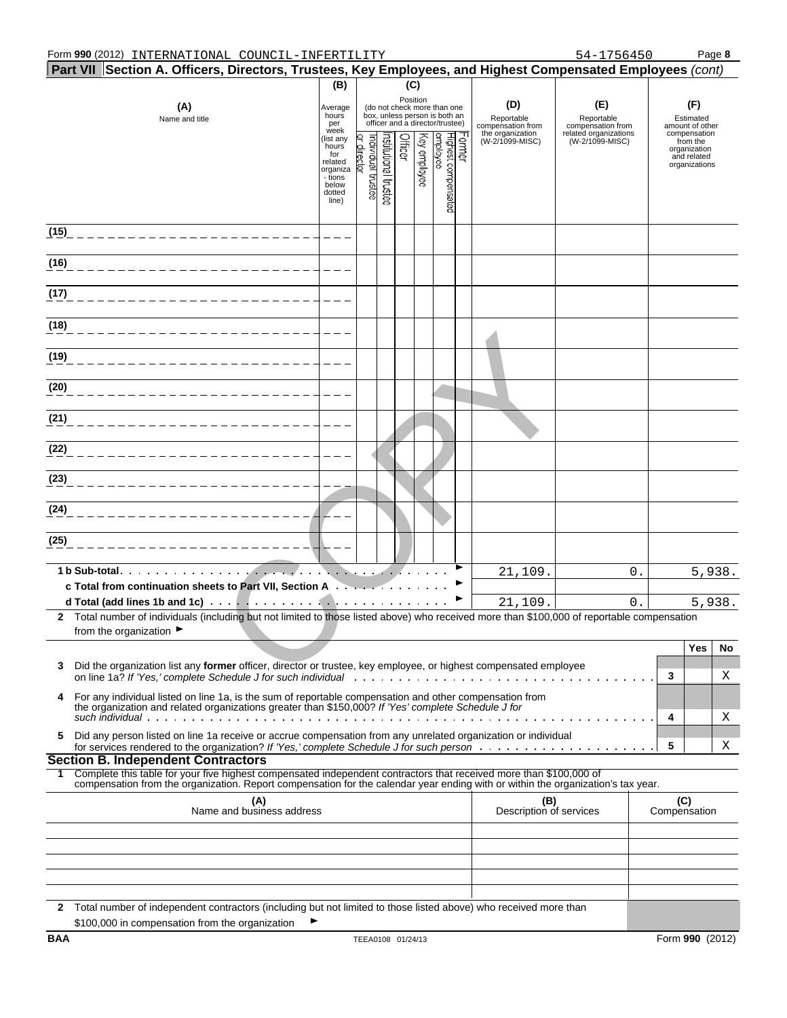|              | $\mid$ Part VII $\mid$ Section A. Officers, Directors, Trustees, Key Employees, and Highest Compensated Employees (cont)                                                                                       |                                                                                         |                                  |                      |          |                             |                                                                                                 |        |                                        |                                          |                     |                                                                          |         |
|--------------|----------------------------------------------------------------------------------------------------------------------------------------------------------------------------------------------------------------|-----------------------------------------------------------------------------------------|----------------------------------|----------------------|----------|-----------------------------|-------------------------------------------------------------------------------------------------|--------|----------------------------------------|------------------------------------------|---------------------|--------------------------------------------------------------------------|---------|
|              |                                                                                                                                                                                                                | (B)                                                                                     |                                  |                      | (C)      |                             |                                                                                                 |        |                                        |                                          |                     |                                                                          |         |
|              | (A)<br>Name and title                                                                                                                                                                                          | Average<br>hours<br>per<br>week                                                         |                                  |                      | Position |                             | (do not check more than one<br>box, unless person is both an<br>officer and a director/trustee) |        | (D)<br>Reportable<br>compensation from | (E)<br>Reportable<br>compensation from   |                     | (F)<br>Estimated<br>amount of other                                      |         |
|              |                                                                                                                                                                                                                | (list any<br>hours<br>for<br>related<br>organiza<br>- tions<br>below<br>dotted<br>line) | or director<br>ndividual trustee | nstitutional trustee | Officer  | Key employee                | Highest compensated<br>employee                                                                 | Former | the organization<br>(W-2/1099-MISC)    | related organizations<br>(W-2/1099-MISC) |                     | compensation<br>from the<br>organization<br>and related<br>organizations |         |
| (15)         |                                                                                                                                                                                                                |                                                                                         |                                  |                      |          |                             |                                                                                                 |        |                                        |                                          |                     |                                                                          |         |
| (16)         |                                                                                                                                                                                                                |                                                                                         |                                  |                      |          |                             |                                                                                                 |        |                                        |                                          |                     |                                                                          |         |
| (17)         |                                                                                                                                                                                                                |                                                                                         |                                  |                      |          |                             |                                                                                                 |        |                                        |                                          |                     |                                                                          |         |
| (18)         |                                                                                                                                                                                                                |                                                                                         |                                  |                      |          |                             |                                                                                                 |        |                                        |                                          |                     |                                                                          |         |
| (19)         |                                                                                                                                                                                                                |                                                                                         |                                  |                      |          |                             |                                                                                                 |        |                                        |                                          |                     |                                                                          |         |
| (20)         |                                                                                                                                                                                                                |                                                                                         |                                  |                      |          |                             |                                                                                                 |        |                                        |                                          |                     |                                                                          |         |
| (21)         |                                                                                                                                                                                                                |                                                                                         |                                  |                      |          |                             |                                                                                                 |        |                                        |                                          |                     |                                                                          |         |
| (22)         |                                                                                                                                                                                                                |                                                                                         |                                  |                      |          |                             |                                                                                                 |        |                                        |                                          |                     |                                                                          |         |
| (23)         |                                                                                                                                                                                                                |                                                                                         |                                  |                      |          |                             |                                                                                                 |        |                                        |                                          |                     |                                                                          |         |
| (24)         |                                                                                                                                                                                                                |                                                                                         |                                  |                      |          |                             |                                                                                                 |        |                                        |                                          |                     |                                                                          |         |
| (25)         |                                                                                                                                                                                                                |                                                                                         |                                  |                      |          |                             |                                                                                                 |        |                                        |                                          |                     |                                                                          |         |
|              |                                                                                                                                                                                                                |                                                                                         |                                  |                      |          | $\sqrt{2}$ , and $\sqrt{2}$ |                                                                                                 |        | 21,109.                                | 0.                                       |                     |                                                                          | 5,938.  |
|              | c Total from continuation sheets to Part VII, Section A.                                                                                                                                                       |                                                                                         |                                  |                      |          |                             |                                                                                                 |        |                                        |                                          |                     |                                                                          |         |
|              | 2 Total number of individuals (including but not limited to those listed above) who received more than \$100,000 of reportable compensation                                                                    |                                                                                         |                                  |                      |          |                             |                                                                                                 |        | 21,109.                                | $0$ .                                    |                     |                                                                          | 5,938.  |
|              | from the organization $\blacktriangleright$                                                                                                                                                                    |                                                                                         |                                  |                      |          |                             |                                                                                                 |        |                                        |                                          |                     | Yes                                                                      |         |
| 3            | Did the organization list any former officer, director or trustee, key employee, or highest compensated employee                                                                                               |                                                                                         |                                  |                      |          |                             |                                                                                                 |        |                                        |                                          | 3                   |                                                                          | No<br>Χ |
| 4            | For any individual listed on line 1a, is the sum of reportable compensation and other compensation from<br>the organization and related organizations greater than \$150,000? If 'Yes' complete Schedule J for |                                                                                         |                                  |                      |          |                             |                                                                                                 |        |                                        |                                          |                     |                                                                          |         |
| 5            | Did any person listed on line 1a receive or accrue compensation from any unrelated organization or individual                                                                                                  |                                                                                         |                                  |                      |          |                             |                                                                                                 |        |                                        |                                          | 4<br>5              |                                                                          | Χ<br>Χ  |
|              | <b>Section B. Independent Contractors</b>                                                                                                                                                                      |                                                                                         |                                  |                      |          |                             |                                                                                                 |        |                                        |                                          |                     |                                                                          |         |
| 1.           | Complete this table for your five highest compensated independent contractors that received more than \$100,000 of                                                                                             |                                                                                         |                                  |                      |          |                             |                                                                                                 |        |                                        |                                          |                     |                                                                          |         |
|              | compensation from the organization. Report compensation for the calendar year ending with or within the organization's tax year.<br>(A)<br>Name and business address                                           |                                                                                         |                                  |                      |          |                             |                                                                                                 |        | (B)<br>Description of services         |                                          | (C)<br>Compensation |                                                                          |         |
|              |                                                                                                                                                                                                                |                                                                                         |                                  |                      |          |                             |                                                                                                 |        |                                        |                                          |                     |                                                                          |         |
|              |                                                                                                                                                                                                                |                                                                                         |                                  |                      |          |                             |                                                                                                 |        |                                        |                                          |                     |                                                                          |         |
|              |                                                                                                                                                                                                                |                                                                                         |                                  |                      |          |                             |                                                                                                 |        |                                        |                                          |                     |                                                                          |         |
| $\mathbf{2}$ | Total number of independent contractors (including but not limited to those listed above) who received more than<br>\$100,000 in compensation from the organization                                            |                                                                                         |                                  |                      |          |                             |                                                                                                 |        |                                        |                                          |                     |                                                                          |         |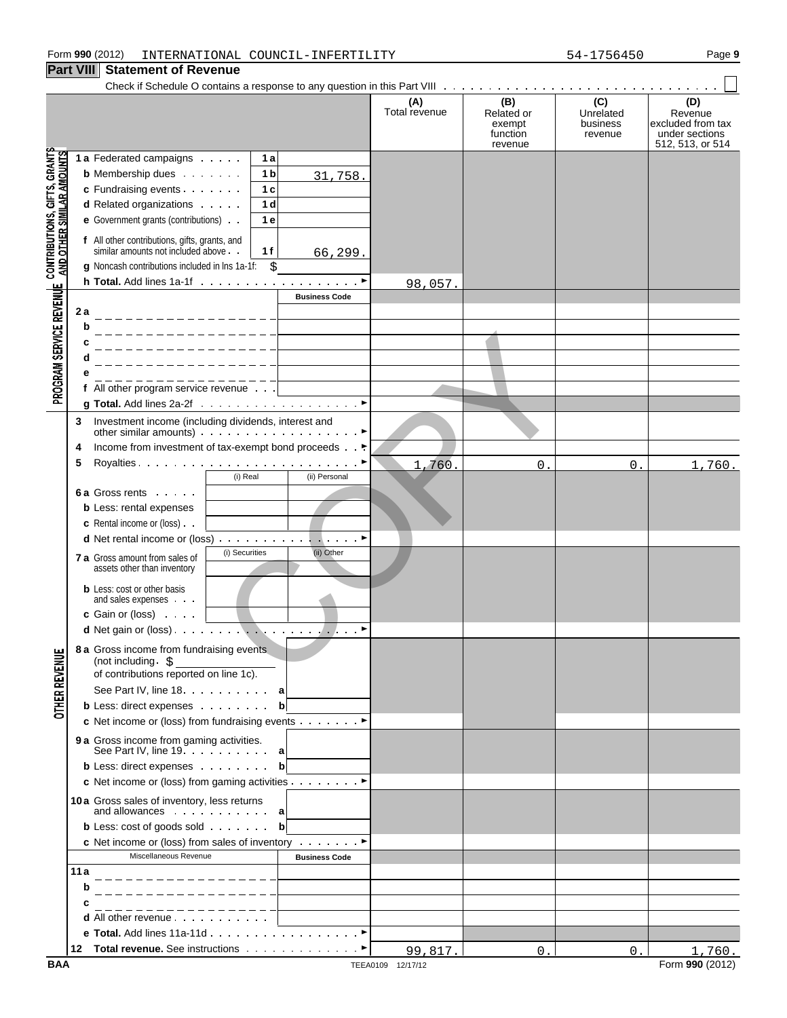|                                                                   | GIL VIII<br><b>ORIGINGLIC OF IVERGITUS</b>                                                                                                |                      |                      |                                                    |                                         |                                                                           |
|-------------------------------------------------------------------|-------------------------------------------------------------------------------------------------------------------------------------------|----------------------|----------------------|----------------------------------------------------|-----------------------------------------|---------------------------------------------------------------------------|
|                                                                   |                                                                                                                                           |                      | (A)<br>Total revenue | (B)<br>Related or<br>exempt<br>function<br>revenue | (C)<br>Unrelated<br>business<br>revenue | (D)<br>Revenue<br>excluded from tax<br>under sections<br>512, 513, or 514 |
|                                                                   | 1 a Federated campaigns<br>1a                                                                                                             |                      |                      |                                                    |                                         |                                                                           |
|                                                                   | <b>b</b> Membership dues<br>1 b                                                                                                           | 31,758.              |                      |                                                    |                                         |                                                                           |
|                                                                   | c Fundraising events<br>1 <sub>c</sub>                                                                                                    |                      |                      |                                                    |                                         |                                                                           |
|                                                                   | d Related organizations<br>1 <sub>d</sub>                                                                                                 |                      |                      |                                                    |                                         |                                                                           |
|                                                                   | e Government grants (contributions)<br>1e                                                                                                 |                      |                      |                                                    |                                         |                                                                           |
| <b>CONTRIBUTIONS, GIFTS, GRANTS<br/>AND OTHER SIMILAR AMOUNTS</b> | f All other contributions, gifts, grants, and<br>similar amounts not included above.<br>1 f                                               | 66, 299.             |                      |                                                    |                                         |                                                                           |
|                                                                   | g Noncash contributions included in lns 1a-1f:<br>\$                                                                                      |                      |                      |                                                    |                                         |                                                                           |
|                                                                   |                                                                                                                                           |                      | 98,057.              |                                                    |                                         |                                                                           |
| PROGRAM SERVICE REVENUE                                           |                                                                                                                                           | <b>Business Code</b> |                      |                                                    |                                         |                                                                           |
|                                                                   | 2 a                                                                                                                                       |                      |                      |                                                    |                                         |                                                                           |
|                                                                   | b                                                                                                                                         |                      |                      |                                                    |                                         |                                                                           |
|                                                                   |                                                                                                                                           |                      |                      |                                                    |                                         |                                                                           |
|                                                                   |                                                                                                                                           |                      |                      |                                                    |                                         |                                                                           |
|                                                                   |                                                                                                                                           |                      |                      |                                                    |                                         |                                                                           |
|                                                                   | <u> 2222222222222</u><br>f All other program service revenue                                                                              |                      |                      |                                                    |                                         |                                                                           |
|                                                                   |                                                                                                                                           |                      |                      |                                                    |                                         |                                                                           |
|                                                                   | Investment income (including dividends, interest and<br>3<br>other similar amounts) $\cdots$ $\cdots$ $\cdots$ $\cdots$ $\cdots$ $\cdots$ |                      |                      |                                                    |                                         |                                                                           |
|                                                                   | Income from investment of tax-exempt bond proceeds ►<br>4                                                                                 |                      |                      |                                                    |                                         |                                                                           |
|                                                                   | 5                                                                                                                                         |                      | 1,760.               | 0.                                                 | 0.                                      | 1,760.                                                                    |
|                                                                   | (i) Real                                                                                                                                  | (ii) Personal        |                      |                                                    |                                         |                                                                           |
|                                                                   | <b>6a Gross rents</b>                                                                                                                     |                      |                      |                                                    |                                         |                                                                           |
|                                                                   | <b>b</b> Less: rental expenses                                                                                                            |                      |                      |                                                    |                                         |                                                                           |
|                                                                   | <b>c</b> Rental income or (loss).                                                                                                         |                      |                      |                                                    |                                         |                                                                           |
|                                                                   | <b>d</b> Net rental income or (loss) $\ldots$ $\ldots$ $\ldots$ $\ldots$ $\ldots$ $\ldots$                                                |                      |                      |                                                    |                                         |                                                                           |
|                                                                   | (i) Securities<br><b>7 a</b> Gross amount from sales of<br>assets other than inventory                                                    |                      |                      |                                                    |                                         |                                                                           |
|                                                                   | <b>b</b> Less: cost or other basis<br>and sales expenses                                                                                  |                      |                      |                                                    |                                         |                                                                           |
|                                                                   | <b>c</b> Gain or (loss) $\cdot \cdot \cdot$                                                                                               |                      |                      |                                                    |                                         |                                                                           |
|                                                                   | <b>d</b> Net gain or (loss) $\cdots$ $\cdots$ $\cdots$ $\cdots$ $\cdots$ $\cdots$ $\cdots$                                                |                      |                      |                                                    |                                         |                                                                           |
| <b>OTHER REVENUE</b>                                              | 8 a Gross income from fundraising events<br>(not including $\frac{1}{2}$                                                                  |                      |                      |                                                    |                                         |                                                                           |
|                                                                   | of contributions reported on line 1c).                                                                                                    |                      |                      |                                                    |                                         |                                                                           |
|                                                                   | See Part IV, line 18. a                                                                                                                   |                      |                      |                                                    |                                         |                                                                           |
|                                                                   | <b>b</b> Less: direct expenses                                                                                                            | $\mathbf{b}$         |                      |                                                    |                                         |                                                                           |
|                                                                   | c Net income or (loss) from fundraising events ▶                                                                                          |                      |                      |                                                    |                                         |                                                                           |
|                                                                   | <b>9 a</b> Gross income from gaming activities.<br>See Part IV, line $19. \ldots 1. \ldots$ a                                             |                      |                      |                                                    |                                         |                                                                           |
|                                                                   | <b>b</b> Less: direct expenses                                                                                                            | $\mathbf b$          |                      |                                                    |                                         |                                                                           |
|                                                                   | c Net income or (loss) from gaming activities ▶                                                                                           |                      |                      |                                                    |                                         |                                                                           |
|                                                                   | 10a Gross sales of inventory, less returns<br>and allowances $\cdots$ $\cdots$ a                                                          |                      |                      |                                                    |                                         |                                                                           |
|                                                                   | <b>b</b> Less: cost of goods sold $\cdot \cdot \cdot \cdot$ <b>b</b>                                                                      |                      |                      |                                                    |                                         |                                                                           |
|                                                                   | c Net income or (loss) from sales of inventory ▶                                                                                          |                      |                      |                                                    |                                         |                                                                           |
|                                                                   | Miscellaneous Revenue                                                                                                                     | <b>Business Code</b> |                      |                                                    |                                         |                                                                           |
|                                                                   | 11a                                                                                                                                       |                      |                      |                                                    |                                         |                                                                           |
|                                                                   | b                                                                                                                                         |                      |                      |                                                    |                                         |                                                                           |
|                                                                   | с<br>------------                                                                                                                         |                      |                      |                                                    |                                         |                                                                           |
|                                                                   | <b>d</b> All other revenue                                                                                                                |                      |                      |                                                    |                                         |                                                                           |
|                                                                   | e Total. Add lines 11a-11d ▶                                                                                                              |                      |                      |                                                    |                                         |                                                                           |
|                                                                   |                                                                                                                                           |                      | 99,817.              | 0.                                                 | 0.                                      | 1,760.                                                                    |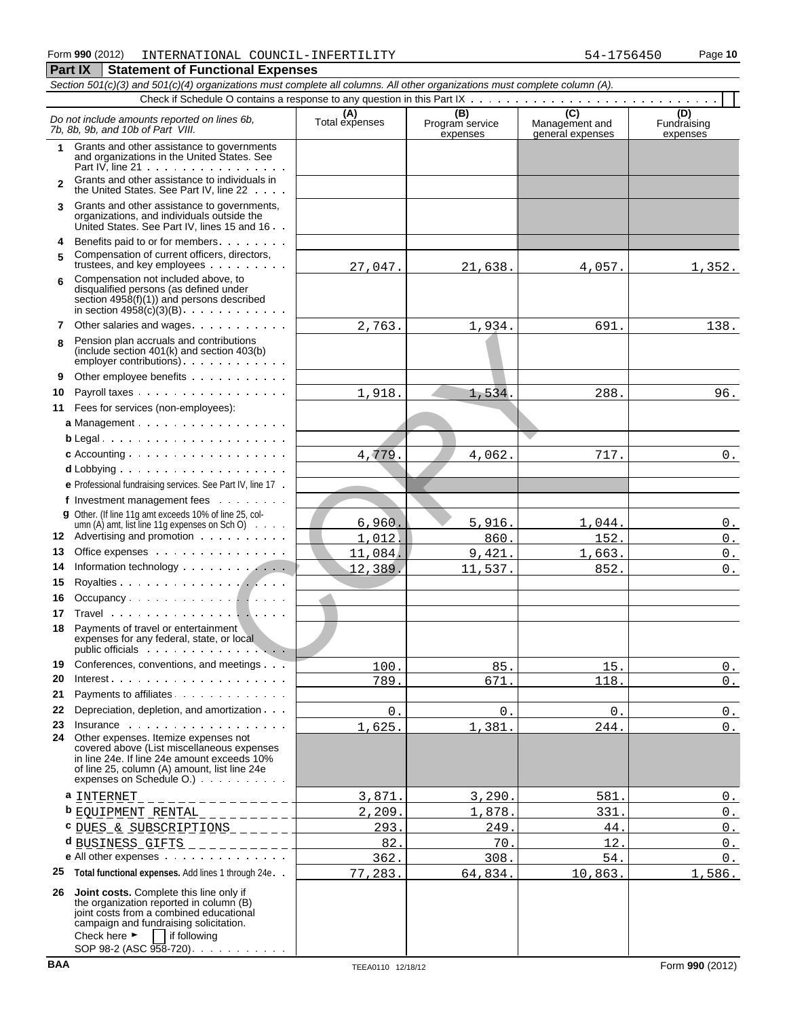|              | Section 501(c)(3) and 501(c)(4) organizations must complete all columns. All other organizations must complete column (A).                                                                                                  |                       |                             |                                    |                         |  |  |  |  |  |
|--------------|-----------------------------------------------------------------------------------------------------------------------------------------------------------------------------------------------------------------------------|-----------------------|-----------------------------|------------------------------------|-------------------------|--|--|--|--|--|
|              |                                                                                                                                                                                                                             |                       | (B)                         | $\overline{C}$                     | (D)                     |  |  |  |  |  |
|              | Do not include amounts reported on lines 6b,<br>7b, 8b, 9b, and 10b of Part VIII.                                                                                                                                           | (A)<br>Total expenses | Program service<br>expenses | Management and<br>general expenses | Fundraising<br>expenses |  |  |  |  |  |
| 1            | Grants and other assistance to governments<br>and organizations in the United States. See<br>Part IV, line $21 \cdot \cdot \cdot \cdot \cdot \cdot \cdot \cdot \cdot \cdot \cdot \cdot \cdot \cdot \cdot$                   |                       |                             |                                    |                         |  |  |  |  |  |
| $\mathbf{2}$ | Grants and other assistance to individuals in<br>the United States. See Part IV, line 22                                                                                                                                    |                       |                             |                                    |                         |  |  |  |  |  |
| 3            | Grants and other assistance to governments,<br>organizations, and individuals outside the<br>United States. See Part IV, lines 15 and 16                                                                                    |                       |                             |                                    |                         |  |  |  |  |  |
| 4            | Benefits paid to or for members                                                                                                                                                                                             |                       |                             |                                    |                         |  |  |  |  |  |
| 5            | Compensation of current officers, directors,                                                                                                                                                                                | 27,047.               | 21,638.                     | 4,057.                             | 1,352.                  |  |  |  |  |  |
| 6            | Compensation not included above, to<br>disqualified persons (as defined under<br>section $4958(f)(1)$ and persons described<br>in section $4958(c)(3)(B)$ .                                                                 |                       |                             |                                    |                         |  |  |  |  |  |
| 7            | Other salaries and wages                                                                                                                                                                                                    | 2,763.                | 1,934.                      | 691.                               | 138.                    |  |  |  |  |  |
| R            | Pension plan accruals and contributions<br>(include section 401(k) and section 403(b)<br>employer contributions) $\cdots$ $\cdots$                                                                                          |                       |                             |                                    |                         |  |  |  |  |  |
| 9            | Other employee benefits                                                                                                                                                                                                     |                       |                             |                                    |                         |  |  |  |  |  |
| 10           | Payroll taxes                                                                                                                                                                                                               | 1,918.                | 1,534.                      | 288.                               | 96.                     |  |  |  |  |  |
| 11           | Fees for services (non-employees):                                                                                                                                                                                          |                       |                             |                                    |                         |  |  |  |  |  |
|              | a Management                                                                                                                                                                                                                |                       |                             |                                    |                         |  |  |  |  |  |
|              | $b$ Legal                                                                                                                                                                                                                   |                       |                             |                                    |                         |  |  |  |  |  |
|              | c Accounting $\ldots$ , $\ldots$ , $\ldots$ , $\ldots$ , $\ldots$ , $\ldots$                                                                                                                                                | 4,779.                | 4,062.                      | 717.                               | $0$ .                   |  |  |  |  |  |
|              | $d$ Lobbying $\ldots$ , $\ldots$ , $\ldots$ , $\ldots$ , $\ldots$ , $\ldots$                                                                                                                                                |                       |                             |                                    |                         |  |  |  |  |  |
|              | e Professional fundraising services. See Part IV, line 17.                                                                                                                                                                  |                       |                             |                                    |                         |  |  |  |  |  |
|              | f Investment management fees                                                                                                                                                                                                |                       |                             |                                    |                         |  |  |  |  |  |
|              | g Other. (If line 11g amt exceeds 10% of line 25, col-                                                                                                                                                                      |                       |                             |                                    |                         |  |  |  |  |  |
|              | umn (A) amt, list line 11g expenses on Sch O) $\cdots$                                                                                                                                                                      | 6,960.                | 5,916.                      | 1,044.                             | 0.                      |  |  |  |  |  |
| 12           | Advertising and promotion                                                                                                                                                                                                   | 1,012.                | 860.                        | 152.                               | $0$ .                   |  |  |  |  |  |
| 13           | Office expenses                                                                                                                                                                                                             | 11,084.               | 9,421.                      | 1,663.                             | $\mathfrak o$ .         |  |  |  |  |  |
| 14           | Information technology                                                                                                                                                                                                      | 12,389.               | 11,537.                     | 852.                               | $0$ .                   |  |  |  |  |  |
| 15           |                                                                                                                                                                                                                             |                       |                             |                                    |                         |  |  |  |  |  |
| 16           | Occupancy $\dots \dots \dots \dots \dots$                                                                                                                                                                                   |                       |                             |                                    |                         |  |  |  |  |  |
| 17<br>18     | Payments of travel or entertainment                                                                                                                                                                                         |                       |                             |                                    |                         |  |  |  |  |  |
|              | expenses for any federal, state, or local                                                                                                                                                                                   |                       |                             |                                    |                         |  |  |  |  |  |
| 19           | Conferences, conventions, and meetings                                                                                                                                                                                      | 100.                  | 85.                         | 15.                                | 0.                      |  |  |  |  |  |
| 20           | Interest $\cdots$                                                                                                                                                                                                           | 789.                  | 671.                        | 118.                               | $0$ .                   |  |  |  |  |  |
| 21           | Payments to affiliates                                                                                                                                                                                                      |                       |                             |                                    |                         |  |  |  |  |  |
| 22           | Depreciation, depletion, and amortization                                                                                                                                                                                   | $0$ .                 | $0$ .                       | $0$ .                              | 0.                      |  |  |  |  |  |
| 23           | Insurance<br>24 Other expenses. Itemize expenses not                                                                                                                                                                        | 1,625.                | 1,381.                      | 244.                               | $0_{\cdot}$             |  |  |  |  |  |
|              | covered above (List miscellaneous expenses<br>in line 24e. If line 24e amount exceeds 10%<br>of line 25, column (A) amount, list line 24e                                                                                   |                       |                             |                                    |                         |  |  |  |  |  |
|              | expenses on Schedule O.)                                                                                                                                                                                                    |                       |                             |                                    |                         |  |  |  |  |  |
|              | a INTERNET _ _ _ _ _ _ _ _ _ _ _ _ _ _ _ _                                                                                                                                                                                  | 3,871.                | 3,290.                      | 581.                               | 0.                      |  |  |  |  |  |
|              | <b>b</b> $\underline{EQUIPMENT}$ RENTAL __________                                                                                                                                                                          | 2,209.                | 1,878.                      | 331.                               | $0$ .                   |  |  |  |  |  |
|              | C DUES & SUBSCRIPTIONS _______                                                                                                                                                                                              | 293.                  | 249.                        | 44.                                | $0$ .                   |  |  |  |  |  |
|              | $d$ BUSINESS GIFTS ___________                                                                                                                                                                                              | 82.                   | 70.                         | 12.                                | $0$ .                   |  |  |  |  |  |
|              | e All other expenses                                                                                                                                                                                                        | 362.                  | 308.                        | $54.$                              | $0$ .                   |  |  |  |  |  |
| 25           | Total functional expenses. Add lines 1 through 24e. .                                                                                                                                                                       | 77,283.               | 64,834.                     | 10,863.                            | 1,586.                  |  |  |  |  |  |
|              | 26 Joint costs. Complete this line only if<br>the organization reported in column (B)<br>joint costs from a combined educational<br>campaign and fundraising solicitation.<br>Check here $\blacktriangleright$ if following |                       |                             |                                    |                         |  |  |  |  |  |

SOP 98-2 (ASC 958-720)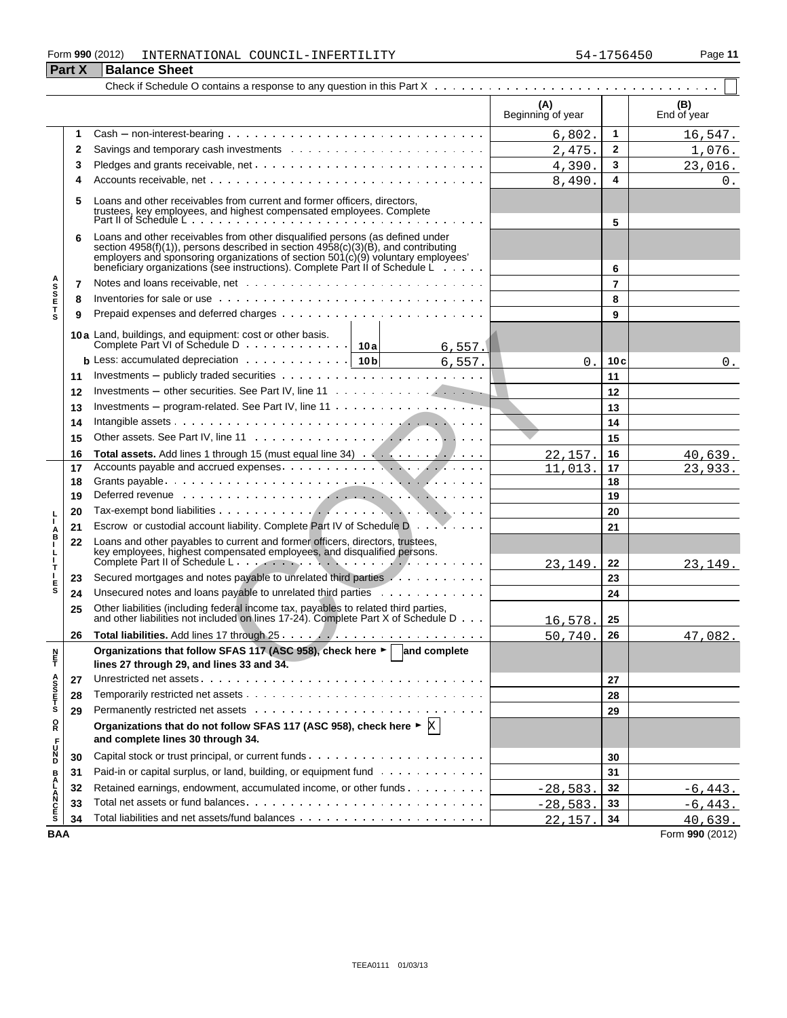#### Form **990** (2012) Page **11** INTERNATIONAL COUNCIL-INFERTILITY 54-1756450 **Part X** Balance Sheet

|                                 |    |                                                                                                                                                                                                                                                                                                                                                    | (A)<br>Beginning of year |     | (B)<br>End of year |
|---------------------------------|----|----------------------------------------------------------------------------------------------------------------------------------------------------------------------------------------------------------------------------------------------------------------------------------------------------------------------------------------------------|--------------------------|-----|--------------------|
|                                 | 1  |                                                                                                                                                                                                                                                                                                                                                    | 6,802.                   | 1   | 16,547.            |
|                                 | 2  |                                                                                                                                                                                                                                                                                                                                                    | 2,475.                   | 2   | 1,076.             |
|                                 | 3  |                                                                                                                                                                                                                                                                                                                                                    | 4,390.                   | 3   | 23,016.            |
|                                 | 4  |                                                                                                                                                                                                                                                                                                                                                    | 8,490.                   | 4   | 0.                 |
|                                 | 5  | Loans and other receivables from current and former officers, directors,<br>trustees, key employees, and highest compensated employees. Complete<br>Part II of Schedule L                                                                                                                                                                          |                          |     |                    |
|                                 |    |                                                                                                                                                                                                                                                                                                                                                    |                          | 5   |                    |
|                                 | 6  | Loans and other receivables from other disqualified persons (as defined under<br>section 4958(f)(1)), persons described in section 4958(c)(3)(B), and contributing<br>employers and sponsoring organizations of section $501(c)(9)$ voluntary employees'<br>beneficiary organizations (see instructions). Complete Part II of Schedule Lewiss 2011 |                          | 6   |                    |
| <b>ASSETS</b>                   | 7  |                                                                                                                                                                                                                                                                                                                                                    |                          | 7   |                    |
|                                 | 8  |                                                                                                                                                                                                                                                                                                                                                    |                          | 8   |                    |
|                                 | 9  |                                                                                                                                                                                                                                                                                                                                                    |                          | 9   |                    |
|                                 |    | 10a Land, buildings, and equipment: cost or other basis.<br>6, 557.                                                                                                                                                                                                                                                                                |                          |     |                    |
|                                 |    | <b>b</b> Less: accumulated depreciation $\cdots \cdots \cdots \cdots$   10b<br>6,557.                                                                                                                                                                                                                                                              | 0.                       | 10c | 0.                 |
|                                 | 11 |                                                                                                                                                                                                                                                                                                                                                    |                          | 11  |                    |
|                                 | 12 | Investments – other securities. See Part IV, line 11 $\dots \dots \dots \dots \dots \dots$                                                                                                                                                                                                                                                         |                          | 12  |                    |
|                                 | 13 | Investments – program-related. See Part IV, line $11 \ldots \ldots \ldots \ldots \ldots$                                                                                                                                                                                                                                                           |                          | 13  |                    |
|                                 | 14 |                                                                                                                                                                                                                                                                                                                                                    |                          | 14  |                    |
|                                 | 15 |                                                                                                                                                                                                                                                                                                                                                    |                          | 15  |                    |
|                                 | 16 |                                                                                                                                                                                                                                                                                                                                                    | 22,157                   | 16  | 40,639.            |
|                                 | 17 |                                                                                                                                                                                                                                                                                                                                                    | 11,013.                  | 17  | 23,933.            |
|                                 | 18 |                                                                                                                                                                                                                                                                                                                                                    |                          | 18  |                    |
|                                 | 19 | Deferred revenue with the contract the contract of the contract of the contract of the contract of the contract of the contract of the contract of the contract of the contract of the contract of the contract of the contrac                                                                                                                     |                          | 19  |                    |
|                                 | 20 |                                                                                                                                                                                                                                                                                                                                                    |                          | 20  |                    |
|                                 | 21 | Escrow or custodial account liability. Complete Part IV of Schedule D                                                                                                                                                                                                                                                                              |                          | 21  |                    |
| A<br>B<br>I<br>$\frac{1}{1}$    | 22 | Loans and other payables to current and former officers, directors, trustees,<br>key employees, highest compensated employees, and disqualified persons.                                                                                                                                                                                           | 23,149                   | 22  | 23,149.            |
| т                               | 23 | Secured mortgages and notes payable to unrelated third parties Almanda Alman Alman and Secured mortgages and notes payable to unrelated third parties Almanda Almanda Almanda Almanda Almanda Almanda Almanda Almanda Almanda                                                                                                                      |                          | 23  |                    |
| E<br>S                          | 24 | Unsecured notes and loans payable to unrelated third parties                                                                                                                                                                                                                                                                                       |                          | 24  |                    |
|                                 | 25 | Other liabilities (including federal income tax, payables to related third parties,<br>and other liabilities not included on lines 17-24). Complete Part X of Schedule D                                                                                                                                                                           | 16,578                   | 25  |                    |
|                                 | 26 |                                                                                                                                                                                                                                                                                                                                                    | 50,740                   | 26  | 47,082.            |
| n<br>F                          |    | Organizations that follow SFAS 117 (ASC 958), check here ► and complete<br>lines 27 through 29, and lines 33 and 34.                                                                                                                                                                                                                               |                          |     |                    |
|                                 | 27 |                                                                                                                                                                                                                                                                                                                                                    |                          | 27  |                    |
| A<br>S<br>S<br>T<br>S<br>T<br>S | 28 |                                                                                                                                                                                                                                                                                                                                                    |                          | 28  |                    |
|                                 | 29 |                                                                                                                                                                                                                                                                                                                                                    |                          | 29  |                    |
| ŏ                               |    | Organizations that do not follow SFAS 117 (ASC 958), check here $\triangleright \mathbb{X}$<br>and complete lines 30 through 34.                                                                                                                                                                                                                   |                          |     |                    |
| DZC <sub>T</sub>                | 30 |                                                                                                                                                                                                                                                                                                                                                    |                          | 30  |                    |
|                                 | 31 | Paid-in or capital surplus, or land, building, or equipment fund                                                                                                                                                                                                                                                                                   |                          | 31  |                    |
|                                 | 32 | Retained earnings, endowment, accumulated income, or other funds                                                                                                                                                                                                                                                                                   | $-28,583.$               | 32  | $-6,443.$          |
| <b>BALANCES</b>                 | 33 |                                                                                                                                                                                                                                                                                                                                                    | $-28,583.$               | 33  | $-6,443.$          |
|                                 | 34 |                                                                                                                                                                                                                                                                                                                                                    | 22,157.                  | 34  | 40,639.            |
| <b>BAA</b>                      |    |                                                                                                                                                                                                                                                                                                                                                    |                          |     | Form 990 (2012)    |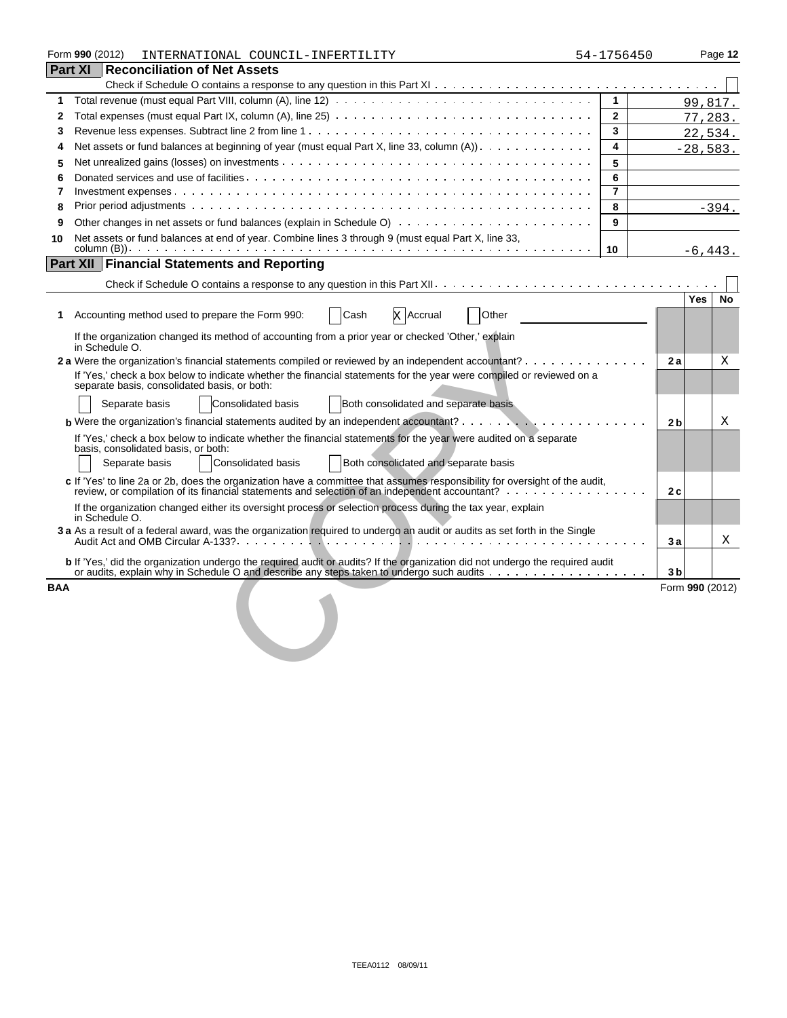|            | Form 990 (2012)<br>INTERNATIONAL COUNCIL-INFERTILITY                                                                                                                                                                          | 54-1756450     |                 |            | Page 12 |
|------------|-------------------------------------------------------------------------------------------------------------------------------------------------------------------------------------------------------------------------------|----------------|-----------------|------------|---------|
|            | <b>Part XI Reconciliation of Net Assets</b>                                                                                                                                                                                   |                |                 |            |         |
|            |                                                                                                                                                                                                                               |                |                 |            |         |
| 1          | Total revenue (must equal Part VIII, column (A), line 12) $\ldots \ldots \ldots \ldots \ldots \ldots \ldots \ldots \ldots \ldots \ldots$                                                                                      | $\mathbf{1}$   |                 |            | 99,817. |
| 2          |                                                                                                                                                                                                                               | $\mathbf{2}$   |                 | 77,283.    |         |
| 3          |                                                                                                                                                                                                                               | 3              |                 | 22,534.    |         |
| 4          | Net assets or fund balances at beginning of year (must equal Part X, line 33, column (A)).                                                                                                                                    | 4              |                 | $-28,583.$ |         |
| 5          |                                                                                                                                                                                                                               | 5              |                 |            |         |
| 6          |                                                                                                                                                                                                                               | 6              |                 |            |         |
| 7          |                                                                                                                                                                                                                               | $\overline{7}$ |                 |            |         |
| 8          |                                                                                                                                                                                                                               | 8              |                 |            | $-394.$ |
| 9          |                                                                                                                                                                                                                               | 9              |                 |            |         |
| 10         | Net assets or fund balances at end of year. Combine lines 3 through 9 (must equal Part X, line 33,                                                                                                                            |                |                 |            |         |
|            |                                                                                                                                                                                                                               | 10             |                 | $-6.443.$  |         |
|            | <b>Part XII Financial Statements and Reporting</b>                                                                                                                                                                            |                |                 |            |         |
|            |                                                                                                                                                                                                                               |                |                 |            |         |
|            |                                                                                                                                                                                                                               |                |                 | Yes        | No      |
| 1.         | Accounting method used to prepare the Form 990:<br>Cash<br><b>X</b> Accrual<br>Other                                                                                                                                          |                |                 |            |         |
|            | If the organization changed its method of accounting from a prior year or checked 'Other,' explain<br>in Schedule O.                                                                                                          |                |                 |            |         |
|            | 2 a Were the organization's financial statements compiled or reviewed by an independent accountant?                                                                                                                           |                | 2 a             |            | X       |
|            | If 'Yes,' check a box below to indicate whether the financial statements for the year were compiled or reviewed on a<br>separate basis, consolidated basis, or both:                                                          |                |                 |            |         |
|            | <b>Consolidated basis</b><br>Both consolidated and separate basis<br>Separate basis                                                                                                                                           |                |                 |            |         |
|            | <b>b</b> Were the organization's financial statements audited by an independent accountant? $\cdots$ , $\cdots$ , $\cdots$ , $\cdots$ , $\cdots$                                                                              |                | 2 <sub>b</sub>  |            | X       |
|            | If 'Yes,' check a box below to indicate whether the financial statements for the year were audited on a separate<br>basis, consolidated basis, or both:                                                                       |                |                 |            |         |
|            | Both consolidated and separate basis<br>Separate basis<br><b>Consolidated basis</b>                                                                                                                                           |                |                 |            |         |
|            | c If 'Yes' to line 2a or 2b, does the organization have a committee that assumes responsibility for oversight of the audit,<br>review, or compilation of its financial statements and selection of an independent accountant? |                | 2c              |            |         |
|            | If the organization changed either its oversight process or selection process during the tax year, explain<br>in Schedule O.                                                                                                  |                |                 |            |         |
|            | 3 a As a result of a federal award, was the organization required to undergo an audit or audits as set forth in the Single                                                                                                    |                | Зa              |            | Χ       |
|            | b If 'Yes,' did the organization undergo the required audit or audits? If the organization did not undergo the required audit                                                                                                 |                | 3 <sub>b</sub>  |            |         |
| <b>BAA</b> |                                                                                                                                                                                                                               |                | Form 990 (2012) |            |         |
|            |                                                                                                                                                                                                                               |                |                 |            |         |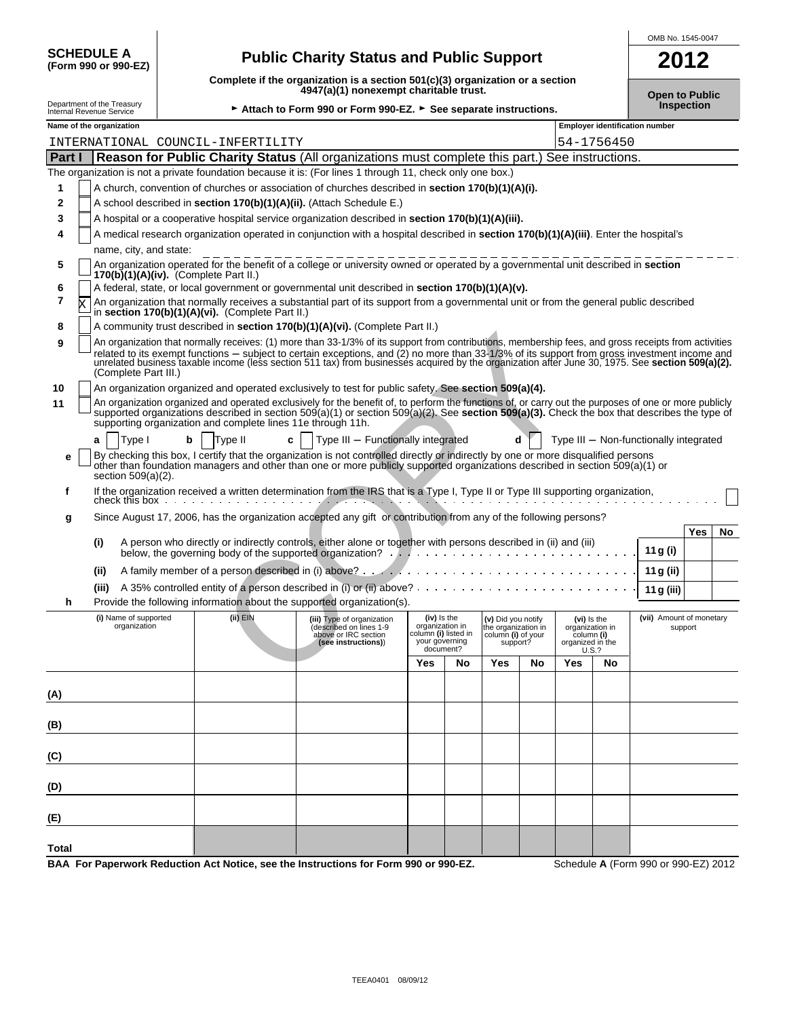| <b>SCHEDULE A</b><br>(Form 990 or 990-EZ)              | Complet |
|--------------------------------------------------------|---------|
| Department of the Treasury<br>Internal Revenue Service |         |
| Name of the organization                               |         |

# **(Form 990 or 990-EZ) Public Charity Status and Public Support 2012**

**Complete if the organization is a section 501(c)(3) organization or a section 4947(a)(1) nonexempt charitable trust. Open to Public** 

OMB No. 1545-0047

| Department of the Treasurv<br>Internal Revenue Service | ► Attach to Form 990 or Form 990-EZ. ► See separate instructions. | <b>Inspection</b> |
|--------------------------------------------------------|-------------------------------------------------------------------|-------------------|
|--------------------------------------------------------|-------------------------------------------------------------------|-------------------|

|               |   | Name of the organization                                    |              |                                                                                                                                                                                                                                                                                                                                                                                                                                                            |                                                                                       |    |                                                                             |    | <b>Employer identification number</b>                                     |    |                                        |                  |
|---------------|---|-------------------------------------------------------------|--------------|------------------------------------------------------------------------------------------------------------------------------------------------------------------------------------------------------------------------------------------------------------------------------------------------------------------------------------------------------------------------------------------------------------------------------------------------------------|---------------------------------------------------------------------------------------|----|-----------------------------------------------------------------------------|----|---------------------------------------------------------------------------|----|----------------------------------------|------------------|
|               |   | INTERNATIONAL COUNCIL-INFERTILITY                           |              |                                                                                                                                                                                                                                                                                                                                                                                                                                                            |                                                                                       |    |                                                                             |    | 54-1756450                                                                |    |                                        |                  |
| <b>Part I</b> |   |                                                             |              | Reason for Public Charity Status (All organizations must complete this part.) See instructions.                                                                                                                                                                                                                                                                                                                                                            |                                                                                       |    |                                                                             |    |                                                                           |    |                                        |                  |
|               |   |                                                             |              | The organization is not a private foundation because it is: (For lines 1 through 11, check only one box.)                                                                                                                                                                                                                                                                                                                                                  |                                                                                       |    |                                                                             |    |                                                                           |    |                                        |                  |
| 1             |   |                                                             |              | A church, convention of churches or association of churches described in section 170(b)(1)(A)(i).                                                                                                                                                                                                                                                                                                                                                          |                                                                                       |    |                                                                             |    |                                                                           |    |                                        |                  |
| 2             |   |                                                             |              | A school described in section 170(b)(1)(A)(ii). (Attach Schedule E.)                                                                                                                                                                                                                                                                                                                                                                                       |                                                                                       |    |                                                                             |    |                                                                           |    |                                        |                  |
| 3             |   |                                                             |              | A hospital or a cooperative hospital service organization described in section 170(b)(1)(A)(iii).                                                                                                                                                                                                                                                                                                                                                          |                                                                                       |    |                                                                             |    |                                                                           |    |                                        |                  |
| 4             |   |                                                             |              | A medical research organization operated in conjunction with a hospital described in section 170(b)(1)(A)(iii). Enter the hospital's                                                                                                                                                                                                                                                                                                                       |                                                                                       |    |                                                                             |    |                                                                           |    |                                        |                  |
|               |   | name, city, and state:                                      |              |                                                                                                                                                                                                                                                                                                                                                                                                                                                            |                                                                                       |    |                                                                             |    |                                                                           |    |                                        |                  |
| 5             |   | $170(b)(1)(A)(iv)$ . (Complete Part II.)                    |              | An organization operated for the benefit of a college or university owned or operated by a governmental unit described in section                                                                                                                                                                                                                                                                                                                          |                                                                                       |    |                                                                             |    |                                                                           |    |                                        |                  |
| 6             |   |                                                             |              | A federal, state, or local government or governmental unit described in section 170(b)(1)(A)(v).                                                                                                                                                                                                                                                                                                                                                           |                                                                                       |    |                                                                             |    |                                                                           |    |                                        |                  |
| 7             | X | in section 170(b)(1)(A)(vi). (Complete Part II.)            |              | An organization that normally receives a substantial part of its support from a governmental unit or from the general public described                                                                                                                                                                                                                                                                                                                     |                                                                                       |    |                                                                             |    |                                                                           |    |                                        |                  |
| 8             |   |                                                             |              | A community trust described in section 170(b)(1)(A)(vi). (Complete Part II.)                                                                                                                                                                                                                                                                                                                                                                               |                                                                                       |    |                                                                             |    |                                                                           |    |                                        |                  |
| 9             |   | (Complete Part III.)                                        |              | An organization that normally receives: (1) more than 33-1/3% of its support from contributions, membership fees, and gross receipts from activities<br>related to its exempt functions - subject to certain exceptions, and (2) no more than 33-1/3% of its support from gross investment income and<br>unrelated business taxable income (less section 511 tax) from businesses acquired by the organization after June 30, 1975. See section 509(a)(2). |                                                                                       |    |                                                                             |    |                                                                           |    |                                        |                  |
| 10            |   |                                                             |              | An organization organized and operated exclusively to test for public safety. See section 509(a)(4).                                                                                                                                                                                                                                                                                                                                                       |                                                                                       |    |                                                                             |    |                                                                           |    |                                        |                  |
| 11            |   | supporting organization and complete lines 11e through 11h. |              | An organization organized and operated exclusively for the benefit of, to perform the functions of, or carry out the purposes of one or more publicly<br>supported organizations described in section $509(a)(1)$ or section $509(a)(2)$ . See section $509(a)(3)$ . Check the box that describes the type of                                                                                                                                              |                                                                                       |    |                                                                             |    |                                                                           |    |                                        |                  |
|               |   | b<br>Type I<br>a                                            | Type II<br>c | Type III - Functionally integrated                                                                                                                                                                                                                                                                                                                                                                                                                         |                                                                                       |    | d                                                                           |    |                                                                           |    | Type III - Non-functionally integrated |                  |
| е             |   | section $509(a)(2)$ .                                       |              | By checking this box, I certify that the organization is not controlled directly or indirectly by one or more disqualified persons<br>other than foundation managers and other than one or more publicly supported organizations described in section 509(a)(1) or                                                                                                                                                                                         |                                                                                       |    |                                                                             |    |                                                                           |    |                                        |                  |
| f             |   |                                                             |              | If the organization received a written determination from the IRS that is a Type I, Type II or Type III supporting organization,                                                                                                                                                                                                                                                                                                                           |                                                                                       |    |                                                                             |    |                                                                           |    |                                        |                  |
|               |   | check this box                                              |              |                                                                                                                                                                                                                                                                                                                                                                                                                                                            |                                                                                       |    |                                                                             |    |                                                                           |    |                                        |                  |
| g             |   |                                                             |              | Since August 17, 2006, has the organization accepted any gift or contribution from any of the following persons?                                                                                                                                                                                                                                                                                                                                           |                                                                                       |    |                                                                             |    |                                                                           |    |                                        |                  |
|               |   |                                                             |              |                                                                                                                                                                                                                                                                                                                                                                                                                                                            |                                                                                       |    |                                                                             |    |                                                                           |    |                                        | <b>Yes</b><br>No |
|               |   | (i)                                                         |              | A person who directly or indirectly controls, either alone or together with persons described in (ii) and (iii)                                                                                                                                                                                                                                                                                                                                            |                                                                                       |    |                                                                             |    |                                                                           |    | 11 g (i)                               |                  |
|               |   | (ii)                                                        |              |                                                                                                                                                                                                                                                                                                                                                                                                                                                            |                                                                                       |    |                                                                             |    |                                                                           |    | 11 g (ii)                              |                  |
|               |   | (iii)                                                       |              | A 35% controlled entity of a person described in (i) or (ii) above? $\cdots$                                                                                                                                                                                                                                                                                                                                                                               |                                                                                       |    |                                                                             |    |                                                                           |    | 11 g (iii)                             |                  |
| h             |   |                                                             |              | Provide the following information about the supported organization(s).                                                                                                                                                                                                                                                                                                                                                                                     |                                                                                       |    |                                                                             |    |                                                                           |    |                                        |                  |
|               |   | (i) Name of supported<br>organization                       | (ii) EIN     | (iii) Type of organization<br>described on lines 1-9<br>above or IRC section<br>(see instructions))                                                                                                                                                                                                                                                                                                                                                        | (iv) is the<br>organization in<br>column (i) listed in<br>your governing<br>document? |    | (v) Did you notify<br>the organization in<br>column (i) of your<br>support? |    | (vi) Is the<br>organization in<br>column (i)<br>organized in the<br>U.S.? |    | (vii) Amount of monetary<br>support    |                  |
|               |   |                                                             |              |                                                                                                                                                                                                                                                                                                                                                                                                                                                            | Yes                                                                                   | No | Yes                                                                         | No | Yes                                                                       | No |                                        |                  |
|               |   |                                                             |              |                                                                                                                                                                                                                                                                                                                                                                                                                                                            |                                                                                       |    |                                                                             |    |                                                                           |    |                                        |                  |
| (A)           |   |                                                             |              |                                                                                                                                                                                                                                                                                                                                                                                                                                                            |                                                                                       |    |                                                                             |    |                                                                           |    |                                        |                  |
| (B)           |   |                                                             |              |                                                                                                                                                                                                                                                                                                                                                                                                                                                            |                                                                                       |    |                                                                             |    |                                                                           |    |                                        |                  |
|               |   |                                                             |              |                                                                                                                                                                                                                                                                                                                                                                                                                                                            |                                                                                       |    |                                                                             |    |                                                                           |    |                                        |                  |
| (C)           |   |                                                             |              |                                                                                                                                                                                                                                                                                                                                                                                                                                                            |                                                                                       |    |                                                                             |    |                                                                           |    |                                        |                  |
| (D)           |   |                                                             |              |                                                                                                                                                                                                                                                                                                                                                                                                                                                            |                                                                                       |    |                                                                             |    |                                                                           |    |                                        |                  |
| (E)           |   |                                                             |              |                                                                                                                                                                                                                                                                                                                                                                                                                                                            |                                                                                       |    |                                                                             |    |                                                                           |    |                                        |                  |
| <b>Total</b>  |   |                                                             |              |                                                                                                                                                                                                                                                                                                                                                                                                                                                            |                                                                                       |    |                                                                             |    |                                                                           |    |                                        |                  |

**BAA For Paperwork Reduction Act Notice, see the Instructions for Form 990 or 990-EZ.** Schedule **A** (Form 990 or 990-EZ) 2012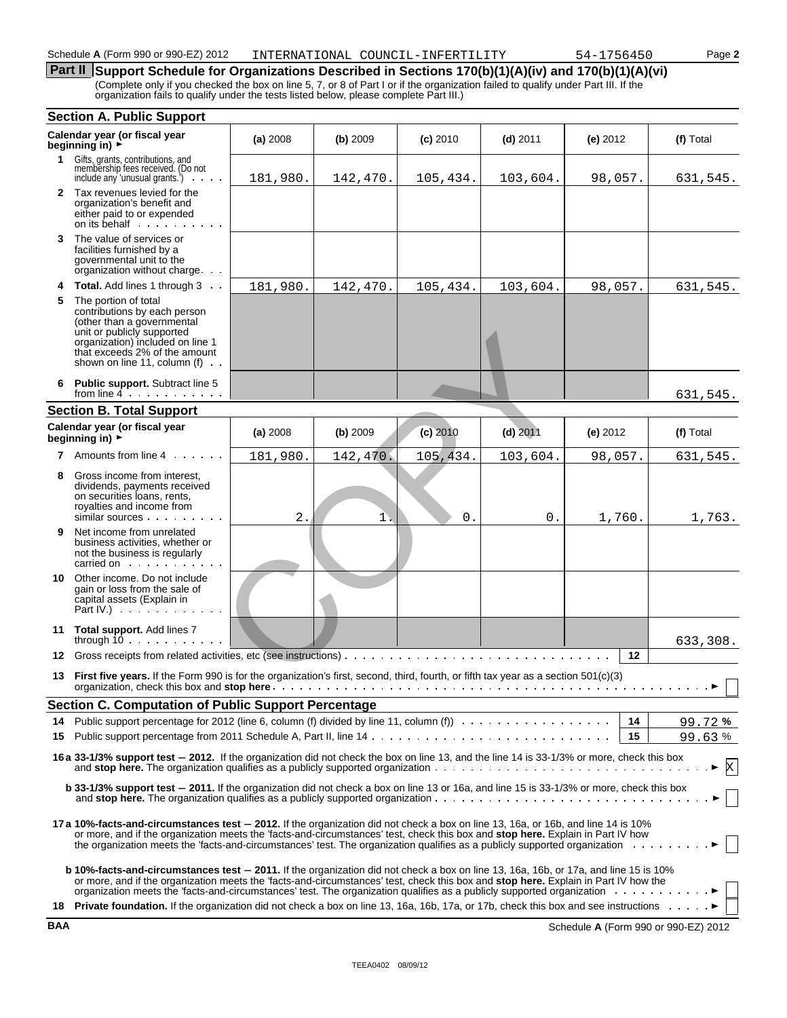# **Part II** Support Schedule for Organizations Described in Sections 170(b)(1)(A)(iv) and 170(b)(1)(A)(vi)

(Complete only if you checked the box on line 5, 7, or 8 of Part I or if the organization failed to qualify under Part III. If the organization fails to qualify under the tests listed below, please complete Part III.)

|    | <b>Section A. Public Support</b>                                                                                                                                                                                                                                                                                                                                                                                                                                                                                          |          |          |            |            |          |           |  |
|----|---------------------------------------------------------------------------------------------------------------------------------------------------------------------------------------------------------------------------------------------------------------------------------------------------------------------------------------------------------------------------------------------------------------------------------------------------------------------------------------------------------------------------|----------|----------|------------|------------|----------|-----------|--|
|    | Calendar year (or fiscal year<br>beginning in) $\overrightarrow{r}$                                                                                                                                                                                                                                                                                                                                                                                                                                                       | (a) 2008 | (b) 2009 | $(c)$ 2010 | $(d)$ 2011 | (e) 2012 | (f) Total |  |
| 1. | Gifts, grants, contributions, and<br>membership fees received. (Do not<br>include any 'unusual grants.')<br>a carried and                                                                                                                                                                                                                                                                                                                                                                                                 | 181,980. | 142,470. | 105,434.   | 103,604.   | 98,057.  | 631,545.  |  |
|    | 2 Tax revenues levied for the<br>organization's benefit and<br>either paid to or expended<br>on its behalf                                                                                                                                                                                                                                                                                                                                                                                                                |          |          |            |            |          |           |  |
| 3  | The value of services or<br>facilities furnished by a<br>governmental unit to the<br>organization without charge                                                                                                                                                                                                                                                                                                                                                                                                          |          |          |            |            |          |           |  |
| 4  | <b>Total.</b> Add lines 1 through 3                                                                                                                                                                                                                                                                                                                                                                                                                                                                                       | 181,980. | 142,470. | 105,434.   | 103,604.   | 98,057.  | 631,545.  |  |
| 5  | The portion of total<br>contributions by each person<br>(other than a governmental<br>unit or publicly supported<br>organization) included on line 1<br>that exceeds 2% of the amount<br>shown on line 11, column (f)                                                                                                                                                                                                                                                                                                     |          |          |            |            |          |           |  |
| 6  | Public support. Subtract line 5<br>from line $4$ , $\cdots$ , $\cdots$                                                                                                                                                                                                                                                                                                                                                                                                                                                    |          |          |            |            |          | 631,545.  |  |
|    | <b>Section B. Total Support</b>                                                                                                                                                                                                                                                                                                                                                                                                                                                                                           |          |          |            |            |          |           |  |
|    | Calendar year (or fiscal year<br>beginning in) $\blacktriangleright$                                                                                                                                                                                                                                                                                                                                                                                                                                                      | (a) 2008 | (b) 2009 | $(c)$ 2010 | $(d)$ 2011 | (e) 2012 | (f) Total |  |
|    | <b>7</b> Amounts from line 4                                                                                                                                                                                                                                                                                                                                                                                                                                                                                              | 181,980. | 142,470. | 105,434.   | 103,604.   | 98,057.  | 631,545.  |  |
| 8  | Gross income from interest.<br>dividends, payments received<br>on securities loans, rents,<br>royalties and income from<br>similar sources                                                                                                                                                                                                                                                                                                                                                                                | $2$ .    | 1.       | 0.         | 0.         | 1,760.   | 1,763.    |  |
| 9  | Net income from unrelated<br>business activities, whether or<br>not the business is regularly<br>carried on the carried on the care in the care of the care in the case of the care in the case of the case of the case of the case of the case of the case of the case of the case of the case of the case of the case of the                                                                                                                                                                                            |          |          |            |            |          |           |  |
| 10 | Other income. Do not include<br>gain or loss from the sale of<br>capital assets (Explain in<br>Part IV.) $\cdots$                                                                                                                                                                                                                                                                                                                                                                                                         |          |          |            |            |          |           |  |
|    | 11 Total support. Add lines 7<br>through $10$                                                                                                                                                                                                                                                                                                                                                                                                                                                                             |          |          |            |            |          | 633,308.  |  |
| 12 |                                                                                                                                                                                                                                                                                                                                                                                                                                                                                                                           |          |          |            |            | $12 \,$  |           |  |
| 13 | First five years. If the Form 990 is for the organization's first, second, third, fourth, or fifth tax year as a section $501(c)(3)$                                                                                                                                                                                                                                                                                                                                                                                      |          |          |            |            |          |           |  |
|    | Section C. Computation of Public Support Percentage                                                                                                                                                                                                                                                                                                                                                                                                                                                                       |          |          |            |            |          |           |  |
|    |                                                                                                                                                                                                                                                                                                                                                                                                                                                                                                                           |          |          |            |            | 14       | 99.72%    |  |
| 15 |                                                                                                                                                                                                                                                                                                                                                                                                                                                                                                                           |          |          |            |            | 15       | 99.63%    |  |
|    | 16 a 33-1/3% support test - 2012. If the organization did not check the box on line 13, and the line 14 is 33-1/3% or more, check this box                                                                                                                                                                                                                                                                                                                                                                                |          |          |            |            |          | X         |  |
|    | b 33-1/3% support test - 2011. If the organization did not check a box on line 13 or 16a, and line 15 is 33-1/3% or more, check this box                                                                                                                                                                                                                                                                                                                                                                                  |          |          |            |            |          |           |  |
|    | 17 a 10%-facts-and-circumstances test - 2012. If the organization did not check a box on line 13, 16a, or 16b, and line 14 is 10%<br>or more, and if the organization meets the 'facts-and-circumstances' test, check this box and stop here. Explain in Part IV how<br>the organization meets the 'facts-and-circumstances' test. The organization qualifies as a publicly supported organization                                                                                                                        |          |          |            |            |          |           |  |
|    | <b>b 10%-facts-and-circumstances test - 2011.</b> If the organization did not check a box on line 13, 16a, 16b, or 17a, and line 15 is 10%<br>or more, and if the organization meets the 'facts-and-circumstances' test, check this box and <b>stop here.</b> Explain in Part IV how the<br>organization meets the 'facts-and-circumstances' test. The organization qualifies as a publicly supported organization meets the 'facts-and-circumstances' test. The organization meets the 'facts-and-circumstances' test. T |          |          |            |            |          |           |  |
| 18 | Private foundation. If the organization did not check a box on line 13, 16a, 16b, 17a, or 17b, check this box and see instructions ▶                                                                                                                                                                                                                                                                                                                                                                                      |          |          |            |            |          |           |  |

**BAA** Schedule **A** (Form 990 or 990-EZ) 2012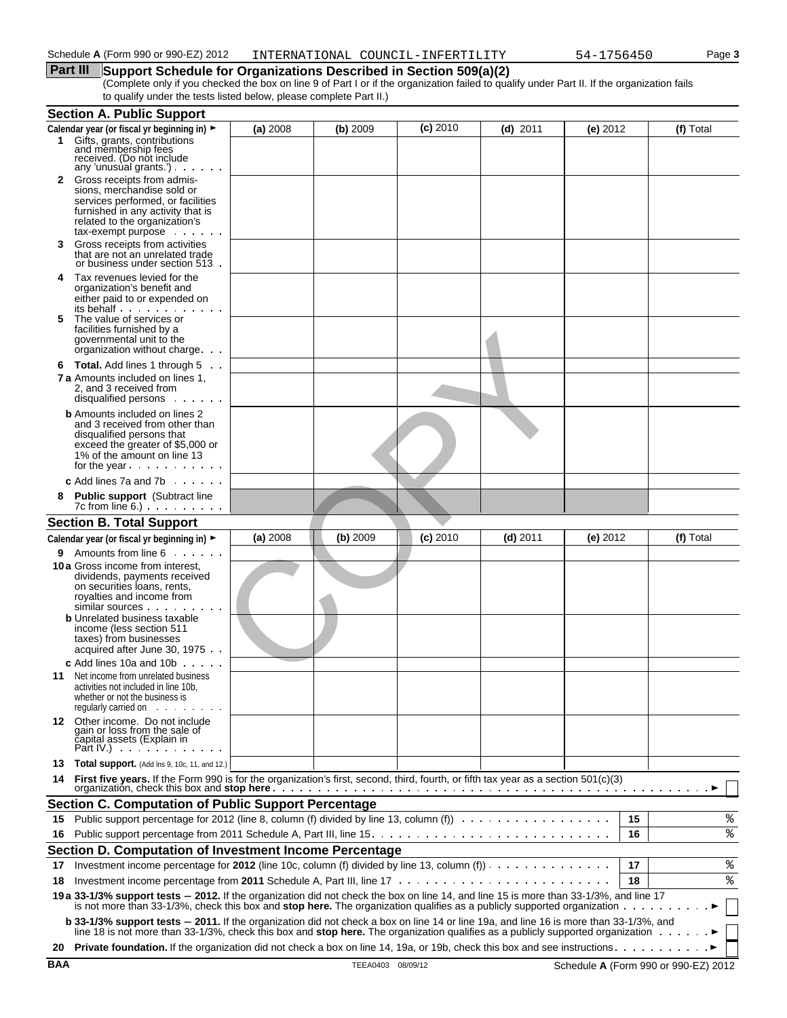# **Part III** Support Schedule for Organizations Described in Section 509(a)(2)

(Complete only if you checked the box on line 9 of Part I or if the organization failed to qualify under Part II. If the organization fails to qualify under the tests listed below, please complete Part II.)

|        | <b>Section A. Public Support</b>                                                                                                                                                                                                                                                                            |          |          |            |            |          |    |           |
|--------|-------------------------------------------------------------------------------------------------------------------------------------------------------------------------------------------------------------------------------------------------------------------------------------------------------------|----------|----------|------------|------------|----------|----|-----------|
|        | Calendar year (or fiscal yr beginning in) ►                                                                                                                                                                                                                                                                 | (a) 2008 | (b) 2009 | $(c)$ 2010 | $(d)$ 2011 | (e) 2012 |    | (f) Total |
|        | 1 Gifts, grants, contributions<br>and membership fees<br>received. (Do not include<br>any 'unusual grants.') $\cdots$                                                                                                                                                                                       |          |          |            |            |          |    |           |
| 2      | Gross receipts from admis-<br>sions, merchandise sold or<br>services performed, or facilities<br>furnished in any activity that is<br>related to the organization's<br>tax-exempt purpose                                                                                                                   |          |          |            |            |          |    |           |
| 3      | Gross receipts from activities<br>that are not an unrelated trade<br>or business under section 513.                                                                                                                                                                                                         |          |          |            |            |          |    |           |
| 4<br>5 | Tax revenues levied for the<br>organization's benefit and<br>either paid to or expended on<br>its behalf<br>The value of services or                                                                                                                                                                        |          |          |            |            |          |    |           |
|        | facilities furnished by a<br>governmental unit to the<br>organization without charge                                                                                                                                                                                                                        |          |          |            |            |          |    |           |
| 6      | <b>Total.</b> Add lines 1 through 5                                                                                                                                                                                                                                                                         |          |          |            |            |          |    |           |
|        | <b>7 a</b> Amounts included on lines 1,<br>2, and 3 received from<br>disqualified persons                                                                                                                                                                                                                   |          |          |            |            |          |    |           |
|        | <b>b</b> Amounts included on lines 2<br>and 3 received from other than<br>disqualified persons that<br>exceed the greater of \$5,000 or<br>1% of the amount on line 13<br>for the year                                                                                                                      |          |          |            |            |          |    |           |
|        | <b>c</b> Add lines 7a and 7b $\ldots$                                                                                                                                                                                                                                                                       |          |          |            |            |          |    |           |
| 8      | <b>Public support</b> (Subtract line<br>$7c$ from line $6.$ ) $\ldots$ $\ldots$                                                                                                                                                                                                                             |          |          |            |            |          |    |           |
|        | <b>Section B. Total Support</b>                                                                                                                                                                                                                                                                             |          |          |            |            |          |    |           |
|        | Calendar year (or fiscal yr beginning in) ►                                                                                                                                                                                                                                                                 | (a) 2008 | (b) 2009 | $(c)$ 2010 | $(d)$ 2011 | (e) 2012 |    | (f) Total |
| 9      | Amounts from line 6<br><b>10 a</b> Gross income from interest,<br>dividends, payments received<br>on securities loans, rents,<br>royalties and income from<br>similar sources<br><b>b</b> Unrelated business taxable<br>income (less section 511<br>taxes) from businesses<br>acquired after June 30, 1975. |          |          |            |            |          |    |           |
| 11     | <b>c</b> Add lines 10a and 10b $\ldots$<br>Net income from unrelated business<br>activities not included in line 10b,<br>whether or not the business is<br>requiarly carried on                                                                                                                             |          |          |            |            |          |    |           |
|        | 12 Other income. Do not include<br>gain or loss from the sale of<br>čapital assets (Explain in<br>Part IV.) $\cdots$                                                                                                                                                                                        |          |          |            |            |          |    |           |
|        | <b>13 Total support.</b> (Add lns 9, 10c, 11, and 12.)                                                                                                                                                                                                                                                      |          |          |            |            |          |    |           |
|        | 14 First five years. If the Form 990 is for the organization's first, second, third, fourth, or fifth tax year as a section 501(c)(3)                                                                                                                                                                       |          |          |            |            |          |    |           |
|        | <b>Section C. Computation of Public Support Percentage</b>                                                                                                                                                                                                                                                  |          |          |            |            |          |    |           |
| 15     | Public support percentage for 2012 (line 8, column (f) divided by line 13, column (f)                                                                                                                                                                                                                       |          |          |            |            |          | 15 | %         |
| 16     |                                                                                                                                                                                                                                                                                                             |          |          |            |            |          | 16 | နွ        |
|        | Section D. Computation of Investment Income Percentage                                                                                                                                                                                                                                                      |          |          |            |            |          |    |           |
| 17     | Investment income percentage for 2012 (line 10c, column (f) divided by line 13, column (f)) $\cdots$                                                                                                                                                                                                        |          |          |            |            |          | 17 | %         |
| 18     |                                                                                                                                                                                                                                                                                                             |          |          |            |            |          | 18 | နွ        |
|        | 19 a 33-1/3% support tests - 2012. If the organization did not check the box on line 14, and line 15 is more than 33-1/3%, and line 17<br>is not more than 33-1/3%, check this box and stop here. The organization qualifies as a publicly supported organization $\ldots$                                  |          |          |            |            |          |    |           |
|        | b 33-1/3% support tests - 2011. If the organization did not check a box on line 14 or line 19a, and line 16 is more than 33-1/3%, and<br>line 18 is not more than 33-1/3%, check this box and stop here. The organization qualifies as a publicly supported organization                                    |          |          |            |            |          |    |           |
| 20     |                                                                                                                                                                                                                                                                                                             |          |          |            |            |          |    |           |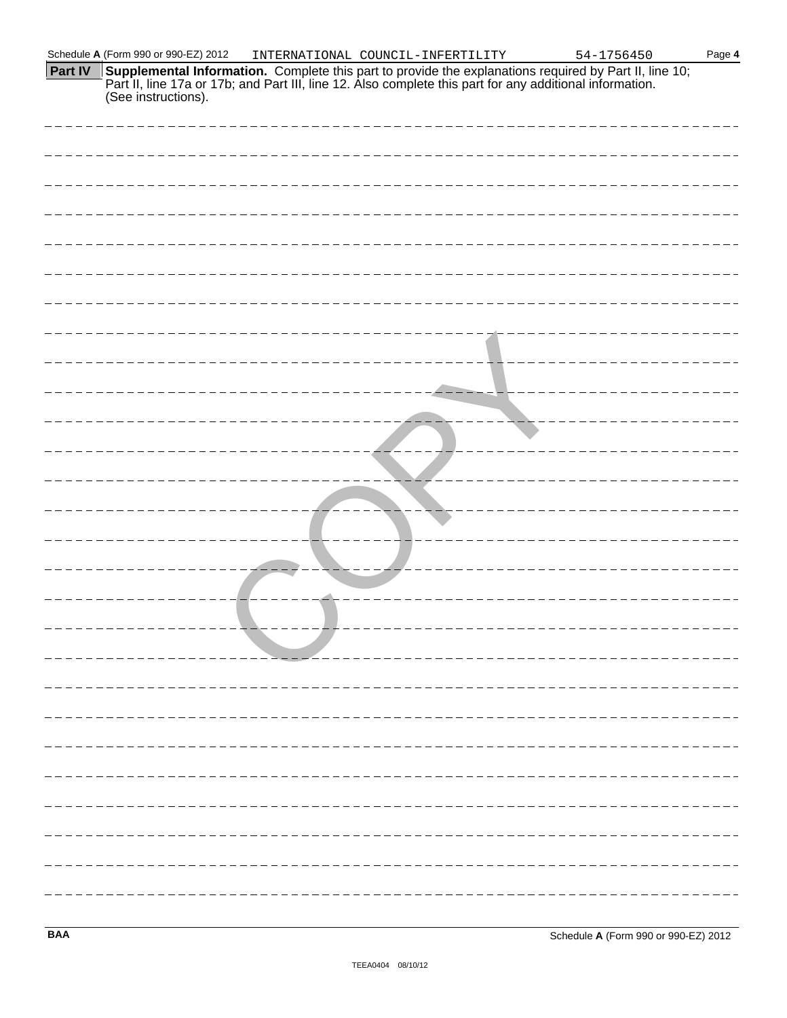| <b>Part IV</b> Supplemental Information. Complete this part to provide the explanations required by Part II, line 10; |
|-----------------------------------------------------------------------------------------------------------------------|
| Part II, line 17a or 17b; and Part III, line 12. Also complete this part for any additional information.              |
| (See instructions).                                                                                                   |

| _____________________________________ |
|---------------------------------------|
|                                       |
|                                       |
| -------------------------             |
|                                       |
|                                       |
|                                       |
|                                       |
|                                       |
|                                       |
|                                       |
|                                       |
|                                       |
|                                       |
|                                       |
|                                       |
|                                       |
|                                       |
|                                       |
|                                       |
|                                       |
|                                       |
|                                       |
|                                       |
|                                       |
|                                       |
|                                       |
|                                       |
|                                       |
|                                       |
|                                       |
|                                       |
|                                       |
|                                       |
|                                       |
|                                       |
|                                       |
|                                       |
|                                       |
|                                       |
|                                       |
|                                       |
|                                       |
|                                       |
|                                       |
|                                       |
|                                       |
|                                       |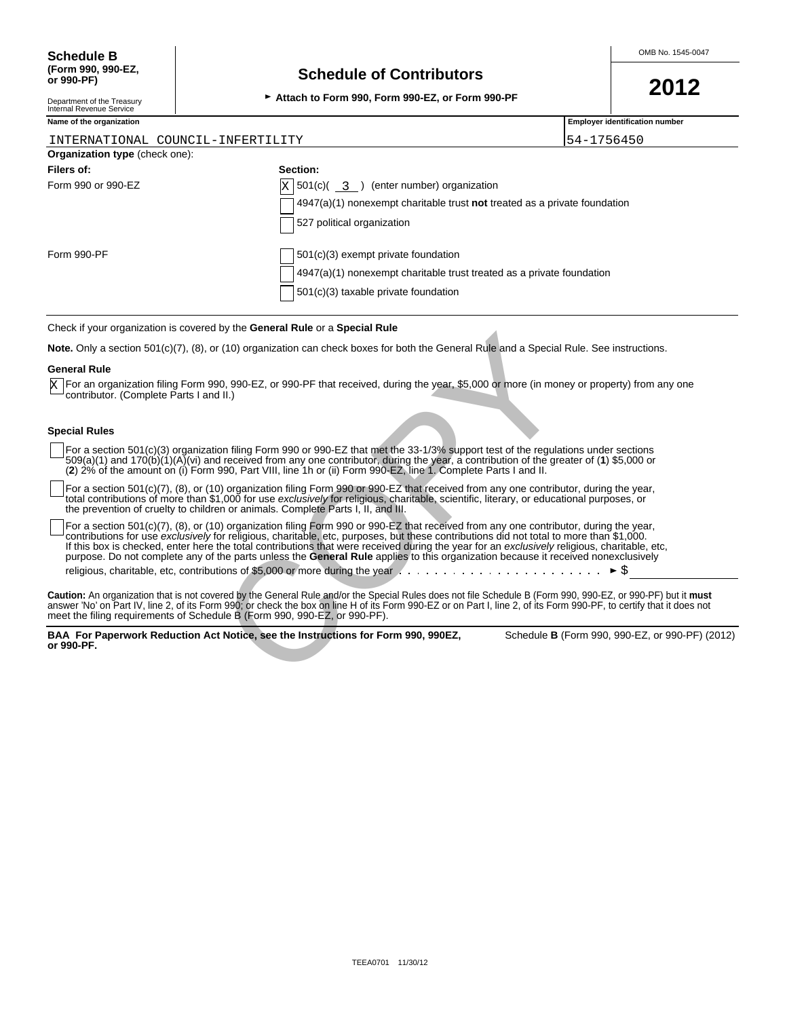# **Schedule of Contributors**

<sup>G</sup>**Attach to Form 990, Form 990-EZ, or Form 990-PF 2012**

Department of the Treasury Internal Revenue Service

| Attach to Form 990, For |  |
|-------------------------|--|
|                         |  |

| Name of the organization              |                                                                                    | <b>Employer identification number</b> |  |  |  |
|---------------------------------------|------------------------------------------------------------------------------------|---------------------------------------|--|--|--|
| INTERNATIONAL COUNCIL-INFERTILITY     |                                                                                    | 54-1756450                            |  |  |  |
| <b>Organization type (check one):</b> |                                                                                    |                                       |  |  |  |
| Filers of:                            | Section:                                                                           |                                       |  |  |  |
| Form 990 or 990-EZ                    | $X$ 501(c)( 3 ) (enter number) organization                                        |                                       |  |  |  |
|                                       | $4947(a)(1)$ nonexempt charitable trust <b>not</b> treated as a private foundation |                                       |  |  |  |
|                                       | 527 political organization                                                         |                                       |  |  |  |
| Form 990-PF                           | 501(c)(3) exempt private foundation                                                |                                       |  |  |  |
|                                       | 4947(a)(1) nonexempt charitable trust treated as a private foundation              |                                       |  |  |  |
|                                       | 501(c)(3) taxable private foundation                                               |                                       |  |  |  |

#### Check if your organization is covered by the **General Rule** or a **Special Rule**

**Note.** Only a section 501(c)(7), (8), or (10) organization can check boxes for both the General Rule and a Special Rule. See instructions.

#### **General Rule**

For an organization filing Form 990, 990-EZ, or 990-PF that received, during the year, \$5,000 or more (in money or property) from any one X For an organization filing Form 990, 9<br>contributor. (Complete Parts I and II.)

### **Special Rules**

For a section 501(c)(3) organization filing Form 990 or 990-EZ that met the 33-1/3% support test of the regulations under sections 509(a)(1) and 170(b)(1)(A)(vi) and received from any one contributor, during the year, a contribution of the greater of (**1**) \$5,000 or (**2**) 2% of the amount on (i) Form 990, Part VIII, line 1h or (ii) Form 990-EZ, line 1. Complete Parts I and II.

For a section 501(c)(7), (8), or (10) organization filing Form 990 or 990-EZ that received from any one contributor, during the year, total contributions of more than \$1,000 for use *exclusively* for religious, charitable, scientific, literary, or educational purposes, or the prevention of cruelty to children or animals. Complete Parts I, II, and III.

For a section 501(c)(7), (8), or (10) organization filing Form 990 or 990-EZ that received from any one contributor, during the year, contributions for use *exclusively* for religious, charitable, etc, purposes, but these contributions did not total to more than \$1,000. If this box is checked, enter here the total contributions that were received during the year for an *exclusively* religious, charitable, etc, purpose. Do not complete any of the parts unless the **General Rule** applies to this organization because it received nonexclusively religious, charitable, etc, contributions of \$5,000 or more during the year  $\ldots \ldots \ldots \ldots \ldots \ldots \ldots \vdash \mathcal{S}$ by and Social Hills of a Dependent and the General Rule and a Special F<br>(10) organization can check boxes for both the General Rule and a Special F<br>0. 990-EZ, or 990-PF that received, during the year, \$5,000 or more (in mo

**Caution:** An organization that is not covered by the General Rule and/or the Special Rules does not file Schedule B (Form 990, 990-EZ, or 990-PF) but it **must** answer 'No' on Part IV, line 2, of its Form 990; or check the box on line H of its Form 990-EZ or on Part I, line 2, of its Form 990-PF, to certify that it does not<br>meet the filing requirements of Schedule B (Form 990, 990

**BAA For Paperwork Reduction Act Notice, see the Instructions for Form 990, 990EZ,** Schedule **B** (Form 990, 990-EZ, or 990-PF) (2012) **or 990-PF.**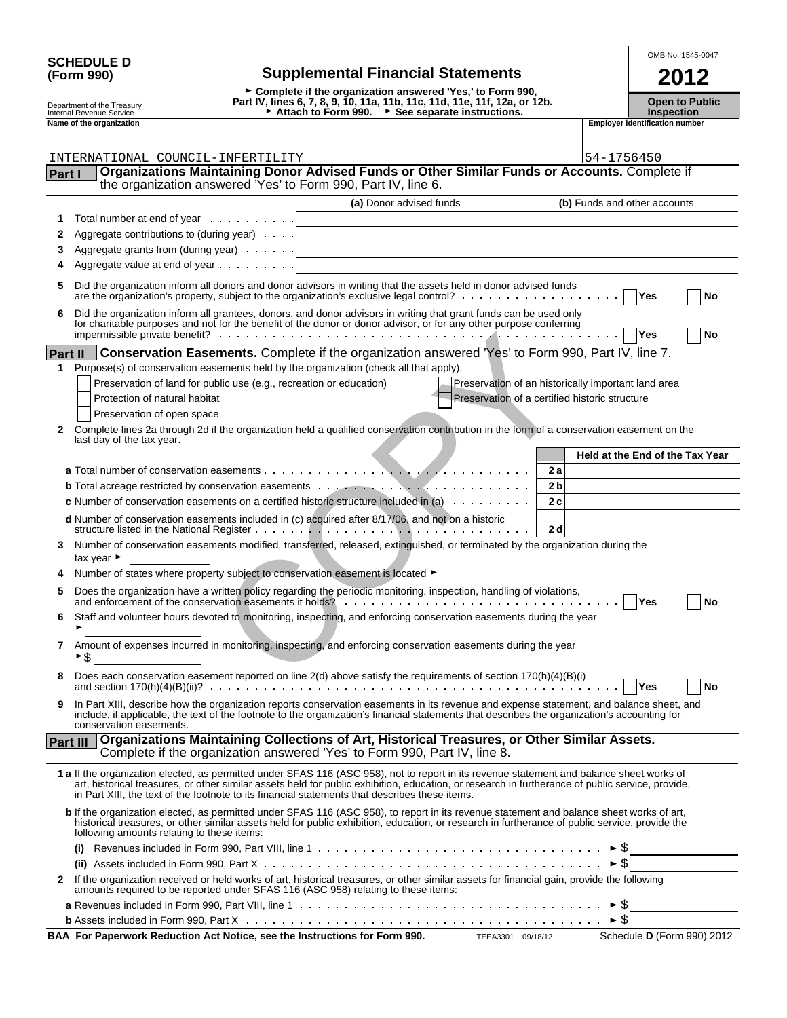| <b>SCHEDULE D</b> |  |
|-------------------|--|
| (Form 990)        |  |

# **SCHEDULE D OMB No.** 1545-0047 **(Form 990) Supplemental Financial Statements 2012**

G **Complete if the organization answered 'Yes,' to Form 990,** Depart ment of the Treasury | **Depart IV, lines 6, 7, 8, 9, 10, 11a, 11b, 11c, 11d, 11e, 11f, 12a, or 12b.** Open to Public<br>Internal Revenue Service | Numbertion → Attach to Form 990. → See separate instructions. Numbertio Department of the Treasury **Name of the Open to Pultumal Revenue Service**<br>
Inspection<br>
Trans of the organization<br> **Employer identification number**<br>
Trans of the organization number<br> **Employer identification number**<br>
Emplo

|                |                                | INTERNATIONAL COUNCIL-INFERTILITY                                                              |                                                                                                                                                                                                                                                                                               | 54-1756450                                          |
|----------------|--------------------------------|------------------------------------------------------------------------------------------------|-----------------------------------------------------------------------------------------------------------------------------------------------------------------------------------------------------------------------------------------------------------------------------------------------|-----------------------------------------------------|
| <b>Part I</b>  |                                | the organization answered 'Yes' to Form 990, Part IV, line 6.                                  | Organizations Maintaining Donor Advised Funds or Other Similar Funds or Accounts. Complete if                                                                                                                                                                                                 |                                                     |
|                |                                |                                                                                                |                                                                                                                                                                                                                                                                                               |                                                     |
|                |                                |                                                                                                | (a) Donor advised funds                                                                                                                                                                                                                                                                       | (b) Funds and other accounts                        |
| 1              |                                | Total number at end of year                                                                    |                                                                                                                                                                                                                                                                                               |                                                     |
| 2              |                                | Aggregate contributions to (during year)                                                       |                                                                                                                                                                                                                                                                                               |                                                     |
| 3              |                                | Aggregate grants from (during year)                                                            |                                                                                                                                                                                                                                                                                               |                                                     |
|                |                                | Aggregate value at end of year $\ldots$                                                        |                                                                                                                                                                                                                                                                                               |                                                     |
| 5              |                                |                                                                                                | Did the organization inform all donors and donor advisors in writing that the assets held in donor advised funds                                                                                                                                                                              | Yes<br>No                                           |
| 6              |                                |                                                                                                | Did the organization inform all grantees, donors, and donor advisors in writing that grant funds can be used only<br>for charitable purposes and not for the benefit of the donor or donor advisor, or for any other purpose conferring                                                       | Yes<br>No                                           |
| <b>Part II</b> |                                |                                                                                                | Conservation Easements. Complete if the organization answered 'Yes' to Form 990, Part IV, line 7.                                                                                                                                                                                             |                                                     |
| 1              |                                | Purpose(s) of conservation easements held by the organization (check all that apply).          |                                                                                                                                                                                                                                                                                               |                                                     |
|                |                                | Preservation of land for public use (e.g., recreation or education)                            |                                                                                                                                                                                                                                                                                               | Preservation of an historically important land area |
|                |                                | Protection of natural habitat                                                                  |                                                                                                                                                                                                                                                                                               | Preservation of a certified historic structure      |
|                |                                | Preservation of open space                                                                     |                                                                                                                                                                                                                                                                                               |                                                     |
| 2              |                                | last day of the tax year.                                                                      | Complete lines 2a through 2d if the organization held a qualified conservation contribution in the form of a conservation easement on the                                                                                                                                                     |                                                     |
|                |                                |                                                                                                |                                                                                                                                                                                                                                                                                               | Held at the End of the Tax Year                     |
|                |                                |                                                                                                |                                                                                                                                                                                                                                                                                               | 2a                                                  |
|                |                                |                                                                                                |                                                                                                                                                                                                                                                                                               | 2 <sub>b</sub>                                      |
|                |                                |                                                                                                | <b>c</b> Number of conservation easements on a certified historic structure included in (a) $\ldots \ldots \ldots$                                                                                                                                                                            | 2c                                                  |
|                |                                |                                                                                                | d Number of conservation easements included in (c) acquired after 8/17/06, and not on a historic                                                                                                                                                                                              | 2d                                                  |
| 3              | tax year $\blacktriangleright$ |                                                                                                | Number of conservation easements modified, transferred, released, extinguished, or terminated by the organization during the                                                                                                                                                                  |                                                     |
|                |                                | Number of states where property subject to conservation easement is located ▶                  |                                                                                                                                                                                                                                                                                               |                                                     |
| 5              |                                |                                                                                                | Does the organization have a written policy regarding the periodic monitoring, inspection, handling of violations,                                                                                                                                                                            | Yes<br>No                                           |
| 6              |                                |                                                                                                | Staff and volunteer hours devoted to monitoring, inspecting, and enforcing conservation easements during the year                                                                                                                                                                             |                                                     |
| 7              | \$<br>▶                        |                                                                                                | Amount of expenses incurred in monitoring, inspecting, and enforcing conservation easements during the year                                                                                                                                                                                   |                                                     |
|                |                                |                                                                                                | Does each conservation easement reported on line 2(d) above satisfy the requirements of section 170(h)(4)(B)(i)                                                                                                                                                                               | Yes<br>No                                           |
|                |                                | conservation easements.                                                                        | In Part XIII, describe how the organization reports conservation easements in its revenue and expense statement, and balance sheet, and<br>include, if applicable, the text of the footnote to the organization's financial statements that describes the organization's accounting for       |                                                     |
| Part III       |                                |                                                                                                | Organizations Maintaining Collections of Art, Historical Treasures, or Other Similar Assets.<br>Complete if the organization answered 'Yes' to Form 990, Part IV, line 8.                                                                                                                     |                                                     |
|                |                                | in Part XIII, the text of the footnote to its financial statements that describes these items. | 1 a If the organization elected, as permitted under SFAS 116 (ASC 958), not to report in its revenue statement and balance sheet works of<br>art, historical treasures, or other similar assets held for public exhibition, education, or research in furtherance of public service, provide, |                                                     |
|                |                                | following amounts relating to these items:                                                     | b If the organization elected, as permitted under SFAS 116 (ASC 958), to report in its revenue statement and balance sheet works of art,<br>historical treasures, or other similar assets held for public exhibition, education, or research in furtherance of public service, provide the    |                                                     |
|                |                                |                                                                                                | (i) Revenues included in Form 990, Part VIII, line 1 $\dots \dots \dots \dots \dots \dots \dots \dots \dots \dots \dots \dots \dots \dots \dots$                                                                                                                                              |                                                     |
|                |                                |                                                                                                |                                                                                                                                                                                                                                                                                               |                                                     |
| 2              |                                | amounts required to be reported under SFAS 116 (ASC 958) relating to these items:              | If the organization received or held works of art, historical treasures, or other similar assets for financial gain, provide the following                                                                                                                                                    |                                                     |
|                |                                |                                                                                                |                                                                                                                                                                                                                                                                                               |                                                     |
|                |                                |                                                                                                |                                                                                                                                                                                                                                                                                               |                                                     |

**BAA For Paperwork Reduction Act Notice, see the Instructions for Form 990.** TEEA3301 09/18/12 Schedule **D** (Form 990) 2012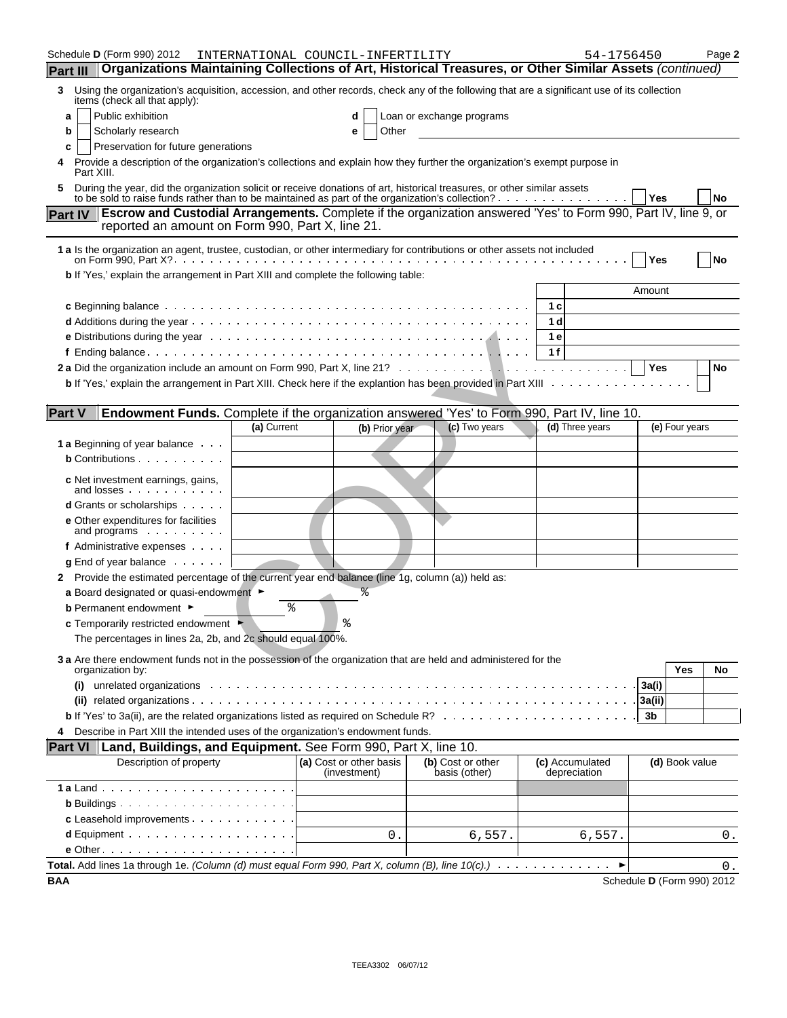|                 | Schedule <b>D</b> (Form 990) 2012                                                                                                                                            |                                                  | INTERNATIONAL COUNCIL-INFERTILITY                                                                                      |                           | 54-1756450      | Page 2                     |
|-----------------|------------------------------------------------------------------------------------------------------------------------------------------------------------------------------|--------------------------------------------------|------------------------------------------------------------------------------------------------------------------------|---------------------------|-----------------|----------------------------|
| <b>Part III</b> |                                                                                                                                                                              |                                                  | Organizations Maintaining Collections of Art, Historical Treasures, or Other Similar Assets (continued)                |                           |                 |                            |
| 3               | Using the organization's acquisition, accession, and other records, check any of the following that are a significant use of its collection<br>items (check all that apply): |                                                  |                                                                                                                        |                           |                 |                            |
|                 | Public exhibition<br>a                                                                                                                                                       |                                                  | d                                                                                                                      | Loan or exchange programs |                 |                            |
|                 | Scholarly research<br>b                                                                                                                                                      |                                                  | Other<br>е                                                                                                             |                           |                 |                            |
|                 | Preservation for future generations<br>c                                                                                                                                     |                                                  |                                                                                                                        |                           |                 |                            |
| 4               | Provide a description of the organization's collections and explain how they further the organization's exempt purpose in<br>Part XIII.                                      |                                                  |                                                                                                                        |                           |                 |                            |
| 5               | During the year, did the organization solicit or receive donations of art, historical treasures, or other similar assets                                                     |                                                  |                                                                                                                        |                           |                 | Yes<br>No                  |
|                 | <b>Part IV</b>                                                                                                                                                               | reported an amount on Form 990, Part X, line 21. | <b>Escrow and Custodial Arrangements.</b> Complete if the organization answered 'Yes' to Form 990, Part IV, line 9, or |                           |                 |                            |
|                 | 1 a Is the organization an agent, trustee, custodian, or other intermediary for contributions or other assets not included                                                   |                                                  |                                                                                                                        |                           |                 | Yes<br>No                  |
|                 | b If 'Yes,' explain the arrangement in Part XIII and complete the following table:                                                                                           |                                                  |                                                                                                                        |                           |                 |                            |
|                 |                                                                                                                                                                              |                                                  |                                                                                                                        |                           |                 | Amount                     |
|                 |                                                                                                                                                                              |                                                  |                                                                                                                        |                           | 1 c             |                            |
|                 |                                                                                                                                                                              |                                                  |                                                                                                                        |                           | 1 d             |                            |
|                 |                                                                                                                                                                              |                                                  |                                                                                                                        |                           | 1 e             |                            |
|                 |                                                                                                                                                                              |                                                  |                                                                                                                        |                           | 1f              |                            |
|                 |                                                                                                                                                                              |                                                  |                                                                                                                        |                           |                 | Yes<br>No                  |
|                 | b If 'Yes,' explain the arrangement in Part XIII. Check here if the explantion has been provided in Part XIII                                                                |                                                  |                                                                                                                        |                           |                 |                            |
| <b>Part V</b>   |                                                                                                                                                                              |                                                  | Endowment Funds. Complete if the organization answered 'Yes' to Form 990, Part IV, line 10.                            |                           |                 |                            |
|                 |                                                                                                                                                                              | (a) Current                                      | (b) Prior year                                                                                                         | (c) Two years             | (d) Three years | (e) Four years             |
|                 | <b>1 a</b> Beginning of year balance                                                                                                                                         |                                                  |                                                                                                                        |                           |                 |                            |
|                 | <b>b</b> Contributions                                                                                                                                                       |                                                  |                                                                                                                        |                           |                 |                            |
|                 |                                                                                                                                                                              |                                                  |                                                                                                                        |                           |                 |                            |
|                 | <b>c</b> Net investment earnings, gains,<br>and losses                                                                                                                       |                                                  |                                                                                                                        |                           |                 |                            |
|                 | <b>d</b> Grants or scholarships                                                                                                                                              |                                                  |                                                                                                                        |                           |                 |                            |
|                 | <b>e</b> Other expenditures for facilities<br>and programs                                                                                                                   |                                                  |                                                                                                                        |                           |                 |                            |
|                 | f Administrative expenses                                                                                                                                                    |                                                  |                                                                                                                        |                           |                 |                            |
|                 | $g$ End of year balance $\cdots$                                                                                                                                             |                                                  |                                                                                                                        |                           |                 |                            |
|                 | 2 Provide the estimated percentage of the current year end balance (line 1g, column (a)) held as:                                                                            |                                                  |                                                                                                                        |                           |                 |                            |
|                 | a Board designated or quasi-endowment $\blacktriangleright$                                                                                                                  |                                                  |                                                                                                                        |                           |                 |                            |
|                 | <b>b</b> Permanent endowment ►                                                                                                                                               | ి                                                |                                                                                                                        |                           |                 |                            |
|                 | c Temporarily restricted endowment                                                                                                                                           |                                                  | ٥.                                                                                                                     |                           |                 |                            |
|                 | The percentages in lines 2a, 2b, and 2c should equal 100%.                                                                                                                   |                                                  |                                                                                                                        |                           |                 |                            |
|                 | 3 a Are there endowment funds not in the possession of the organization that are held and administered for the                                                               |                                                  |                                                                                                                        |                           |                 | <b>Yes</b><br>No           |
|                 | organization by:<br>(i)                                                                                                                                                      |                                                  |                                                                                                                        |                           |                 | 3a(i)                      |
|                 |                                                                                                                                                                              |                                                  |                                                                                                                        |                           |                 |                            |
|                 |                                                                                                                                                                              |                                                  |                                                                                                                        |                           |                 | 3a(ii)<br>3b               |
|                 |                                                                                                                                                                              |                                                  |                                                                                                                        |                           |                 |                            |
| 4               | Describe in Part XIII the intended uses of the organization's endowment funds.                                                                                               |                                                  |                                                                                                                        |                           |                 |                            |
|                 | <b>Part VI</b><br>Description of property                                                                                                                                    |                                                  | Land, Buildings, and Equipment. See Form 990, Part X, line 10.<br>(a) Cost or other basis                              | (b) Cost or other         | (c) Accumulated | (d) Book value             |
|                 |                                                                                                                                                                              |                                                  | (investment)                                                                                                           | basis (other)             | depreciation    |                            |
|                 |                                                                                                                                                                              |                                                  |                                                                                                                        |                           |                 |                            |
|                 |                                                                                                                                                                              |                                                  |                                                                                                                        |                           |                 |                            |
|                 | c Leasehold improvements                                                                                                                                                     |                                                  |                                                                                                                        |                           |                 |                            |
|                 |                                                                                                                                                                              |                                                  | 0.                                                                                                                     | 6,557.                    | 6,557.          | 0.                         |
|                 |                                                                                                                                                                              |                                                  |                                                                                                                        |                           |                 |                            |
|                 | Total. Add lines 1a through 1e. (Column (d) must equal Form 990, Part X, column (B), line $10(c)$ .) $\dots$                                                                 |                                                  |                                                                                                                        |                           |                 | 0.                         |
| <b>BAA</b>      |                                                                                                                                                                              |                                                  |                                                                                                                        |                           |                 | Schedule D (Form 990) 2012 |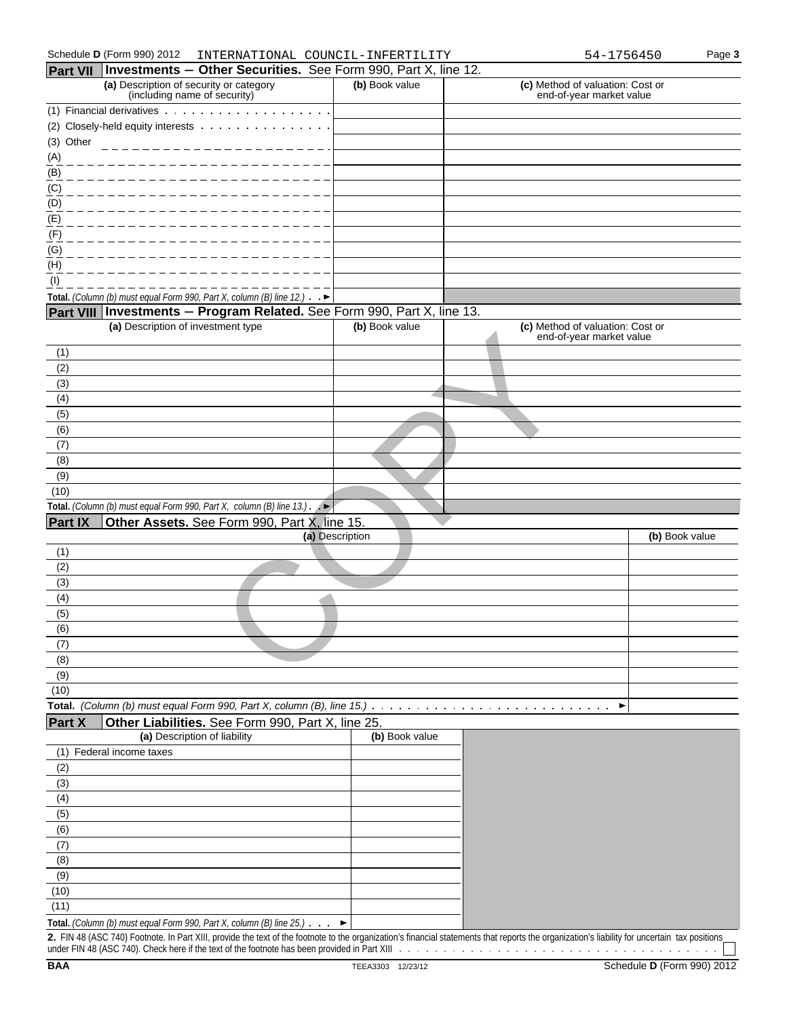| Schedule D (Form 990) 2012<br>COUNCIL-<br>INTERNATIONAL<br>INFERTILITY-<br>756450<br>- 4 - | Page 3 |
|--------------------------------------------------------------------------------------------|--------|
|--------------------------------------------------------------------------------------------|--------|

|                           | Part VII   Investments - Other Securities. See Form 990, Part X, line 12.                                                                                                                     |                 |                                                              |                |
|---------------------------|-----------------------------------------------------------------------------------------------------------------------------------------------------------------------------------------------|-----------------|--------------------------------------------------------------|----------------|
|                           | (a) Description of security or category<br>(including name of security)                                                                                                                       | (b) Book value  | (c) Method of valuation: Cost or<br>end-of-year market value |                |
|                           | (1) Financial derivatives                                                                                                                                                                     |                 |                                                              |                |
|                           | (2) Closely-held equity interests                                                                                                                                                             |                 |                                                              |                |
| (3) Other                 |                                                                                                                                                                                               |                 |                                                              |                |
| $\frac{(A)}{A}$           |                                                                                                                                                                                               |                 |                                                              |                |
| $\overline{(\mathsf{B})}$ |                                                                                                                                                                                               |                 |                                                              |                |
| (C)                       |                                                                                                                                                                                               |                 |                                                              |                |
| (D)                       |                                                                                                                                                                                               |                 |                                                              |                |
| (E)                       |                                                                                                                                                                                               |                 |                                                              |                |
| (F)                       |                                                                                                                                                                                               |                 |                                                              |                |
| (G)                       |                                                                                                                                                                                               |                 |                                                              |                |
| (H)                       |                                                                                                                                                                                               |                 |                                                              |                |
| (1)                       |                                                                                                                                                                                               |                 |                                                              |                |
|                           | Total. (Column (b) must equal Form 990, Part X, column (B) line 12.) $\rightarrow$                                                                                                            |                 |                                                              |                |
|                           | Part VIII Investments - Program Related. See Form 990, Part X, line 13.<br>(a) Description of investment type                                                                                 | (b) Book value  | (c) Method of valuation: Cost or                             |                |
|                           |                                                                                                                                                                                               |                 | end-of-year market value                                     |                |
| (1)                       |                                                                                                                                                                                               |                 |                                                              |                |
| (2)                       |                                                                                                                                                                                               |                 |                                                              |                |
| (3)                       |                                                                                                                                                                                               |                 |                                                              |                |
| (4)                       |                                                                                                                                                                                               |                 |                                                              |                |
| (5)                       |                                                                                                                                                                                               |                 |                                                              |                |
| (6)                       |                                                                                                                                                                                               |                 |                                                              |                |
| (7)                       |                                                                                                                                                                                               |                 |                                                              |                |
| (8)                       |                                                                                                                                                                                               |                 |                                                              |                |
| (9)                       |                                                                                                                                                                                               |                 |                                                              |                |
| (10)                      |                                                                                                                                                                                               |                 |                                                              |                |
|                           | Total. (Column (b) must equal Form 990, Part X, column (B) line 13.).<br>Æ                                                                                                                    |                 |                                                              |                |
| <b>Part IX</b>            | Other Assets. See Form 990, Part X, line 15.                                                                                                                                                  | (a) Description |                                                              | (b) Book value |
| (1)                       |                                                                                                                                                                                               |                 |                                                              |                |
| (2)                       |                                                                                                                                                                                               |                 |                                                              |                |
| (3)                       |                                                                                                                                                                                               |                 |                                                              |                |
| (4)                       |                                                                                                                                                                                               |                 |                                                              |                |
| (5)                       |                                                                                                                                                                                               |                 |                                                              |                |
| (6)                       |                                                                                                                                                                                               |                 |                                                              |                |
| (7)                       |                                                                                                                                                                                               |                 |                                                              |                |
| (8)                       |                                                                                                                                                                                               |                 |                                                              |                |
| (9)                       |                                                                                                                                                                                               |                 |                                                              |                |
| (10)                      |                                                                                                                                                                                               |                 |                                                              |                |
|                           | Total. (Column (b) must equal Form 990, Part X, column (B), line 15.)                                                                                                                         |                 | ▶                                                            |                |
| Part X                    | Other Liabilities. See Form 990, Part X, line 25.                                                                                                                                             |                 |                                                              |                |
|                           | (a) Description of liability                                                                                                                                                                  | (b) Book value  |                                                              |                |
|                           | (1) Federal income taxes                                                                                                                                                                      |                 |                                                              |                |
| (2)                       |                                                                                                                                                                                               |                 |                                                              |                |
| (3)<br>(4)                |                                                                                                                                                                                               |                 |                                                              |                |
| (5)                       |                                                                                                                                                                                               |                 |                                                              |                |
| (6)                       |                                                                                                                                                                                               |                 |                                                              |                |
| (7)                       |                                                                                                                                                                                               |                 |                                                              |                |
| (8)                       |                                                                                                                                                                                               |                 |                                                              |                |
| (9)                       |                                                                                                                                                                                               |                 |                                                              |                |
| (10)                      |                                                                                                                                                                                               |                 |                                                              |                |
| (11)                      |                                                                                                                                                                                               |                 |                                                              |                |
|                           | Total. (Column (b) must equal Form 990, Part X, column (B) line 25.)                                                                                                                          |                 |                                                              |                |
|                           | 2. FIN 48 (ASC 740) Footnote. In Part XIII, provide the text of the footnote to the organization's financial statements that reports the organization's liability for uncertain tax positions |                 |                                                              |                |
|                           |                                                                                                                                                                                               |                 |                                                              |                |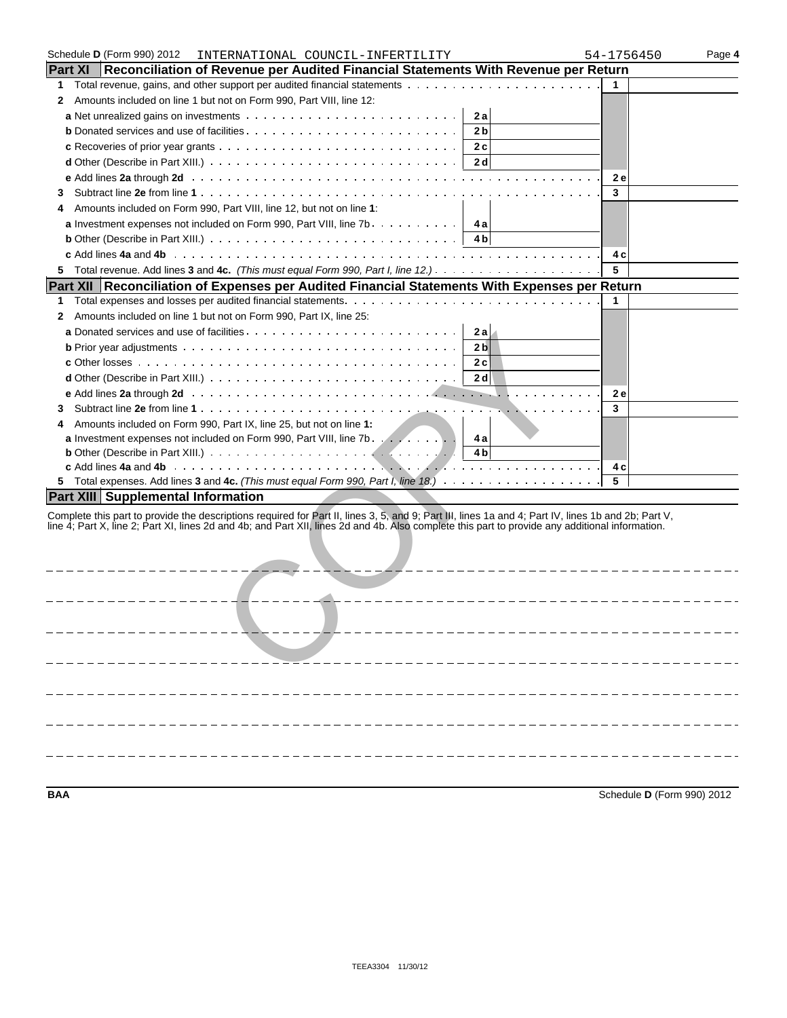|                | Schedule D (Form 990) 2012<br>INTERNATIONAL COUNCIL-INFERTILITY                                                                                     | 54-1756450 | Page 4 |
|----------------|-----------------------------------------------------------------------------------------------------------------------------------------------------|------------|--------|
| <b>Part XI</b> | Reconciliation of Revenue per Audited Financial Statements With Revenue per Return                                                                  |            |        |
| 1              |                                                                                                                                                     | 1          |        |
| 2              | Amounts included on line 1 but not on Form 990, Part VIII, line 12:                                                                                 |            |        |
|                | 2a                                                                                                                                                  |            |        |
|                | <b>b</b> Donated services and use of facilities<br>2 <sub>b</sub>                                                                                   |            |        |
|                | 2c                                                                                                                                                  |            |        |
|                | 2 d                                                                                                                                                 |            |        |
|                | e Add lines 2a through 2d (a) and a contract of the contract of the contract of the contract of the contract of the C                               | 2e         |        |
|                |                                                                                                                                                     | 3          |        |
| 3              |                                                                                                                                                     |            |        |
|                | Amounts included on Form 990, Part VIII, line 12, but not on line 1:                                                                                |            |        |
|                | a Investment expenses not included on Form 990, Part VIII, line 7b.<br>4 a l                                                                        |            |        |
|                | <b>b</b> Other (Describe in Part XIII.) $\ldots \ldots \ldots \ldots \ldots \ldots \ldots \ldots \ldots \ldots \ldots$<br>4 b                       |            |        |
|                |                                                                                                                                                     | 4 c        |        |
| 5.             |                                                                                                                                                     | 5          |        |
|                | Part XII Reconciliation of Expenses per Audited Financial Statements With Expenses per Return                                                       |            |        |
| 1              |                                                                                                                                                     | 1          |        |
| 2              | Amounts included on line 1 but not on Form 990, Part IX, line 25:                                                                                   |            |        |
|                | 2a                                                                                                                                                  |            |        |
|                | 2 <sub>b</sub>                                                                                                                                      |            |        |
|                | 2c                                                                                                                                                  |            |        |
|                | 2 dl                                                                                                                                                |            |        |
|                |                                                                                                                                                     | 2e         |        |
|                |                                                                                                                                                     | 3          |        |
| 3              |                                                                                                                                                     |            |        |
| 4              | Amounts included on Form 990, Part IX, line 25, but not on line 1:                                                                                  |            |        |
|                | a Investment expenses not included on Form 990, Part VIII, line 7b. 4a                                                                              |            |        |
|                |                                                                                                                                                     |            |        |
|                |                                                                                                                                                     | 4 c<br>5   |        |
|                |                                                                                                                                                     |            |        |
|                | <b>Part XIII Supplemental Information</b>                                                                                                           |            |        |
|                | Complete this part to provide the descriptions required for Part II, lines 3, 5, and 9; Part III, lines 1a and 4; Part IV, lines 1b and 2b; Part V, |            |        |
|                | line 4; Part X, line 2; Part XI, lines 2d and 4b; and Part XII, lines 2d and 4b. Also complete this part to provide any additional information.     |            |        |
|                |                                                                                                                                                     |            |        |
|                |                                                                                                                                                     |            |        |
|                |                                                                                                                                                     |            |        |
|                |                                                                                                                                                     |            |        |
|                |                                                                                                                                                     |            |        |
|                |                                                                                                                                                     |            |        |
|                |                                                                                                                                                     |            |        |
|                |                                                                                                                                                     |            |        |
|                |                                                                                                                                                     |            |        |
|                |                                                                                                                                                     |            |        |
|                |                                                                                                                                                     |            |        |
|                |                                                                                                                                                     |            |        |
|                |                                                                                                                                                     |            |        |
|                |                                                                                                                                                     |            |        |
|                |                                                                                                                                                     |            |        |
|                |                                                                                                                                                     |            |        |
|                |                                                                                                                                                     |            |        |

**BAA** Schedule **D** (Form 990) 2012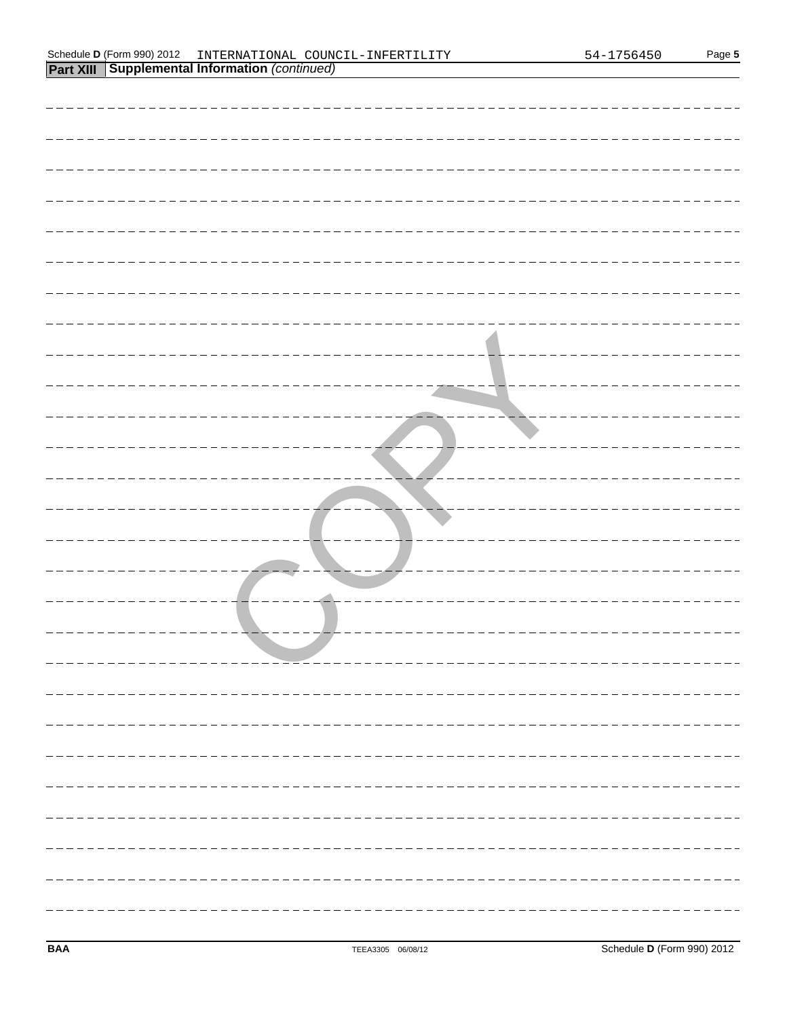| Schedule <b>D</b> (Form<br>2012<br>990) | TERNATIONAL<br>INTE.<br>INF.<br>' )I INC'<br>ERTILITY<br>$\overline{\phantom{a}}$ | ╮ ⊥ _ | Page 5 |
|-----------------------------------------|-----------------------------------------------------------------------------------|-------|--------|
| XIII<br>Part                            | Supplemental Information<br>(continued)                                           |       |        |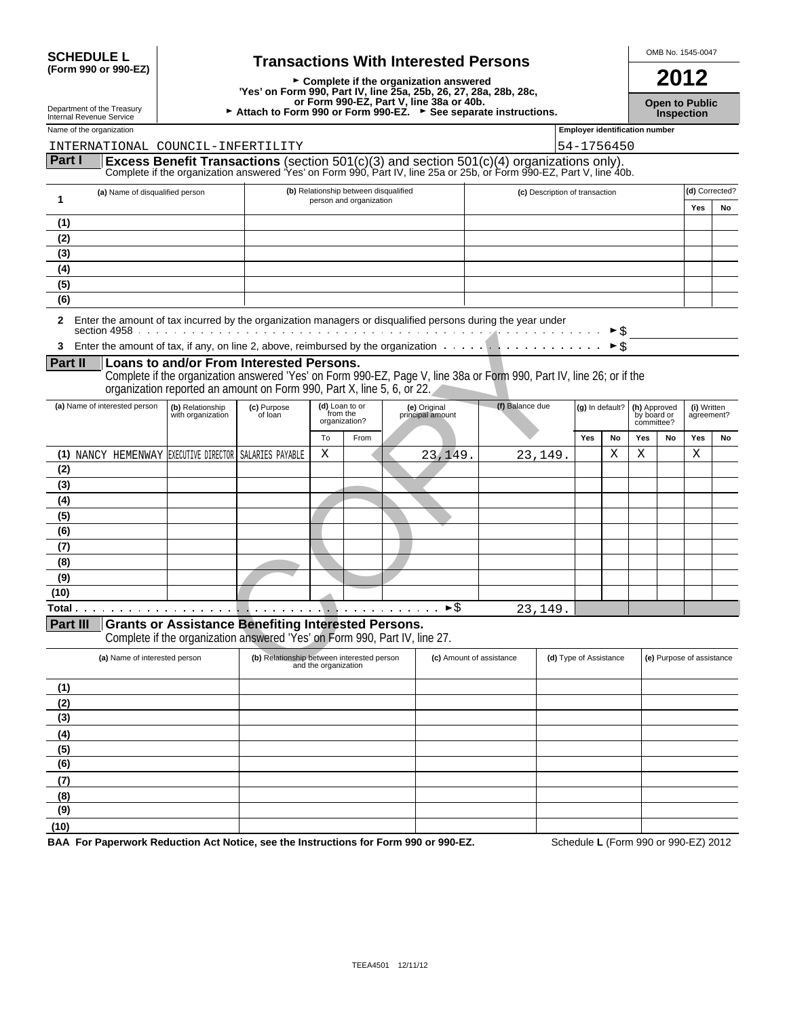| <b>SCHEDULE L</b>                             |  |
|-----------------------------------------------|--|
| $/$ $C_{\alpha r m}$ 000 $\alpha r$ 000 $E$ 7 |  |

SCHEDULE L<br>
(Form 990 or 990-EZ) **Transactions With Interested Persons**  $\overline{2012}$ <sup>G</sup> **Complete if the organization answered 2012 'Yes' on Form 990, Part IV, line 25a, 25b, 26, 27, 28a, 28b, 28c, Open to Public Correct Correct Correct Correct Correct Correct Correct Correct Correct Correct Correct Correct Correct Correct Correct Correct Correct Correct Correct Correct Correct Correct Correct Correct Correct Corre** 

|                              | סטועוסט סאוופאסוואר אוווס                                                                                                                                                                                      |                                       |                                                                                                                                                                                                                                             |                      |                                                                  |                                  |                 |                                |                                       |                             |     |                                           |                           |    |
|------------------------------|----------------------------------------------------------------------------------------------------------------------------------------------------------------------------------------------------------------|---------------------------------------|---------------------------------------------------------------------------------------------------------------------------------------------------------------------------------------------------------------------------------------------|----------------------|------------------------------------------------------------------|----------------------------------|-----------------|--------------------------------|---------------------------------------|-----------------------------|-----|-------------------------------------------|---------------------------|----|
|                              | Name of the organization                                                                                                                                                                                       |                                       |                                                                                                                                                                                                                                             |                      |                                                                  |                                  |                 |                                | <b>Employer identification number</b> |                             |     |                                           |                           |    |
|                              | INTERNATIONAL COUNCIL-INFERTILITY                                                                                                                                                                              |                                       |                                                                                                                                                                                                                                             |                      |                                                                  |                                  |                 |                                | 54-1756450                            |                             |     |                                           |                           |    |
| Part I                       |                                                                                                                                                                                                                |                                       | <b>Excess Benefit Transactions</b> (section 501(c)(3) and section 501(c)(4) organizations only).<br>Complete if the organization answered 'Yes' on Form 990, Part IV, line 25a or 25b, or Form 990-EZ, Part V, line 40b.                    |                      |                                                                  |                                  |                 |                                |                                       |                             |     |                                           |                           |    |
| $\mathbf{1}$                 | (a) Name of disqualified person                                                                                                                                                                                |                                       |                                                                                                                                                                                                                                             |                      | (b) Relationship between disqualified<br>person and organization |                                  |                 | (c) Description of transaction |                                       |                             |     |                                           | (d) Corrected?<br>Yes     | No |
| (1)                          |                                                                                                                                                                                                                |                                       |                                                                                                                                                                                                                                             |                      |                                                                  |                                  |                 |                                |                                       |                             |     |                                           |                           |    |
| (2)                          |                                                                                                                                                                                                                |                                       |                                                                                                                                                                                                                                             |                      |                                                                  |                                  |                 |                                |                                       |                             |     |                                           |                           |    |
| (3)                          |                                                                                                                                                                                                                |                                       |                                                                                                                                                                                                                                             |                      |                                                                  |                                  |                 |                                |                                       |                             |     |                                           |                           |    |
| (4)                          |                                                                                                                                                                                                                |                                       |                                                                                                                                                                                                                                             |                      |                                                                  |                                  |                 |                                |                                       |                             |     |                                           |                           |    |
| (5)                          |                                                                                                                                                                                                                |                                       |                                                                                                                                                                                                                                             |                      |                                                                  |                                  |                 |                                |                                       |                             |     |                                           |                           |    |
| (6)                          |                                                                                                                                                                                                                |                                       |                                                                                                                                                                                                                                             |                      |                                                                  |                                  |                 |                                |                                       |                             |     |                                           |                           |    |
| $\mathbf{2}$<br>3<br>Part II | Enter the amount of tax incurred by the organization managers or disqualified persons during the year under<br>Enter the amount of tax, if any, on line 2, above, reimbursed by the organization $\dots \dots$ |                                       | Loans to and/or From Interested Persons.<br>Complete if the organization answered 'Yes' on Form 990-EZ, Page V, line 38a or Form 990, Part IV, line 26; or if the<br>organization reported an amount on Form 990, Part X, line 5, 6, or 22. |                      |                                                                  |                                  |                 |                                |                                       | ► \$<br>$\triangleright$ \$ |     |                                           |                           |    |
|                              | (a) Name of interested person                                                                                                                                                                                  | (b) Relationship<br>with organization | (c) Purpose<br>of loan                                                                                                                                                                                                                      |                      | (d) Loan to or<br>from the<br>organization?                      | (e) Original<br>principal amount | (f) Balance due |                                | (g) In default?                       |                             |     | (h) Approved<br>by board or<br>committee? | (i) Written<br>agreement? |    |
|                              |                                                                                                                                                                                                                |                                       |                                                                                                                                                                                                                                             | To                   | From                                                             |                                  |                 |                                | Yes                                   | No                          | Yes | No                                        | Yes                       | No |
|                              | (1) NANCY HEMENWAY EXECUTIVE DIRECTOR SALARIES PAYABLE                                                                                                                                                         |                                       |                                                                                                                                                                                                                                             | Χ                    |                                                                  | 23,149                           |                 | 23,149                         |                                       | X                           | X   |                                           | X                         |    |
| (2)                          |                                                                                                                                                                                                                |                                       |                                                                                                                                                                                                                                             |                      |                                                                  |                                  |                 |                                |                                       |                             |     |                                           |                           |    |
| (3)                          |                                                                                                                                                                                                                |                                       |                                                                                                                                                                                                                                             |                      |                                                                  |                                  |                 |                                |                                       |                             |     |                                           |                           |    |
| (4)                          |                                                                                                                                                                                                                |                                       |                                                                                                                                                                                                                                             |                      |                                                                  |                                  |                 |                                |                                       |                             |     |                                           |                           |    |
| (5)                          |                                                                                                                                                                                                                |                                       |                                                                                                                                                                                                                                             |                      |                                                                  |                                  |                 |                                |                                       |                             |     |                                           |                           |    |
| (6)                          |                                                                                                                                                                                                                |                                       |                                                                                                                                                                                                                                             |                      |                                                                  |                                  |                 |                                |                                       |                             |     |                                           |                           |    |
| (7)                          |                                                                                                                                                                                                                |                                       |                                                                                                                                                                                                                                             |                      |                                                                  |                                  |                 |                                |                                       |                             |     |                                           |                           |    |
| (8)<br>(9)                   |                                                                                                                                                                                                                |                                       |                                                                                                                                                                                                                                             |                      |                                                                  |                                  |                 |                                |                                       |                             |     |                                           |                           |    |
| (10)                         |                                                                                                                                                                                                                |                                       |                                                                                                                                                                                                                                             |                      |                                                                  |                                  |                 |                                |                                       |                             |     |                                           |                           |    |
|                              |                                                                                                                                                                                                                |                                       |                                                                                                                                                                                                                                             |                      |                                                                  | $\blacktriangleright$ \$         |                 | 23,149.                        |                                       |                             |     |                                           |                           |    |
|                              | Part III Grants or Assistance Benefiting Interested Persons.<br>(a) Name of interested person                                                                                                                  |                                       | Complete if the organization answered 'Yes' on Form 990, Part IV, line 27.<br>(b) Relationship between interested person                                                                                                                    | and the organization |                                                                  | (c) Amount of assistance         |                 |                                | (d) Type of Assistance                |                             |     | (e) Purpose of assistance                 |                           |    |
| (1)                          |                                                                                                                                                                                                                |                                       |                                                                                                                                                                                                                                             |                      |                                                                  |                                  |                 |                                |                                       |                             |     |                                           |                           |    |
| (2)                          |                                                                                                                                                                                                                |                                       |                                                                                                                                                                                                                                             |                      |                                                                  |                                  |                 |                                |                                       |                             |     |                                           |                           |    |
| (3)                          |                                                                                                                                                                                                                |                                       |                                                                                                                                                                                                                                             |                      |                                                                  |                                  |                 |                                |                                       |                             |     |                                           |                           |    |
| (4)                          |                                                                                                                                                                                                                |                                       |                                                                                                                                                                                                                                             |                      |                                                                  |                                  |                 |                                |                                       |                             |     |                                           |                           |    |
| (5)                          |                                                                                                                                                                                                                |                                       |                                                                                                                                                                                                                                             |                      |                                                                  |                                  |                 |                                |                                       |                             |     |                                           |                           |    |
| (6)                          |                                                                                                                                                                                                                |                                       |                                                                                                                                                                                                                                             |                      |                                                                  |                                  |                 |                                |                                       |                             |     |                                           |                           |    |
| (7)                          |                                                                                                                                                                                                                |                                       |                                                                                                                                                                                                                                             |                      |                                                                  |                                  |                 |                                |                                       |                             |     |                                           |                           |    |

**(9) (10)**

**(8)**

**BAA For Paperwork Reduction Act Notice, see the Instructions for Form 990 or 990-EZ.** Schedule **L** (Form 990 or 990-EZ) 2012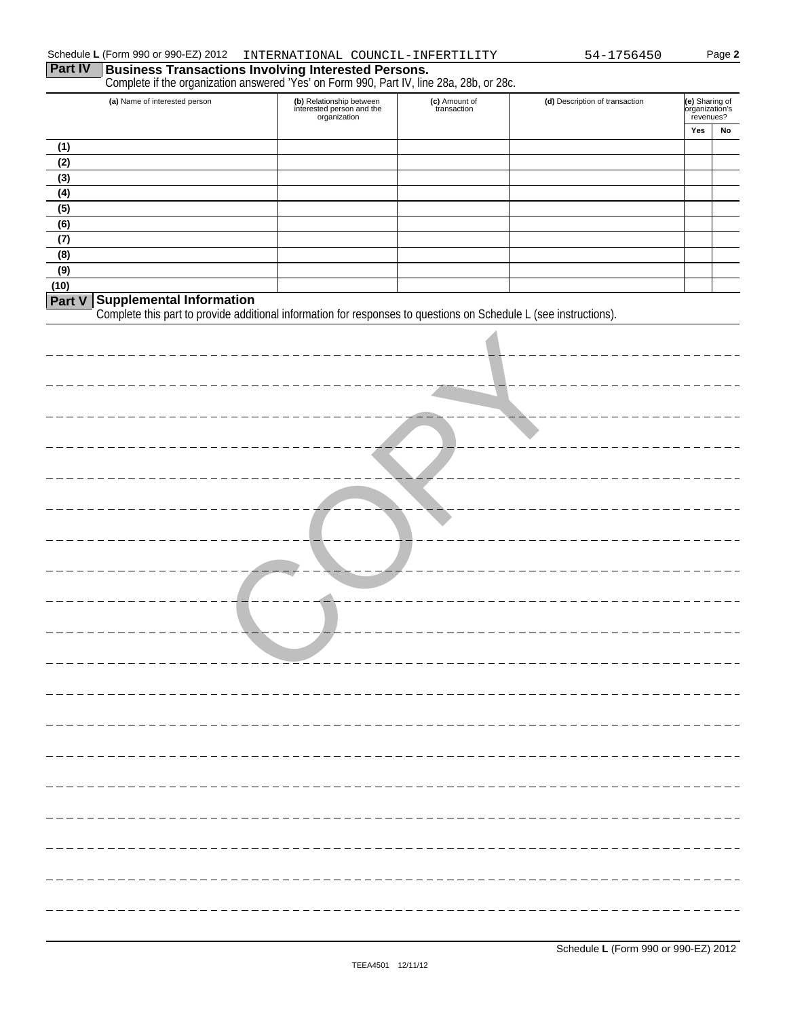$\equiv$ 

| <b>Part IV</b> | Schedule L (Form 990 or 990-EZ) 2012 | INTERNATIONAL COUNCIL-INFERTILITY<br><b>Business Transactions Involving Interested Persons.</b><br>Complete if the organization answered 'Yes' on Form 990, Part IV, line 28a, 28b, or 28c. |                              | 54-1756450                           |                                               | Page 2 |
|----------------|--------------------------------------|---------------------------------------------------------------------------------------------------------------------------------------------------------------------------------------------|------------------------------|--------------------------------------|-----------------------------------------------|--------|
|                | (a) Name of interested person        | (b) Relationship between<br>interested person and the<br>organization                                                                                                                       | (c) Amount of<br>transaction | (d) Description of transaction       | (e) Sharing of<br>organization's<br>revenues? |        |
|                |                                      |                                                                                                                                                                                             |                              |                                      | Yes                                           | No     |
| (1)            |                                      |                                                                                                                                                                                             |                              |                                      |                                               |        |
| (2)<br>(3)     |                                      |                                                                                                                                                                                             |                              |                                      |                                               |        |
| (4)            |                                      |                                                                                                                                                                                             |                              |                                      |                                               |        |
| (5)            |                                      |                                                                                                                                                                                             |                              |                                      |                                               |        |
| (6)            |                                      |                                                                                                                                                                                             |                              |                                      |                                               |        |
| (7)            |                                      |                                                                                                                                                                                             |                              |                                      |                                               |        |
| (8)<br>(9)     |                                      |                                                                                                                                                                                             |                              |                                      |                                               |        |
| (10)           |                                      |                                                                                                                                                                                             |                              |                                      |                                               |        |
| Part V         | <b>Supplemental Information</b>      |                                                                                                                                                                                             |                              |                                      |                                               |        |
|                |                                      | Complete this part to provide additional information for responses to questions on Schedule L (see instructions).                                                                           |                              |                                      |                                               |        |
|                |                                      |                                                                                                                                                                                             |                              |                                      |                                               |        |
|                |                                      |                                                                                                                                                                                             |                              |                                      |                                               |        |
|                |                                      |                                                                                                                                                                                             |                              |                                      |                                               |        |
|                |                                      |                                                                                                                                                                                             |                              |                                      |                                               |        |
|                |                                      |                                                                                                                                                                                             |                              |                                      |                                               |        |
|                |                                      |                                                                                                                                                                                             |                              |                                      |                                               |        |
|                |                                      |                                                                                                                                                                                             |                              |                                      |                                               |        |
|                |                                      |                                                                                                                                                                                             |                              |                                      |                                               |        |
|                |                                      |                                                                                                                                                                                             |                              |                                      |                                               |        |
|                |                                      |                                                                                                                                                                                             |                              |                                      |                                               |        |
|                |                                      |                                                                                                                                                                                             |                              |                                      |                                               |        |
|                |                                      |                                                                                                                                                                                             |                              |                                      |                                               |        |
|                |                                      |                                                                                                                                                                                             |                              |                                      |                                               |        |
|                |                                      | ◢                                                                                                                                                                                           |                              |                                      |                                               |        |
|                |                                      |                                                                                                                                                                                             |                              |                                      |                                               |        |
|                |                                      |                                                                                                                                                                                             | ------------                 |                                      |                                               |        |
|                |                                      |                                                                                                                                                                                             |                              |                                      |                                               |        |
|                |                                      |                                                                                                                                                                                             |                              |                                      |                                               |        |
|                |                                      |                                                                                                                                                                                             |                              |                                      |                                               |        |
|                |                                      |                                                                                                                                                                                             |                              |                                      |                                               |        |
|                |                                      |                                                                                                                                                                                             |                              |                                      |                                               |        |
|                |                                      |                                                                                                                                                                                             |                              |                                      |                                               |        |
|                |                                      |                                                                                                                                                                                             |                              |                                      |                                               |        |
|                |                                      |                                                                                                                                                                                             |                              |                                      |                                               |        |
|                |                                      |                                                                                                                                                                                             |                              |                                      |                                               |        |
|                |                                      |                                                                                                                                                                                             |                              |                                      |                                               |        |
|                |                                      |                                                                                                                                                                                             |                              |                                      |                                               |        |
|                |                                      |                                                                                                                                                                                             |                              |                                      |                                               |        |
|                |                                      |                                                                                                                                                                                             |                              |                                      |                                               |        |
|                |                                      |                                                                                                                                                                                             |                              |                                      |                                               |        |
|                |                                      |                                                                                                                                                                                             |                              |                                      |                                               |        |
|                |                                      |                                                                                                                                                                                             |                              |                                      |                                               |        |
|                |                                      | TEEA4501 12/11/12                                                                                                                                                                           |                              | Schedule L (Form 990 or 990-EZ) 2012 |                                               |        |
|                |                                      |                                                                                                                                                                                             |                              |                                      |                                               |        |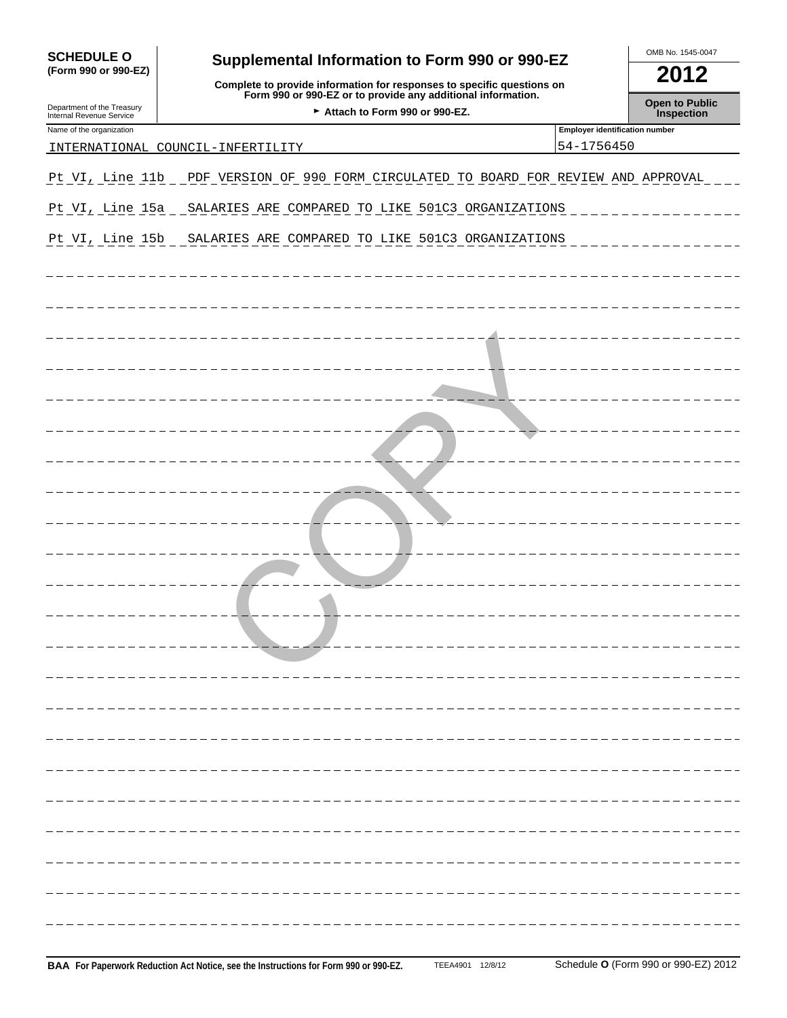| <b>SCHEDULE O</b>                                      | Supplemental Information to Form 990 or 990-EZ                                                                                         |                                                     | OMB No. 1545-0047                   |  |  |
|--------------------------------------------------------|----------------------------------------------------------------------------------------------------------------------------------------|-----------------------------------------------------|-------------------------------------|--|--|
| (Form 990 or 990-EZ)                                   | Complete to provide information for responses to specific questions on<br>Form 990 or 990-EZ or to provide any additional information. |                                                     | 2012                                |  |  |
| Department of the Treasury<br>Internal Revenue Service | Attach to Form 990 or 990-EZ.                                                                                                          |                                                     | <b>Open to Public</b><br>Inspection |  |  |
| Name of the organization                               | INTERNATIONAL COUNCIL-INFERTILITY                                                                                                      | <b>Employer identification number</b><br>54-1756450 |                                     |  |  |
|                                                        |                                                                                                                                        |                                                     |                                     |  |  |
| Pt VI, Line 11b                                        | PDF VERSION OF 990 FORM CIRCULATED TO BOARD FOR REVIEW AND APPROVAL                                                                    |                                                     |                                     |  |  |
| Pt VI, Line 15a                                        | SALARIES ARE COMPARED TO LIKE 501C3 ORGANIZATIONS                                                                                      |                                                     |                                     |  |  |
| Pt VI, Line 15b                                        | SALARIES ARE COMPARED TO LIKE 501C3 ORGANIZATIONS                                                                                      |                                                     |                                     |  |  |
|                                                        |                                                                                                                                        |                                                     |                                     |  |  |
|                                                        |                                                                                                                                        |                                                     |                                     |  |  |
|                                                        |                                                                                                                                        |                                                     |                                     |  |  |
|                                                        |                                                                                                                                        |                                                     |                                     |  |  |
|                                                        |                                                                                                                                        |                                                     |                                     |  |  |
|                                                        |                                                                                                                                        |                                                     |                                     |  |  |
|                                                        |                                                                                                                                        |                                                     |                                     |  |  |
|                                                        |                                                                                                                                        |                                                     |                                     |  |  |
|                                                        |                                                                                                                                        |                                                     |                                     |  |  |
|                                                        |                                                                                                                                        |                                                     |                                     |  |  |
|                                                        |                                                                                                                                        |                                                     |                                     |  |  |
|                                                        |                                                                                                                                        |                                                     |                                     |  |  |
|                                                        |                                                                                                                                        |                                                     |                                     |  |  |
|                                                        |                                                                                                                                        |                                                     |                                     |  |  |
|                                                        |                                                                                                                                        |                                                     |                                     |  |  |
|                                                        |                                                                                                                                        |                                                     |                                     |  |  |
|                                                        |                                                                                                                                        |                                                     |                                     |  |  |
|                                                        |                                                                                                                                        |                                                     |                                     |  |  |
|                                                        |                                                                                                                                        |                                                     |                                     |  |  |
|                                                        |                                                                                                                                        |                                                     |                                     |  |  |
|                                                        |                                                                                                                                        |                                                     |                                     |  |  |
|                                                        |                                                                                                                                        |                                                     |                                     |  |  |
|                                                        |                                                                                                                                        |                                                     |                                     |  |  |
|                                                        |                                                                                                                                        |                                                     |                                     |  |  |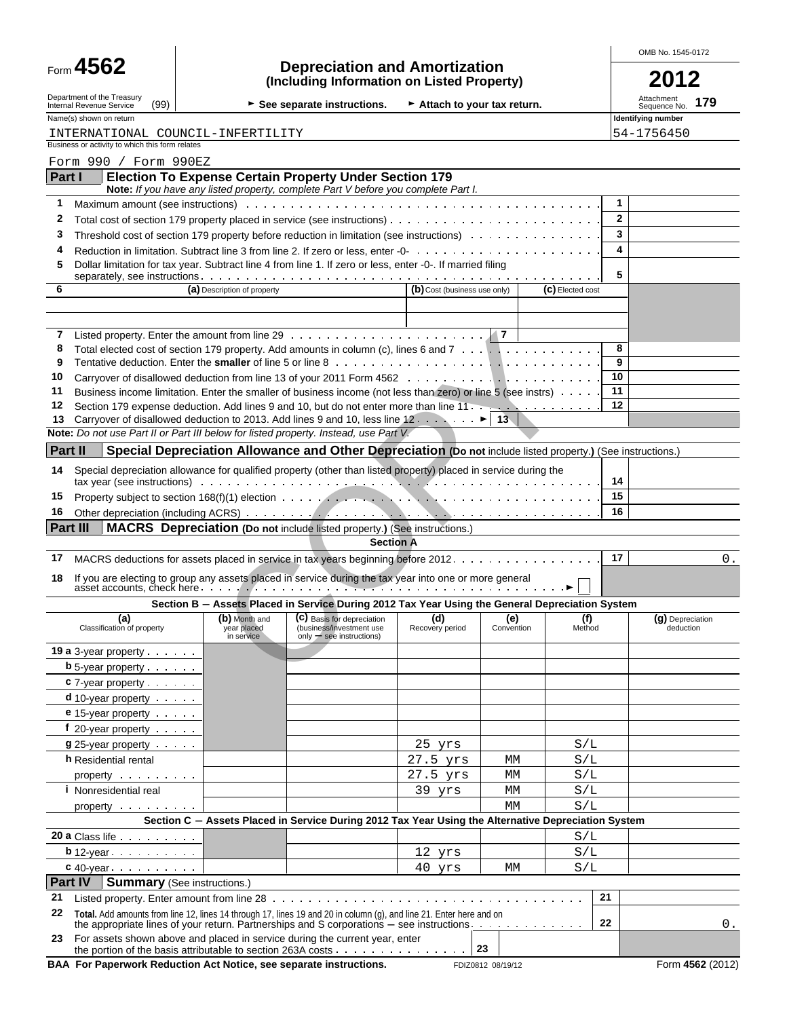|         | Form $4562$                                                    |                                            | <b>Depreciation and Amortization</b>                                                                            |                              |                   |                  |              | OMB No. 1545-0172             |     |
|---------|----------------------------------------------------------------|--------------------------------------------|-----------------------------------------------------------------------------------------------------------------|------------------------------|-------------------|------------------|--------------|-------------------------------|-----|
|         |                                                                |                                            | (Including Information on Listed Property)                                                                      |                              |                   |                  |              |                               |     |
|         | Department of the Treasury<br>(99)<br>Internal Revenue Service |                                            | $\triangleright$ See separate instructions.                                                                     | Attach to your tax return.   |                   |                  |              | Attachment<br>Sequence No.    | 179 |
|         | Name(s) shown on return                                        |                                            |                                                                                                                 |                              |                   |                  |              | <b>Identifying number</b>     |     |
|         | INTERNATIONAL COUNCIL-INFERTILITY                              |                                            |                                                                                                                 |                              |                   |                  |              | 54-1756450                    |     |
|         | Business or activity to which this form relates                |                                            |                                                                                                                 |                              |                   |                  |              |                               |     |
| Part I  | Form 990 / Form 990EZ                                          |                                            | <b>Election To Expense Certain Property Under Section 179</b>                                                   |                              |                   |                  |              |                               |     |
|         |                                                                |                                            | Note: If you have any listed property, complete Part V before you complete Part I.                              |                              |                   |                  |              |                               |     |
| 1       |                                                                |                                            |                                                                                                                 |                              |                   |                  | $\mathbf{1}$ |                               |     |
| 2       |                                                                |                                            |                                                                                                                 |                              |                   |                  | $\mathbf{2}$ |                               |     |
| 3       |                                                                |                                            | Threshold cost of section 179 property before reduction in limitation (see instructions) $\cdots$               |                              |                   |                  | 3            |                               |     |
| 4       |                                                                |                                            |                                                                                                                 |                              |                   |                  | 4            |                               |     |
| 5       |                                                                |                                            | Dollar limitation for tax year. Subtract line 4 from line 1. If zero or less, enter -0-. If married filing      |                              |                   |                  | 5            |                               |     |
| 6       |                                                                | (a) Description of property                |                                                                                                                 | (b) Cost (business use only) |                   | (C) Elected cost |              |                               |     |
|         |                                                                |                                            |                                                                                                                 |                              |                   |                  |              |                               |     |
|         |                                                                |                                            |                                                                                                                 |                              |                   |                  |              |                               |     |
|         |                                                                |                                            |                                                                                                                 |                              |                   |                  |              |                               |     |
| 8       |                                                                |                                            | Total elected cost of section 179 property. Add amounts in column (c), lines 6 and 7                            |                              |                   |                  | 8            |                               |     |
| 9<br>10 |                                                                |                                            |                                                                                                                 |                              |                   |                  | 9<br>10      |                               |     |
| 11      |                                                                |                                            | Business income limitation. Enter the smaller of business income (not less than zero) or line 5 (see instrs)    |                              |                   |                  | 11           |                               |     |
| $12 \,$ |                                                                |                                            | Section 179 expense deduction. Add lines 9 and 10, but do not enter more than line 11.                          |                              |                   |                  | 12           |                               |     |
| 13      |                                                                |                                            | Carryover of disallowed deduction to 2013. Add lines 9 and 10, less line 12. $\blacktriangleright$ 13           |                              |                   |                  |              |                               |     |
|         |                                                                |                                            | Note: Do not use Part II or Part III below for listed property. Instead, use Part V.                            |                              |                   |                  |              |                               |     |
| Part II |                                                                |                                            | Special Depreciation Allowance and Other Depreciation (Do not include listed property.) (See instructions.)     |                              |                   |                  |              |                               |     |
| 14      |                                                                |                                            | Special depreciation allowance for qualified property (other than listed property) placed in service during the |                              |                   |                  | 14           |                               |     |
| 15      |                                                                |                                            |                                                                                                                 |                              |                   |                  | 15           |                               |     |
| 16      |                                                                |                                            |                                                                                                                 |                              |                   |                  | 16           |                               |     |
|         | <b>Part III</b>                                                |                                            | MACRS Depreciation (Do not include listed property.) (See instructions.)                                        |                              |                   |                  |              |                               |     |
|         |                                                                |                                            | <b>Section A</b>                                                                                                |                              |                   |                  |              |                               |     |
| 17      |                                                                |                                            | MACRS deductions for assets placed in service in tax years beginning before 2012.                               |                              |                   |                  | 17           |                               |     |
| 18      |                                                                |                                            | If you are electing to group any assets placed in service during the tax year into one or more general          |                              |                   |                  |              |                               |     |
|         |                                                                |                                            | Section B - Assets Placed in Service During 2012 Tax Year Using the General Depreciation System                 |                              |                   |                  |              |                               |     |
|         | (a)<br>Classification of property                              | (b) Month and<br>year placed<br>in service | (C) Basis for depreciation<br>(business/investment use<br>$\text{only} \rightarrow \text{see}$ instructions)    | (d)<br>Recovery period       | (e)<br>Convention | (f)<br>Method    |              | (g) Depreciation<br>deduction |     |
|         | 19 a 3-year property $\cdots$                                  |                                            |                                                                                                                 |                              |                   |                  |              |                               |     |
|         | <b>b</b> 5-year property $\cdots$                              |                                            |                                                                                                                 |                              |                   |                  |              |                               |     |
|         |                                                                |                                            |                                                                                                                 |                              |                   |                  |              |                               |     |

| 17 | MACRS deductions for assets placed in service in tax years beginning before 2012.                                                                                                                                                                                      |                                            |                                                                                                     |                        |                   | 17            | $0$ .                         |
|----|------------------------------------------------------------------------------------------------------------------------------------------------------------------------------------------------------------------------------------------------------------------------|--------------------------------------------|-----------------------------------------------------------------------------------------------------|------------------------|-------------------|---------------|-------------------------------|
| 18 | If you are electing to group any assets placed in service during the tax year into one or more general<br>asset accounts, check here $\ldots$ , $\ldots$ , $\ldots$ , $\ldots$ , $\ldots$ , $\ldots$ , $\ldots$ , $\ldots$ , $\ldots$ , $\ldots$ , $\ldots$ , $\ldots$ |                                            |                                                                                                     |                        |                   |               |                               |
|    |                                                                                                                                                                                                                                                                        |                                            | Section B - Assets Placed in Service During 2012 Tax Year Using the General Depreciation System     |                        |                   |               |                               |
|    | (a)<br>Classification of property                                                                                                                                                                                                                                      | (b) Month and<br>year placed<br>in service | (C) Basis for depreciation<br>(business/investment use<br>$\text{only}$ - see instructions)         | (d)<br>Recovery period | (e)<br>Convention | (f)<br>Method | (g) Depreciation<br>deduction |
|    | 19 a 3-year property                                                                                                                                                                                                                                                   |                                            |                                                                                                     |                        |                   |               |                               |
|    |                                                                                                                                                                                                                                                                        |                                            |                                                                                                     |                        |                   |               |                               |
|    | c 7-year property                                                                                                                                                                                                                                                      |                                            |                                                                                                     |                        |                   |               |                               |
|    | d 10-year property <b>contains the state of the state of the state of the state of the state of the state of the state of the state of the state of the state of the state of the state of the state of the state of the state o</b>                                   |                                            |                                                                                                     |                        |                   |               |                               |
|    | e 15-year property                                                                                                                                                                                                                                                     |                                            |                                                                                                     |                        |                   |               |                               |
|    | f 20-year property $\cdots$                                                                                                                                                                                                                                            |                                            |                                                                                                     |                        |                   |               |                               |
|    | $925$ -year property $\cdots$                                                                                                                                                                                                                                          |                                            |                                                                                                     | 25 yrs                 |                   | S/L           |                               |
|    | h Residential rental                                                                                                                                                                                                                                                   |                                            |                                                                                                     | $27.5$ $yrs$           | MM                | S/L           |                               |
|    | property                                                                                                                                                                                                                                                               |                                            |                                                                                                     | 27.5 yrs               | MM                | S/L           |                               |
|    | <i>i</i> Nonresidential real                                                                                                                                                                                                                                           |                                            |                                                                                                     | $39$ $yrs$             | MM                | S/L           |                               |
|    | property exercise the contract of the contract of the contract of the contract of the contract of the contract of the contract of the contract of the contract of the contract of the contract of the contract of the contract                                         |                                            |                                                                                                     |                        | MМ                | S/L           |                               |
|    |                                                                                                                                                                                                                                                                        |                                            | Section C - Assets Placed in Service During 2012 Tax Year Using the Alternative Depreciation System |                        |                   |               |                               |
|    | 20 a Class life                                                                                                                                                                                                                                                        |                                            |                                                                                                     |                        |                   | S/L           |                               |
|    | $b$ 12-year $\cdots$                                                                                                                                                                                                                                                   |                                            |                                                                                                     | 12 yrs                 |                   | S/L           |                               |
|    | $c$ 40-year $\ldots$ $\ldots$ $\ldots$                                                                                                                                                                                                                                 |                                            |                                                                                                     | 40 yrs                 | MM                | S/L           |                               |
|    | Part IV   Summary (See instructions.)                                                                                                                                                                                                                                  |                                            |                                                                                                     |                        |                   |               |                               |
| 21 |                                                                                                                                                                                                                                                                        |                                            |                                                                                                     |                        |                   | 21            |                               |
| 22 | Total. Add amounts from line 12, lines 14 through 17, lines 19 and 20 in column (g), and line 21. Enter here and on<br>the appropriate lines of your return. Partnerships and S corporations - see instructions.                                                       |                                            |                                                                                                     |                        |                   | 22            | 0.                            |
| 23 | For assets shown above and placed in service during the current year, enter<br>the portion of the basis attributable to section 263A costs $\ldots$ 23                                                                                                                 |                                            |                                                                                                     |                        |                   |               |                               |

**BAA For Paperwork Reduction Act Notice, see separate instructions.** FDIZ0812 08/19/12 FORM 4562 (2012)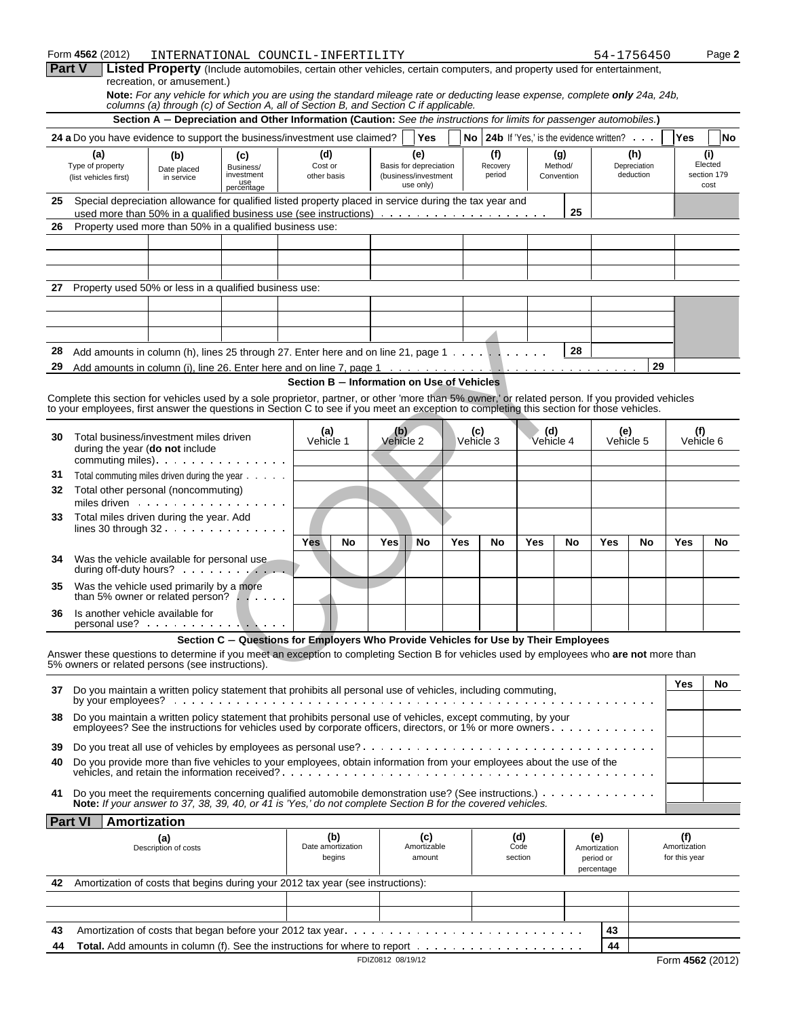|          | Form 4562 (2012)                                                                                               |                             |                                 | INTERNATIONAL COUNCIL-INFERTILITY                                                                                                                                                                                                                                                              |                   |                                   |            |                  |                        |                  |                |                                                           | 54-1756450          |                                      | Page 2              |
|----------|----------------------------------------------------------------------------------------------------------------|-----------------------------|---------------------------------|------------------------------------------------------------------------------------------------------------------------------------------------------------------------------------------------------------------------------------------------------------------------------------------------|-------------------|-----------------------------------|------------|------------------|------------------------|------------------|----------------|-----------------------------------------------------------|---------------------|--------------------------------------|---------------------|
|          | Part V                                                                                                         | recreation, or amusement.)  |                                 | <b>Listed Property</b> (Include automobiles, certain other vehicles, certain computers, and property used for entertainment,                                                                                                                                                                   |                   |                                   |            |                  |                        |                  |                |                                                           |                     |                                      |                     |
|          |                                                                                                                |                             |                                 | Note: For any vehicle for which you are using the standard mileage rate or deducting lease expense, complete only 24a, 24b,<br>columns (a) through (c) of Section A, all of Section B, and Section C if applicable.                                                                            |                   |                                   |            |                  |                        |                  |                |                                                           |                     |                                      |                     |
|          |                                                                                                                |                             |                                 | Section A - Depreciation and Other Information (Caution: See the instructions for limits for passenger automobiles.)                                                                                                                                                                           |                   |                                   |            |                  |                        |                  |                |                                                           |                     |                                      |                     |
|          |                                                                                                                |                             |                                 | 24 a Do you have evidence to support the business/investment use claimed?                                                                                                                                                                                                                      |                   | <b>Yes</b>                        |            |                  |                        |                  |                | <b>No</b> 24b If 'Yes,' is the evidence written? $\ldots$ |                     | Yes                                  | <b>No</b>           |
|          | (a)<br>Type of property                                                                                        | (b)<br>Date placed          | (c)<br>Business/                | (d)<br>Cost or                                                                                                                                                                                                                                                                                 |                   | (e)<br>Basis for depreciation     |            | (f)<br>Recovery  |                        |                  | (g)<br>Method/ |                                                           | (h)<br>Depreciation |                                      | (i)<br>Elected      |
|          | (list vehicles first)                                                                                          | in service                  | investment<br>use<br>percentage | other basis                                                                                                                                                                                                                                                                                    |                   | (business/investment<br>use only) |            | period           |                        |                  | Convention     |                                                           | deduction           |                                      | section 179<br>cost |
| 25       |                                                                                                                |                             |                                 | Special depreciation allowance for qualified listed property placed in service during the tax year and                                                                                                                                                                                         |                   |                                   |            |                  |                        |                  |                |                                                           |                     |                                      |                     |
| 26       | Property used more than 50% in a qualified business use:                                                       |                             |                                 |                                                                                                                                                                                                                                                                                                |                   |                                   |            |                  |                        |                  | 25             |                                                           |                     |                                      |                     |
|          |                                                                                                                |                             |                                 |                                                                                                                                                                                                                                                                                                |                   |                                   |            |                  |                        |                  |                |                                                           |                     |                                      |                     |
|          |                                                                                                                |                             |                                 |                                                                                                                                                                                                                                                                                                |                   |                                   |            |                  |                        |                  |                |                                                           |                     |                                      |                     |
| 27       | Property used 50% or less in a qualified business use:                                                         |                             |                                 |                                                                                                                                                                                                                                                                                                |                   |                                   |            |                  |                        |                  |                |                                                           |                     |                                      |                     |
|          |                                                                                                                |                             |                                 |                                                                                                                                                                                                                                                                                                |                   |                                   |            |                  |                        |                  |                |                                                           |                     |                                      |                     |
|          |                                                                                                                |                             |                                 |                                                                                                                                                                                                                                                                                                |                   |                                   |            |                  |                        |                  |                |                                                           |                     |                                      |                     |
|          |                                                                                                                |                             |                                 |                                                                                                                                                                                                                                                                                                |                   |                                   |            |                  |                        |                  |                |                                                           |                     |                                      |                     |
| 28<br>29 |                                                                                                                |                             |                                 | Add amounts in column (h), lines 25 through 27. Enter here and on line 21, page 1                                                                                                                                                                                                              |                   |                                   |            |                  |                        |                  | 28             |                                                           | 29                  |                                      |                     |
|          |                                                                                                                |                             |                                 | Section B - Information on Use of Vehicles                                                                                                                                                                                                                                                     |                   |                                   |            |                  |                        |                  |                |                                                           |                     |                                      |                     |
|          |                                                                                                                |                             |                                 | Complete this section for vehicles used by a sole proprietor, partner, or other 'more than 5% owner,' or related person. If you provided vehicles<br>to your employees, first answer the questions in Section C to see if you meet an exception to completing this section for those vehicles. |                   |                                   |            |                  |                        |                  |                |                                                           |                     |                                      |                     |
|          |                                                                                                                |                             |                                 |                                                                                                                                                                                                                                                                                                |                   |                                   |            |                  |                        |                  |                |                                                           |                     |                                      |                     |
| 30       | Total business/investment miles driven<br>during the year (do not include                                      |                             |                                 | (a)<br>Vehicle 1                                                                                                                                                                                                                                                                               | (b)               | Vehicle 2                         |            | (C)<br>Vehicle 3 |                        | (d)<br>Vehicle 4 |                | (e)<br>Vehicle 5                                          |                     | (f)<br>Vehicle 6                     |                     |
|          | commuting miles). $\ldots$                                                                                     |                             |                                 |                                                                                                                                                                                                                                                                                                |                   |                                   |            |                  |                        |                  |                |                                                           |                     |                                      |                     |
| 31<br>32 | Total commuting miles driven during the year<br>Total other personal (noncommuting)                            |                             |                                 |                                                                                                                                                                                                                                                                                                |                   |                                   |            |                  |                        |                  |                |                                                           |                     |                                      |                     |
|          | miles driven research research in the set of the set of the set of the set of the set of the set of the set of |                             |                                 |                                                                                                                                                                                                                                                                                                |                   |                                   |            |                  |                        |                  |                |                                                           |                     |                                      |                     |
| 33       | Total miles driven during the year. Add                                                                        |                             |                                 |                                                                                                                                                                                                                                                                                                |                   |                                   |            |                  |                        |                  |                |                                                           |                     |                                      |                     |
|          |                                                                                                                |                             |                                 | <b>Yes</b><br>No                                                                                                                                                                                                                                                                               | Yes               | No                                | <b>Yes</b> | No               |                        | <b>Yes</b>       | No             | Yes                                                       | No                  | Yes                                  | No                  |
| 34       | Was the vehicle available for personal use                                                                     |                             |                                 |                                                                                                                                                                                                                                                                                                |                   |                                   |            |                  |                        |                  |                |                                                           |                     |                                      |                     |
| 35       | Was the vehicle used primarily by a more<br>than 5% owner or related person? $\ldots$ .                        |                             |                                 |                                                                                                                                                                                                                                                                                                |                   |                                   |            |                  |                        |                  |                |                                                           |                     |                                      |                     |
| 36       | Is another vehicle available for                                                                               |                             |                                 |                                                                                                                                                                                                                                                                                                |                   |                                   |            |                  |                        |                  |                |                                                           |                     |                                      |                     |
|          | $personal use?$                                                                                                |                             |                                 |                                                                                                                                                                                                                                                                                                |                   |                                   |            |                  |                        |                  |                |                                                           |                     |                                      |                     |
|          | 5% owners or related persons (see instructions).                                                               |                             |                                 | Section C - Questions for Employers Who Provide Vehicles for Use by Their Employees<br>Answer these questions to determine if you meet an exception to completing Section B for vehicles used by employees who are not more than                                                               |                   |                                   |            |                  |                        |                  |                |                                                           |                     |                                      |                     |
| 37       |                                                                                                                |                             |                                 | Do you maintain a written policy statement that prohibits all personal use of vehicles, including commuting,                                                                                                                                                                                   |                   |                                   |            |                  |                        |                  |                |                                                           |                     | Yes                                  | No                  |
|          |                                                                                                                |                             |                                 |                                                                                                                                                                                                                                                                                                |                   |                                   |            |                  |                        |                  |                |                                                           |                     |                                      |                     |
| 38       |                                                                                                                |                             |                                 | Do you maintain a written policy statement that prohibits personal use of vehicles, except commuting, by your<br>employees? See the instructions for vehicles used by corporate officers, directors, or 1% or more owners.                                                                     |                   |                                   |            |                  |                        |                  |                |                                                           |                     |                                      |                     |
| 39       |                                                                                                                |                             |                                 |                                                                                                                                                                                                                                                                                                |                   |                                   |            |                  |                        |                  |                |                                                           |                     |                                      |                     |
| 40       |                                                                                                                |                             |                                 | Do you provide more than five vehicles to your employees, obtain information from your employees about the use of the                                                                                                                                                                          |                   |                                   |            |                  |                        |                  |                |                                                           |                     |                                      |                     |
| 41       |                                                                                                                |                             |                                 | Do you meet the requirements concerning qualified automobile demonstration use? (See instructions.)<br>Note: If your answer to 37, 38, 39, 40, or 41 is 'Yes,' do not complete Section B for the covered vehicles.                                                                             |                   |                                   |            |                  |                        |                  |                |                                                           |                     |                                      |                     |
|          | <b>Part VI</b><br>Amortization                                                                                 |                             |                                 |                                                                                                                                                                                                                                                                                                |                   |                                   |            |                  |                        |                  |                |                                                           |                     |                                      |                     |
|          |                                                                                                                | (a)<br>Description of costs |                                 | (b)<br>Date amortization<br>begins                                                                                                                                                                                                                                                             |                   | (c)<br>Amortizable<br>amount      |            |                  | (d)<br>Code<br>section |                  |                | (e)<br>Amortization<br>period or<br>percentage            |                     | (f)<br>Amortization<br>for this year |                     |
| 42       |                                                                                                                |                             |                                 | Amortization of costs that begins during your 2012 tax year (see instructions):                                                                                                                                                                                                                |                   |                                   |            |                  |                        |                  |                |                                                           |                     |                                      |                     |
|          |                                                                                                                |                             |                                 |                                                                                                                                                                                                                                                                                                |                   |                                   |            |                  |                        |                  |                |                                                           |                     |                                      |                     |
| 43       |                                                                                                                |                             |                                 |                                                                                                                                                                                                                                                                                                |                   |                                   |            |                  |                        |                  |                | 43                                                        |                     |                                      |                     |
| 44       |                                                                                                                |                             |                                 |                                                                                                                                                                                                                                                                                                |                   |                                   |            |                  |                        |                  |                | 44                                                        |                     |                                      |                     |
|          |                                                                                                                |                             |                                 |                                                                                                                                                                                                                                                                                                | FDIZ0812 08/19/12 |                                   |            |                  |                        |                  |                |                                                           |                     | Form 4562 (2012)                     |                     |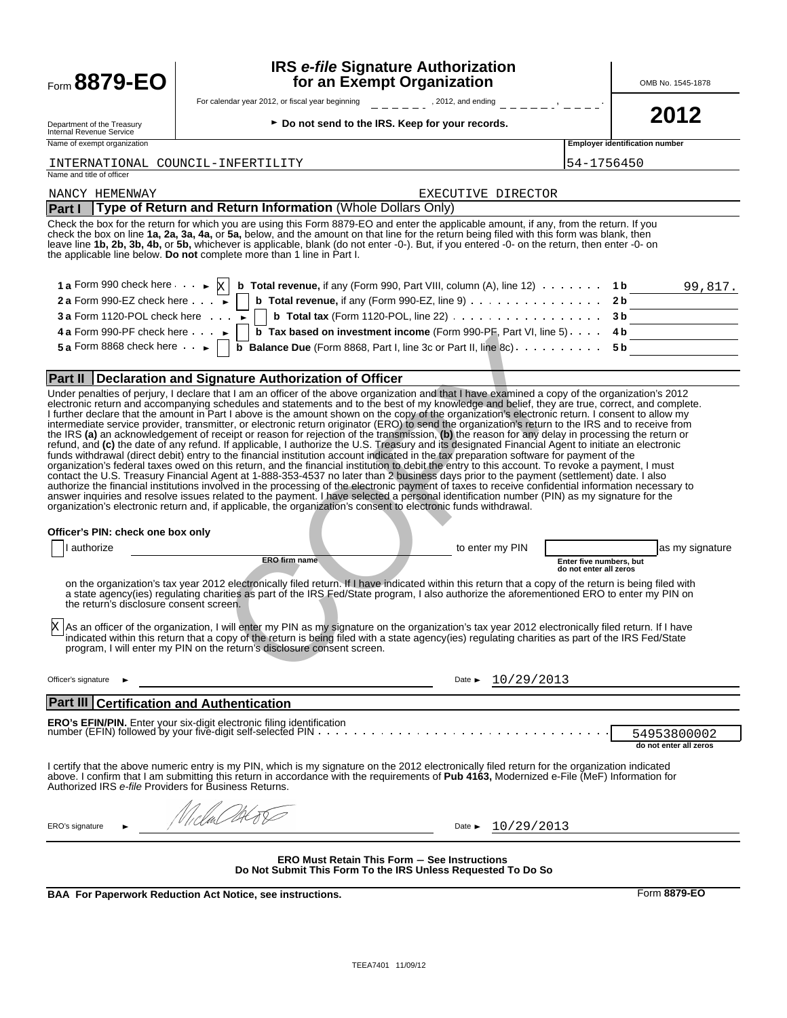| <b>Form 8879-EO</b>                                                                                                                                                                                                 | for an Exempt Organization                                                                                                                                                                                                                                                                                                                                                                                                                                                                                                                                                                                                                                                                                                                                                                                                                                     |                         | OMB No. 1545-1878                             |
|---------------------------------------------------------------------------------------------------------------------------------------------------------------------------------------------------------------------|----------------------------------------------------------------------------------------------------------------------------------------------------------------------------------------------------------------------------------------------------------------------------------------------------------------------------------------------------------------------------------------------------------------------------------------------------------------------------------------------------------------------------------------------------------------------------------------------------------------------------------------------------------------------------------------------------------------------------------------------------------------------------------------------------------------------------------------------------------------|-------------------------|-----------------------------------------------|
|                                                                                                                                                                                                                     | For calendar year 2012, or fiscal year beginning for the set of the set of the set of the set of the set of the set of the set of the set of the set of the set of the set of the set of the set of the set of the set of the                                                                                                                                                                                                                                                                                                                                                                                                                                                                                                                                                                                                                                  |                         |                                               |
| Department of the Treasury<br>Internal Revenue Service<br>Name of exempt organization                                                                                                                               | ► Do not send to the IRS. Keep for your records.                                                                                                                                                                                                                                                                                                                                                                                                                                                                                                                                                                                                                                                                                                                                                                                                               |                         | 2012<br><b>Employer identification number</b> |
|                                                                                                                                                                                                                     |                                                                                                                                                                                                                                                                                                                                                                                                                                                                                                                                                                                                                                                                                                                                                                                                                                                                |                         |                                               |
| Name and title of officer                                                                                                                                                                                           | INTERNATIONAL COUNCIL-INFERTILITY                                                                                                                                                                                                                                                                                                                                                                                                                                                                                                                                                                                                                                                                                                                                                                                                                              | 54-1756450              |                                               |
| NANCY HEMENWAY                                                                                                                                                                                                      | EXECUTIVE DIRECTOR                                                                                                                                                                                                                                                                                                                                                                                                                                                                                                                                                                                                                                                                                                                                                                                                                                             |                         |                                               |
| <b>Part I</b>                                                                                                                                                                                                       | Type of Return and Return Information (Whole Dollars Only)                                                                                                                                                                                                                                                                                                                                                                                                                                                                                                                                                                                                                                                                                                                                                                                                     |                         |                                               |
|                                                                                                                                                                                                                     | Check the box for the return for which you are using this Form 8879-EO and enter the applicable amount, if any, from the return. If you<br>check the box on line 1a, 2a, 3a, 4a, or 5a, below, and the amount on that line for the return being filed with this form was blank, then<br>leave line 1b, 2b, 3b, 4b, or 5b, whichever is applicable, blank (do not enter -0-). But, if you entered -0- on the return, then enter -0- on<br>the applicable line below. Do not complete more than 1 line in Part I.                                                                                                                                                                                                                                                                                                                                                |                         |                                               |
|                                                                                                                                                                                                                     | 1 a Form 990 check here $\cdots$ $\downarrow$ $\lfloor x \rfloor$ b Total revenue, if any (Form 990, Part VIII, column (A), line 12) $\cdots$ 1 b                                                                                                                                                                                                                                                                                                                                                                                                                                                                                                                                                                                                                                                                                                              |                         | 99,817.                                       |
| 2 a Form 990-EZ check here $\cdots$                                                                                                                                                                                 | <b>b</b> Total revenue, if any (Form 990-EZ, line 9) $\ldots$ 2b                                                                                                                                                                                                                                                                                                                                                                                                                                                                                                                                                                                                                                                                                                                                                                                               |                         |                                               |
| 3 a Form 1120-POL check here $\cdots$                                                                                                                                                                               | <b>b</b> Total tax (Form 1120-POL, line 22) $\ldots$ $\ldots$ $\ldots$ $\ldots$ $\ldots$ $\ldots$ 3b                                                                                                                                                                                                                                                                                                                                                                                                                                                                                                                                                                                                                                                                                                                                                           |                         |                                               |
| 4 a Form 990-PF check here $\cdots$                                                                                                                                                                                 | b Tax based on investment income (Form 990-PF, Part VI, line 5) 4b                                                                                                                                                                                                                                                                                                                                                                                                                                                                                                                                                                                                                                                                                                                                                                                             |                         |                                               |
| 5 a Form 8868 check here $\ldots$                                                                                                                                                                                   | <b>b</b> Balance Due (Form 8868, Part I, line 3c or Part II, line 8c) $\ldots \ldots \ldots$ 5b                                                                                                                                                                                                                                                                                                                                                                                                                                                                                                                                                                                                                                                                                                                                                                |                         |                                               |
|                                                                                                                                                                                                                     |                                                                                                                                                                                                                                                                                                                                                                                                                                                                                                                                                                                                                                                                                                                                                                                                                                                                |                         |                                               |
|                                                                                                                                                                                                                     | <b>Part II   Declaration and Signature Authorization of Officer</b><br>Under penalties of perjury, I declare that I am an officer of the above organization and that I have examined a copy of the organization's 2012                                                                                                                                                                                                                                                                                                                                                                                                                                                                                                                                                                                                                                         |                         |                                               |
|                                                                                                                                                                                                                     | the IRS (a) an acknowledgement of receipt or reason for rejection of the transmission, (b) the reason for any delay in processing the return or<br>refund, and (c) the date of any refund. If applicable, I authorize the U.S. Treasury and its designated Financial Agent to initiate an electronic                                                                                                                                                                                                                                                                                                                                                                                                                                                                                                                                                           |                         |                                               |
|                                                                                                                                                                                                                     | funds withdrawal (direct debit) entry to the financial institution account indicated in the tax preparation software for payment of the<br>organization's federal taxes owed on this return, and the financial institution to debit the entry to this account. To revoke a payment, I must<br>contact the U.S. Treasury Financial Agent at 1-888-353-4537 no later than 2 business days prior to the payment (settlement) date. I also<br>authorize the financial institutions involved in the processing of the electronic payment of taxes to receive confidential information necessary to<br>answer inquiries and resolve issues related to the payment. I have selected a personal identification number (PIN) as my signature for the<br>organization's electronic return and, if applicable, the organization's consent to electronic funds withdrawal. |                         |                                               |
|                                                                                                                                                                                                                     |                                                                                                                                                                                                                                                                                                                                                                                                                                                                                                                                                                                                                                                                                                                                                                                                                                                                |                         |                                               |
| authorize                                                                                                                                                                                                           | to enter my PIN<br>ERO firm name                                                                                                                                                                                                                                                                                                                                                                                                                                                                                                                                                                                                                                                                                                                                                                                                                               | Enter five numbers, but | as my signature                               |
| the return's disclosure consent screen.                                                                                                                                                                             | on the organization's tax year 2012 electronically filed return. If I have indicated within this return that a copy of the return is being filed with<br>a state agency(ies) regulating charities as part of the IRS Fed/State program, I also authorize the aforementioned ERO to enter my PIN on<br>As an officer of the organization, I will enter my PIN as my signature on the organization's tax year 2012 electronically filed return. If I have<br>indicated within this return that a copy of the return is being filed with a state agency(ies) regulating charities as part of the IRS Fed/State<br>program, I will enter my PIN on the return's disclosure consent screen.                                                                                                                                                                         | do not enter all zeros  |                                               |
|                                                                                                                                                                                                                     | 10/29/2013<br>Date $\blacktriangleright$                                                                                                                                                                                                                                                                                                                                                                                                                                                                                                                                                                                                                                                                                                                                                                                                                       |                         |                                               |
| intermediate service provider, transmitter, or electronic return originator (ERO) to send the organization's return to the IRS and to receive from<br>Officer's PIN: check one box only<br>X<br>Officer's signature |                                                                                                                                                                                                                                                                                                                                                                                                                                                                                                                                                                                                                                                                                                                                                                                                                                                                |                         |                                               |
|                                                                                                                                                                                                                     |                                                                                                                                                                                                                                                                                                                                                                                                                                                                                                                                                                                                                                                                                                                                                                                                                                                                |                         | 54953800002<br>do not enter all zeros         |
|                                                                                                                                                                                                                     | I certify that the above numeric entry is my PIN, which is my signature on the 2012 electronically filed return for the organization indicated<br>above. I confirm that I am submitting this return in accordance with the requirements of Pub 4163, Modernized e-File (MeF) Information for                                                                                                                                                                                                                                                                                                                                                                                                                                                                                                                                                                   |                         |                                               |
| <b>Part III Certification and Authentication</b><br>Authorized IRS e-file Providers for Business Returns.<br>ERO's signature                                                                                        | Wicla Obti<br>10/29/2013<br>Date $\blacktriangleright$                                                                                                                                                                                                                                                                                                                                                                                                                                                                                                                                                                                                                                                                                                                                                                                                         |                         |                                               |

**IRS** *e-file* **Signature Authorization** 

**BAA For Paperwork Reduction Act Notice, see instructions.** Form 8879-EO